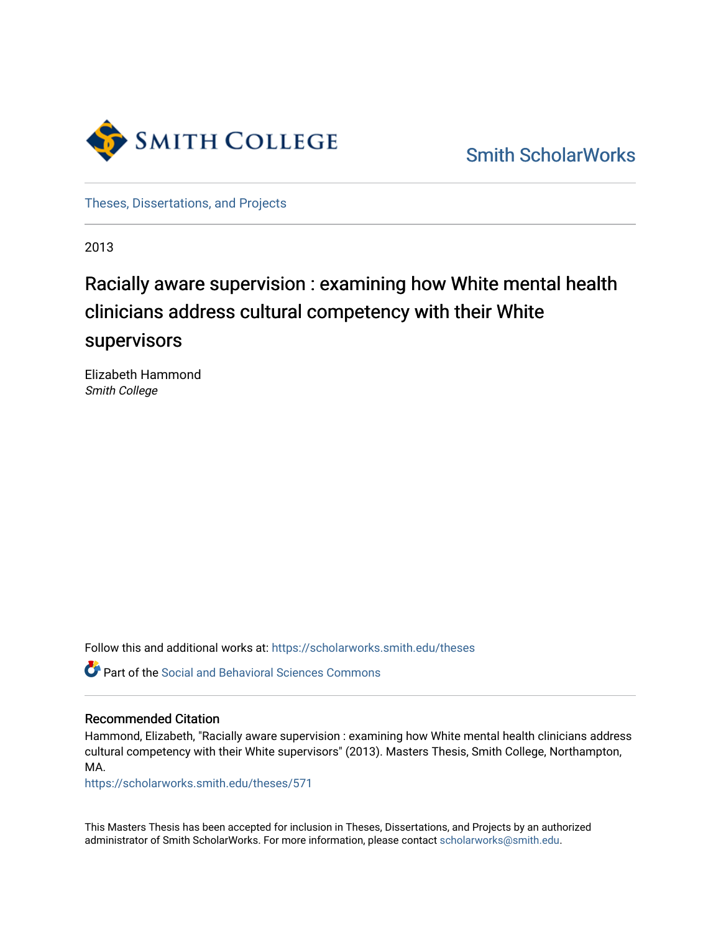

[Smith ScholarWorks](https://scholarworks.smith.edu/) 

[Theses, Dissertations, and Projects](https://scholarworks.smith.edu/theses) 

2013

# Racially aware supervision : examining how White mental health clinicians address cultural competency with their White supervisors

Elizabeth Hammond Smith College

Follow this and additional works at: [https://scholarworks.smith.edu/theses](https://scholarworks.smith.edu/theses?utm_source=scholarworks.smith.edu%2Ftheses%2F571&utm_medium=PDF&utm_campaign=PDFCoverPages) 

Part of the [Social and Behavioral Sciences Commons](http://network.bepress.com/hgg/discipline/316?utm_source=scholarworks.smith.edu%2Ftheses%2F571&utm_medium=PDF&utm_campaign=PDFCoverPages) 

#### Recommended Citation

Hammond, Elizabeth, "Racially aware supervision : examining how White mental health clinicians address cultural competency with their White supervisors" (2013). Masters Thesis, Smith College, Northampton, MA.

[https://scholarworks.smith.edu/theses/571](https://scholarworks.smith.edu/theses/571?utm_source=scholarworks.smith.edu%2Ftheses%2F571&utm_medium=PDF&utm_campaign=PDFCoverPages) 

This Masters Thesis has been accepted for inclusion in Theses, Dissertations, and Projects by an authorized administrator of Smith ScholarWorks. For more information, please contact [scholarworks@smith.edu](mailto:scholarworks@smith.edu).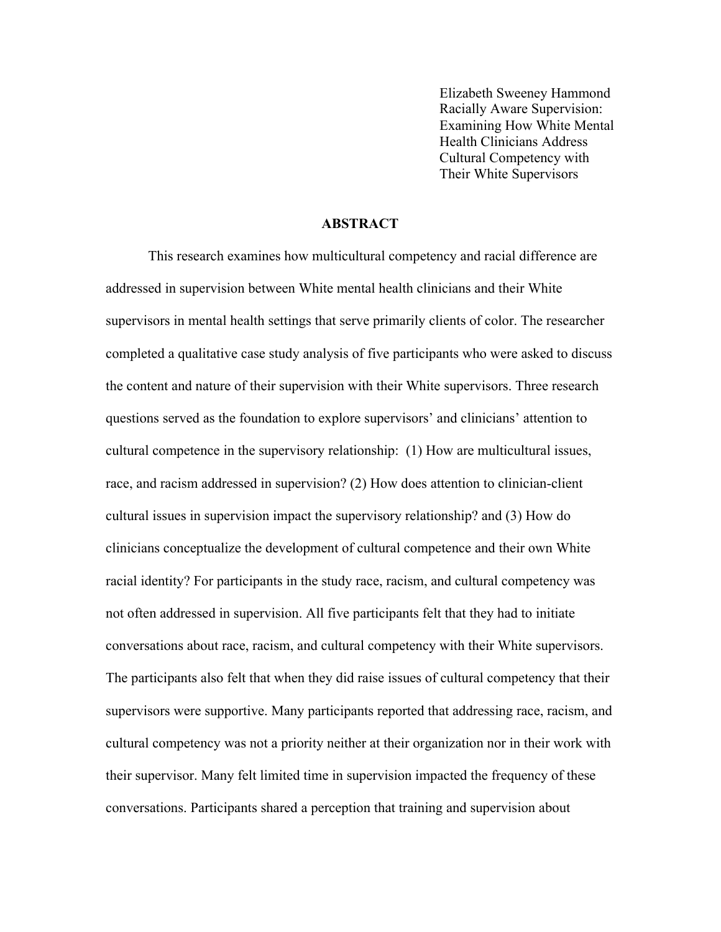Elizabeth Sweeney Hammond Racially Aware Supervision: Examining How White Mental Health Clinicians Address Cultural Competency with Their White Supervisors

#### **ABSTRACT**

This research examines how multicultural competency and racial difference are addressed in supervision between White mental health clinicians and their White supervisors in mental health settings that serve primarily clients of color. The researcher completed a qualitative case study analysis of five participants who were asked to discuss the content and nature of their supervision with their White supervisors. Three research questions served as the foundation to explore supervisors' and clinicians' attention to cultural competence in the supervisory relationship: (1) How are multicultural issues, race, and racism addressed in supervision? (2) How does attention to clinician-client cultural issues in supervision impact the supervisory relationship? and (3) How do clinicians conceptualize the development of cultural competence and their own White racial identity? For participants in the study race, racism, and cultural competency was not often addressed in supervision. All five participants felt that they had to initiate conversations about race, racism, and cultural competency with their White supervisors. The participants also felt that when they did raise issues of cultural competency that their supervisors were supportive. Many participants reported that addressing race, racism, and cultural competency was not a priority neither at their organization nor in their work with their supervisor. Many felt limited time in supervision impacted the frequency of these conversations. Participants shared a perception that training and supervision about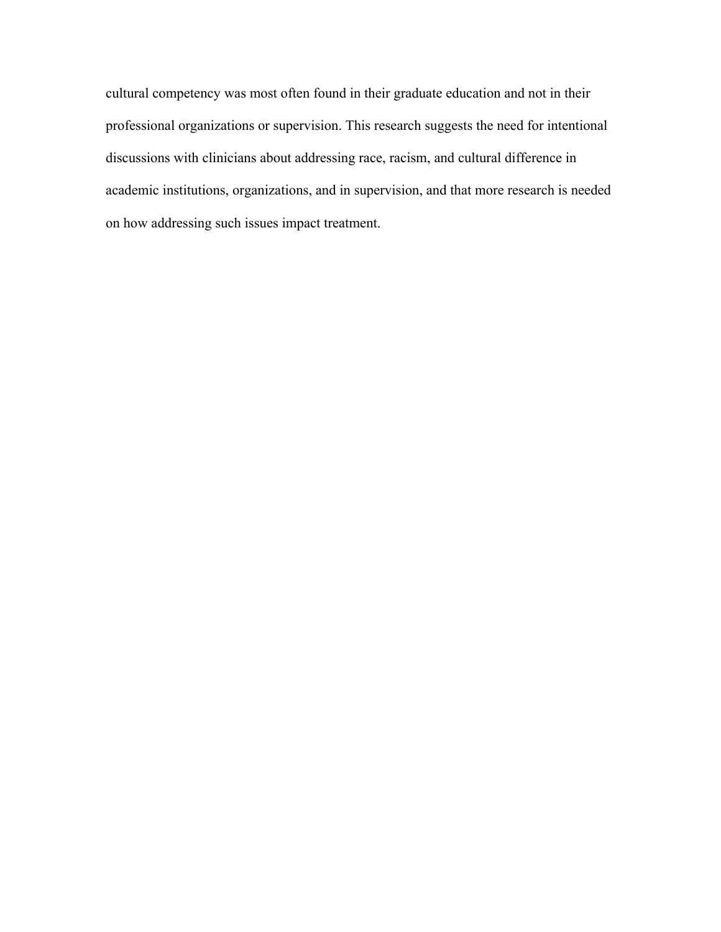cultural competency was most often found in their graduate education and not in their professional organizations or supervision. This research suggests the need for intentional discussions with clinicians about addressing race, racism, and cultural difference in academic institutions, organizations, and in supervision, and that more research is needed on how addressing such issues impact treatment.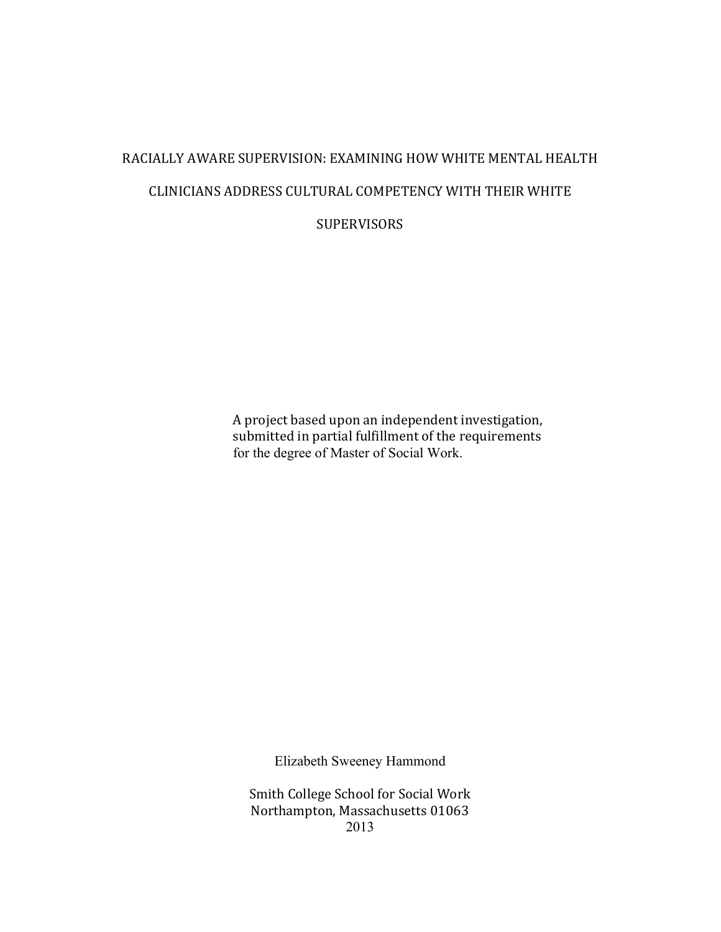# RACIALLY AWARE SUPERVISION: EXAMINING HOW WHITE MENTAL HEALTH CLINICIANS ADDRESS CULTURAL COMPETENCY WITH THEIR WHITE

**SUPERVISORS** 

A project based upon an independent investigation, submitted in partial fulfillment of the requirements for the degree of Master of Social Work.

Elizabeth Sweeney Hammond

Smith College School for Social Work Northampton, Massachusetts 01063 2013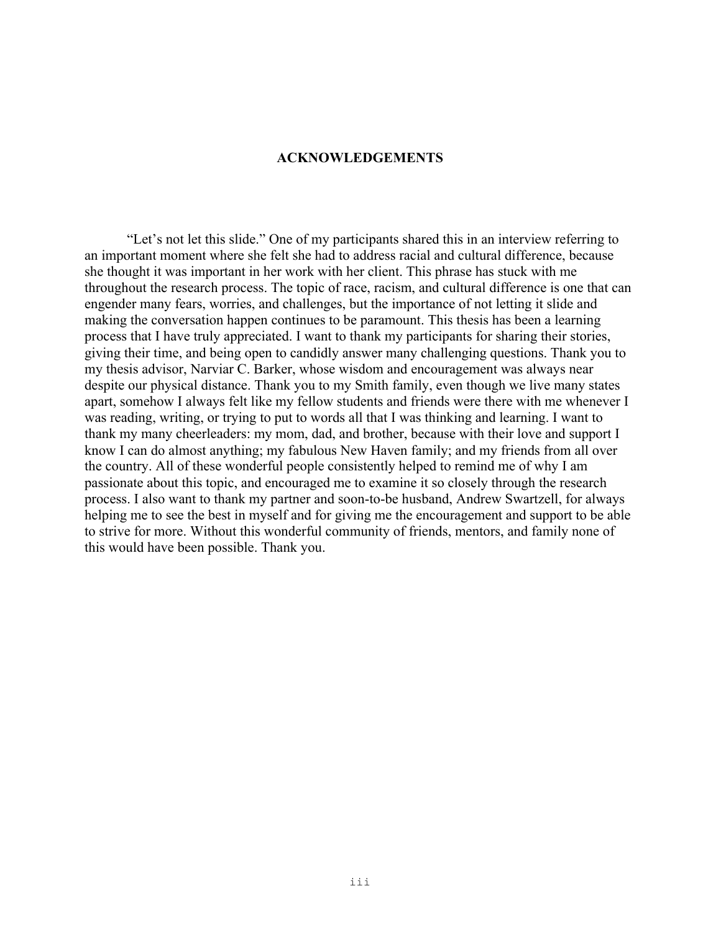#### **ACKNOWLEDGEMENTS**

"Let's not let this slide." One of my participants shared this in an interview referring to an important moment where she felt she had to address racial and cultural difference, because she thought it was important in her work with her client. This phrase has stuck with me throughout the research process. The topic of race, racism, and cultural difference is one that can engender many fears, worries, and challenges, but the importance of not letting it slide and making the conversation happen continues to be paramount. This thesis has been a learning process that I have truly appreciated. I want to thank my participants for sharing their stories, giving their time, and being open to candidly answer many challenging questions. Thank you to my thesis advisor, Narviar C. Barker, whose wisdom and encouragement was always near despite our physical distance. Thank you to my Smith family, even though we live many states apart, somehow I always felt like my fellow students and friends were there with me whenever I was reading, writing, or trying to put to words all that I was thinking and learning. I want to thank my many cheerleaders: my mom, dad, and brother, because with their love and support I know I can do almost anything; my fabulous New Haven family; and my friends from all over the country. All of these wonderful people consistently helped to remind me of why I am passionate about this topic, and encouraged me to examine it so closely through the research process. I also want to thank my partner and soon-to-be husband, Andrew Swartzell, for always helping me to see the best in myself and for giving me the encouragement and support to be able to strive for more. Without this wonderful community of friends, mentors, and family none of this would have been possible. Thank you.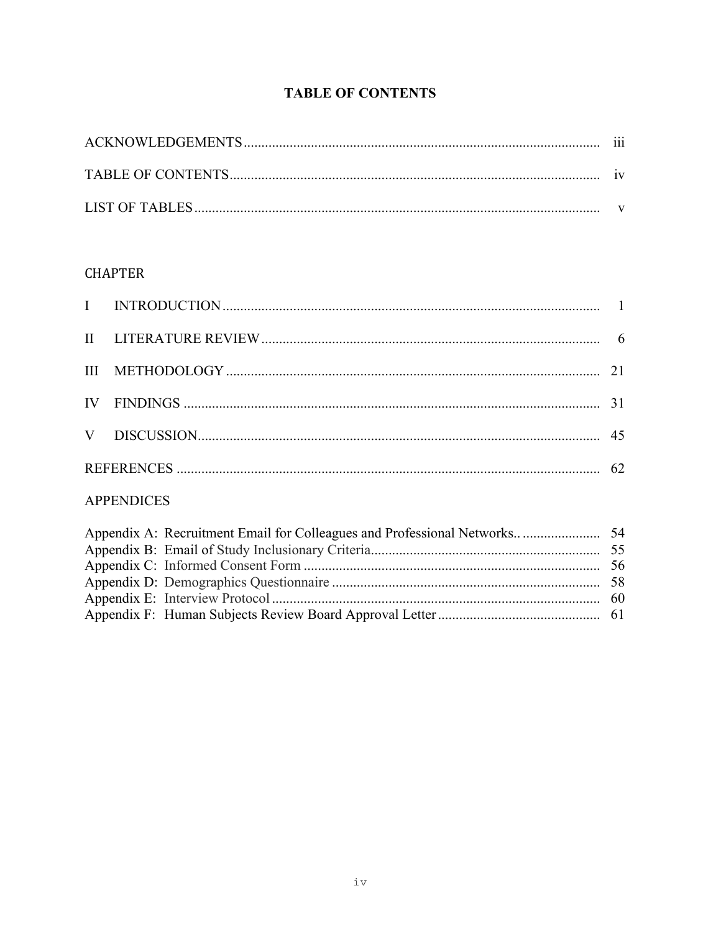# **TABLE OF CONTENTS**

### **CHAPTER**

| $\mathbf{H}$      |  |  |  |  |  |  |
|-------------------|--|--|--|--|--|--|
| III               |  |  |  |  |  |  |
| IV                |  |  |  |  |  |  |
| V                 |  |  |  |  |  |  |
|                   |  |  |  |  |  |  |
| <b>APPENDICES</b> |  |  |  |  |  |  |
|                   |  |  |  |  |  |  |
|                   |  |  |  |  |  |  |
|                   |  |  |  |  |  |  |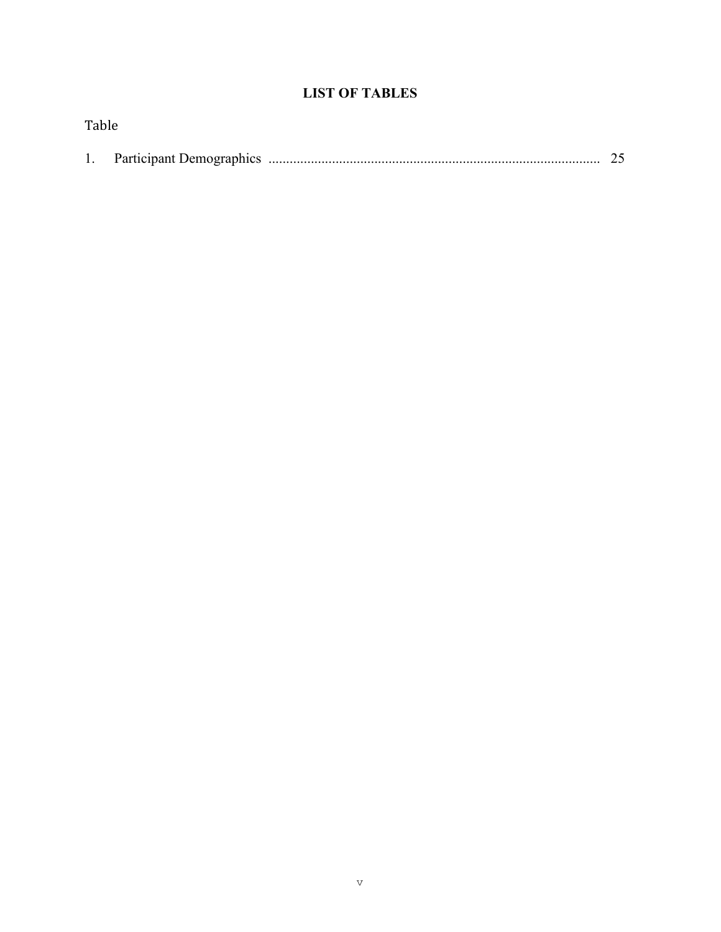# **LIST OF TABLES**

| Table |  |  |
|-------|--|--|
|       |  |  |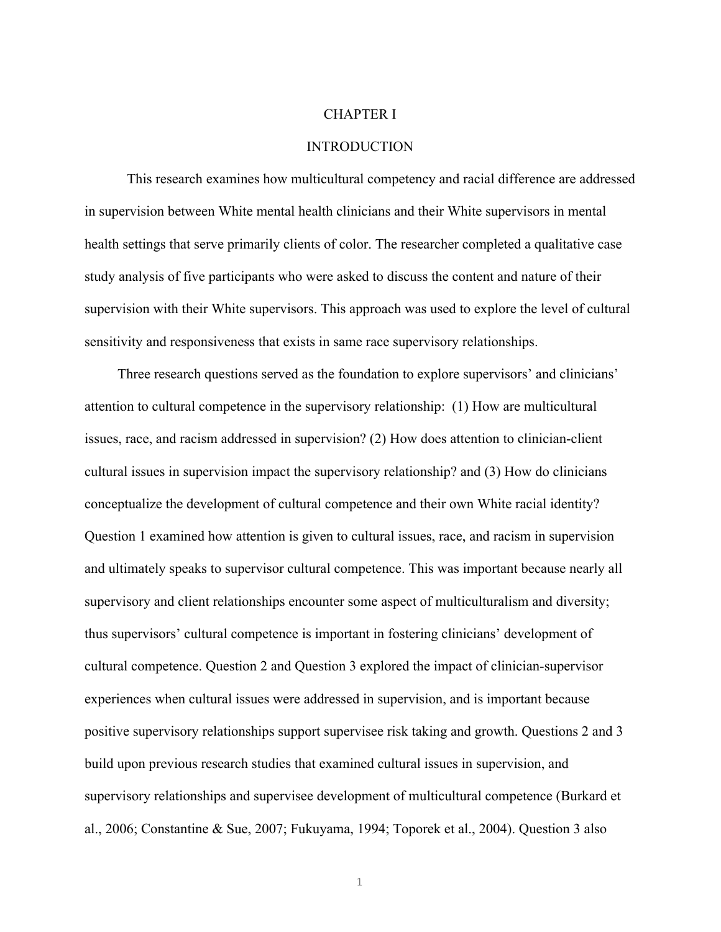#### CHAPTER I

#### **INTRODUCTION**

This research examines how multicultural competency and racial difference are addressed in supervision between White mental health clinicians and their White supervisors in mental health settings that serve primarily clients of color. The researcher completed a qualitative case study analysis of five participants who were asked to discuss the content and nature of their supervision with their White supervisors. This approach was used to explore the level of cultural sensitivity and responsiveness that exists in same race supervisory relationships.

Three research questions served as the foundation to explore supervisors' and clinicians' attention to cultural competence in the supervisory relationship: (1) How are multicultural issues, race, and racism addressed in supervision? (2) How does attention to clinician-client cultural issues in supervision impact the supervisory relationship? and (3) How do clinicians conceptualize the development of cultural competence and their own White racial identity? Question 1 examined how attention is given to cultural issues, race, and racism in supervision and ultimately speaks to supervisor cultural competence. This was important because nearly all supervisory and client relationships encounter some aspect of multiculturalism and diversity; thus supervisors' cultural competence is important in fostering clinicians' development of cultural competence. Question 2 and Question 3 explored the impact of clinician-supervisor experiences when cultural issues were addressed in supervision, and is important because positive supervisory relationships support supervisee risk taking and growth. Questions 2 and 3 build upon previous research studies that examined cultural issues in supervision, and supervisory relationships and supervisee development of multicultural competence (Burkard et al., 2006; Constantine & Sue, 2007; Fukuyama, 1994; Toporek et al., 2004). Question 3 also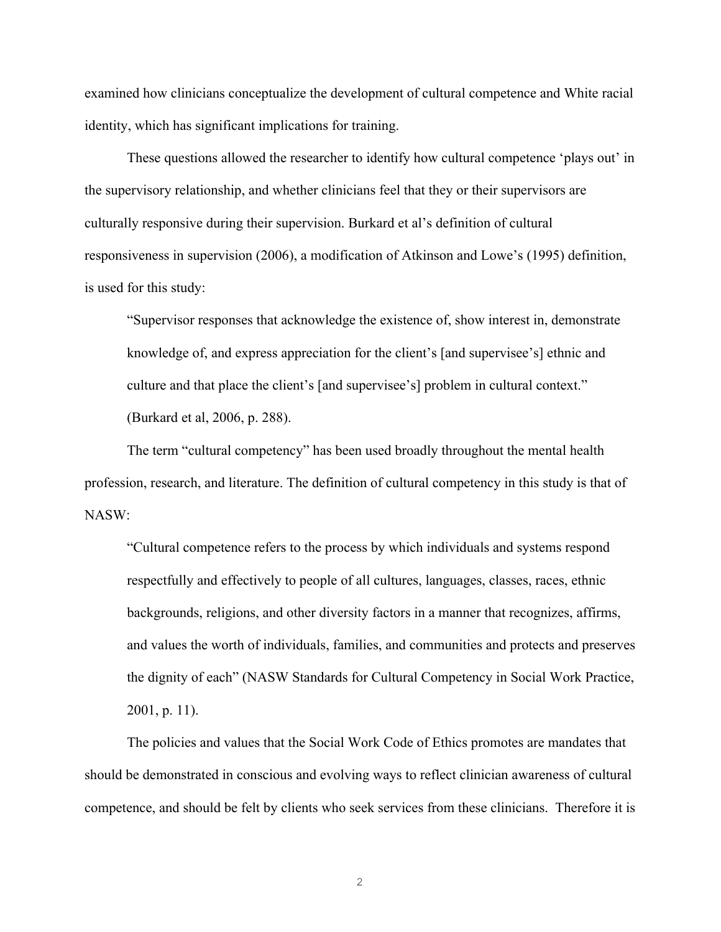examined how clinicians conceptualize the development of cultural competence and White racial identity, which has significant implications for training.

These questions allowed the researcher to identify how cultural competence 'plays out' in the supervisory relationship, and whether clinicians feel that they or their supervisors are culturally responsive during their supervision. Burkard et al's definition of cultural responsiveness in supervision (2006), a modification of Atkinson and Lowe's (1995) definition, is used for this study:

"Supervisor responses that acknowledge the existence of, show interest in, demonstrate knowledge of, and express appreciation for the client's [and supervisee's] ethnic and culture and that place the client's [and supervisee's] problem in cultural context." (Burkard et al, 2006, p. 288).

The term "cultural competency" has been used broadly throughout the mental health profession, research, and literature. The definition of cultural competency in this study is that of NASW:

"Cultural competence refers to the process by which individuals and systems respond respectfully and effectively to people of all cultures, languages, classes, races, ethnic backgrounds, religions, and other diversity factors in a manner that recognizes, affirms, and values the worth of individuals, families, and communities and protects and preserves the dignity of each" (NASW Standards for Cultural Competency in Social Work Practice, 2001, p. 11).

The policies and values that the Social Work Code of Ethics promotes are mandates that should be demonstrated in conscious and evolving ways to reflect clinician awareness of cultural competence, and should be felt by clients who seek services from these clinicians. Therefore it is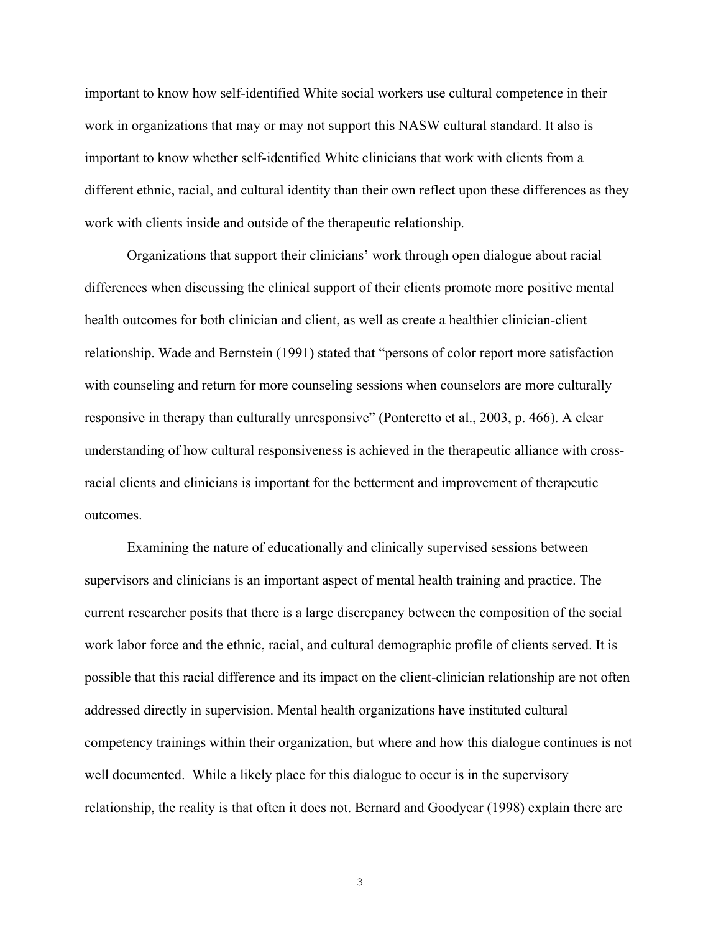important to know how self-identified White social workers use cultural competence in their work in organizations that may or may not support this NASW cultural standard. It also is important to know whether self-identified White clinicians that work with clients from a different ethnic, racial, and cultural identity than their own reflect upon these differences as they work with clients inside and outside of the therapeutic relationship.

Organizations that support their clinicians' work through open dialogue about racial differences when discussing the clinical support of their clients promote more positive mental health outcomes for both clinician and client, as well as create a healthier clinician-client relationship. Wade and Bernstein (1991) stated that "persons of color report more satisfaction with counseling and return for more counseling sessions when counselors are more culturally responsive in therapy than culturally unresponsive" (Ponteretto et al., 2003, p. 466). A clear understanding of how cultural responsiveness is achieved in the therapeutic alliance with crossracial clients and clinicians is important for the betterment and improvement of therapeutic outcomes.

Examining the nature of educationally and clinically supervised sessions between supervisors and clinicians is an important aspect of mental health training and practice. The current researcher posits that there is a large discrepancy between the composition of the social work labor force and the ethnic, racial, and cultural demographic profile of clients served. It is possible that this racial difference and its impact on the client-clinician relationship are not often addressed directly in supervision. Mental health organizations have instituted cultural competency trainings within their organization, but where and how this dialogue continues is not well documented. While a likely place for this dialogue to occur is in the supervisory relationship, the reality is that often it does not. Bernard and Goodyear (1998) explain there are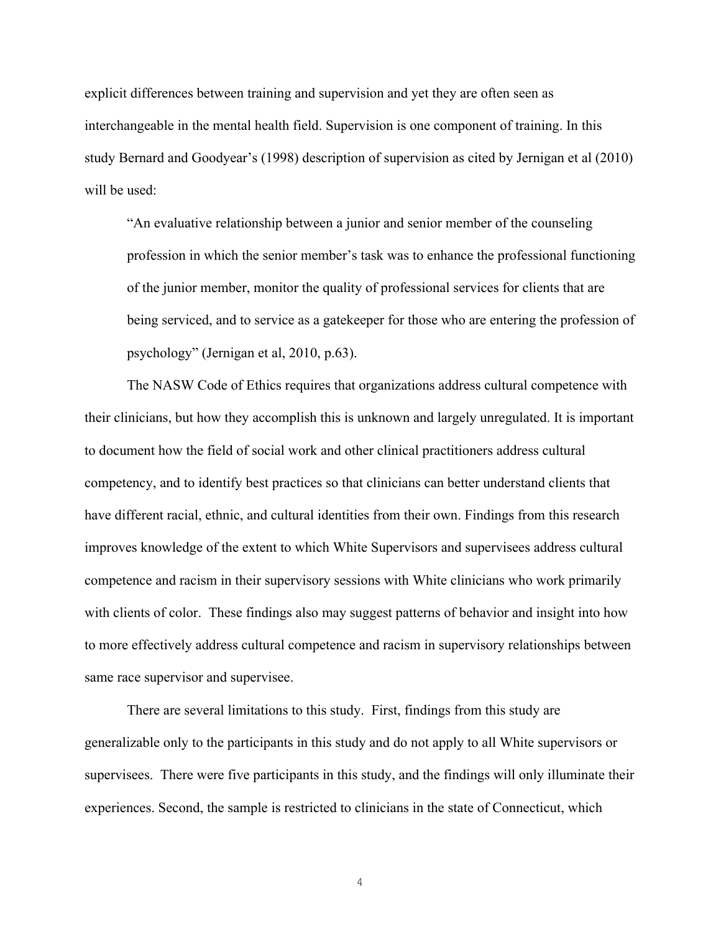explicit differences between training and supervision and yet they are often seen as interchangeable in the mental health field. Supervision is one component of training. In this study Bernard and Goodyear's (1998) description of supervision as cited by Jernigan et al (2010) will be used:

"An evaluative relationship between a junior and senior member of the counseling profession in which the senior member's task was to enhance the professional functioning of the junior member, monitor the quality of professional services for clients that are being serviced, and to service as a gatekeeper for those who are entering the profession of psychology" (Jernigan et al, 2010, p.63).

The NASW Code of Ethics requires that organizations address cultural competence with their clinicians, but how they accomplish this is unknown and largely unregulated. It is important to document how the field of social work and other clinical practitioners address cultural competency, and to identify best practices so that clinicians can better understand clients that have different racial, ethnic, and cultural identities from their own. Findings from this research improves knowledge of the extent to which White Supervisors and supervisees address cultural competence and racism in their supervisory sessions with White clinicians who work primarily with clients of color. These findings also may suggest patterns of behavior and insight into how to more effectively address cultural competence and racism in supervisory relationships between same race supervisor and supervisee.

There are several limitations to this study. First, findings from this study are generalizable only to the participants in this study and do not apply to all White supervisors or supervisees. There were five participants in this study, and the findings will only illuminate their experiences. Second, the sample is restricted to clinicians in the state of Connecticut, which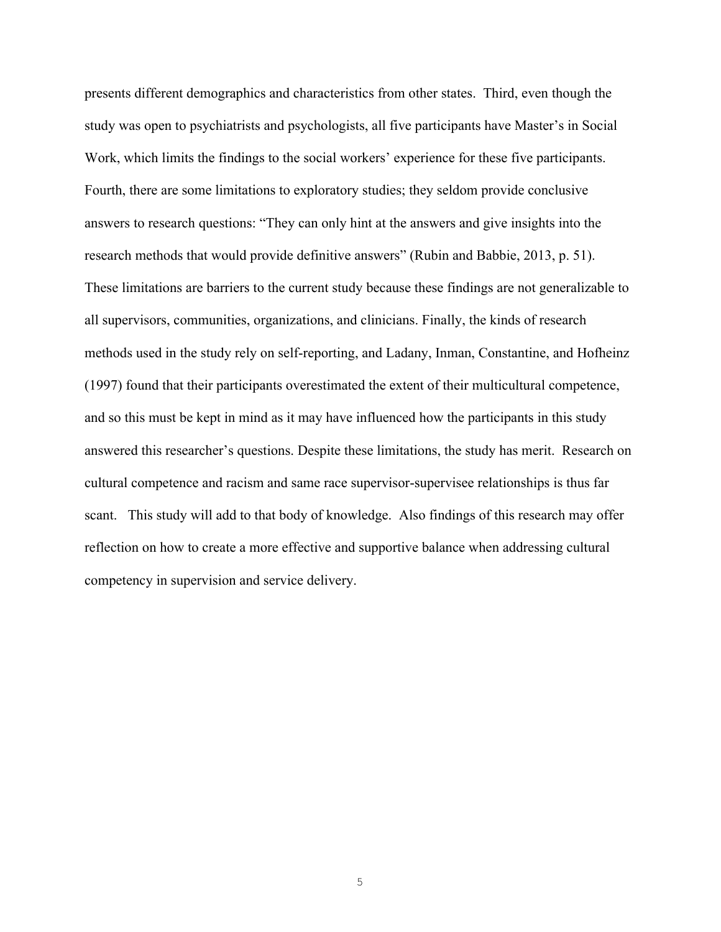presents different demographics and characteristics from other states. Third, even though the study was open to psychiatrists and psychologists, all five participants have Master's in Social Work, which limits the findings to the social workers' experience for these five participants. Fourth, there are some limitations to exploratory studies; they seldom provide conclusive answers to research questions: "They can only hint at the answers and give insights into the research methods that would provide definitive answers" (Rubin and Babbie, 2013, p. 51). These limitations are barriers to the current study because these findings are not generalizable to all supervisors, communities, organizations, and clinicians. Finally, the kinds of research methods used in the study rely on self-reporting, and Ladany, Inman, Constantine, and Hofheinz (1997) found that their participants overestimated the extent of their multicultural competence, and so this must be kept in mind as it may have influenced how the participants in this study answered this researcher's questions. Despite these limitations, the study has merit. Research on cultural competence and racism and same race supervisor-supervisee relationships is thus far scant. This study will add to that body of knowledge. Also findings of this research may offer reflection on how to create a more effective and supportive balance when addressing cultural competency in supervision and service delivery.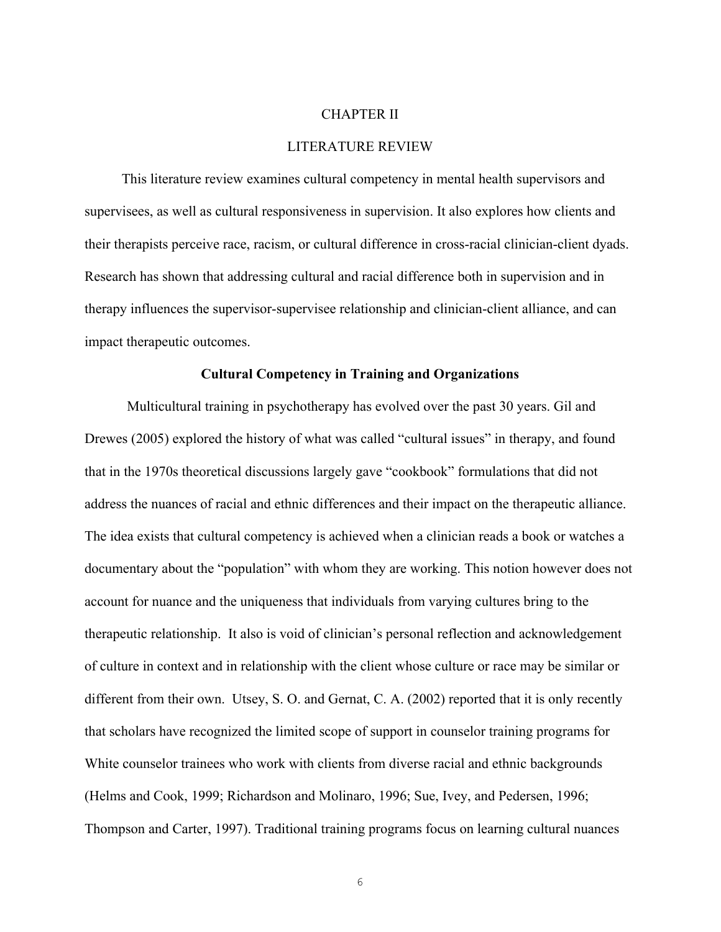#### CHAPTER II

#### LITERATURE REVIEW

This literature review examines cultural competency in mental health supervisors and supervisees, as well as cultural responsiveness in supervision. It also explores how clients and their therapists perceive race, racism, or cultural difference in cross-racial clinician-client dyads. Research has shown that addressing cultural and racial difference both in supervision and in therapy influences the supervisor-supervisee relationship and clinician-client alliance, and can impact therapeutic outcomes.

#### **Cultural Competency in Training and Organizations**

Multicultural training in psychotherapy has evolved over the past 30 years. Gil and Drewes (2005) explored the history of what was called "cultural issues" in therapy, and found that in the 1970s theoretical discussions largely gave "cookbook" formulations that did not address the nuances of racial and ethnic differences and their impact on the therapeutic alliance. The idea exists that cultural competency is achieved when a clinician reads a book or watches a documentary about the "population" with whom they are working. This notion however does not account for nuance and the uniqueness that individuals from varying cultures bring to the therapeutic relationship. It also is void of clinician's personal reflection and acknowledgement of culture in context and in relationship with the client whose culture or race may be similar or different from their own. Utsey, S. O. and Gernat, C. A. (2002) reported that it is only recently that scholars have recognized the limited scope of support in counselor training programs for White counselor trainees who work with clients from diverse racial and ethnic backgrounds (Helms and Cook, 1999; Richardson and Molinaro, 1996; Sue, Ivey, and Pedersen, 1996; Thompson and Carter, 1997). Traditional training programs focus on learning cultural nuances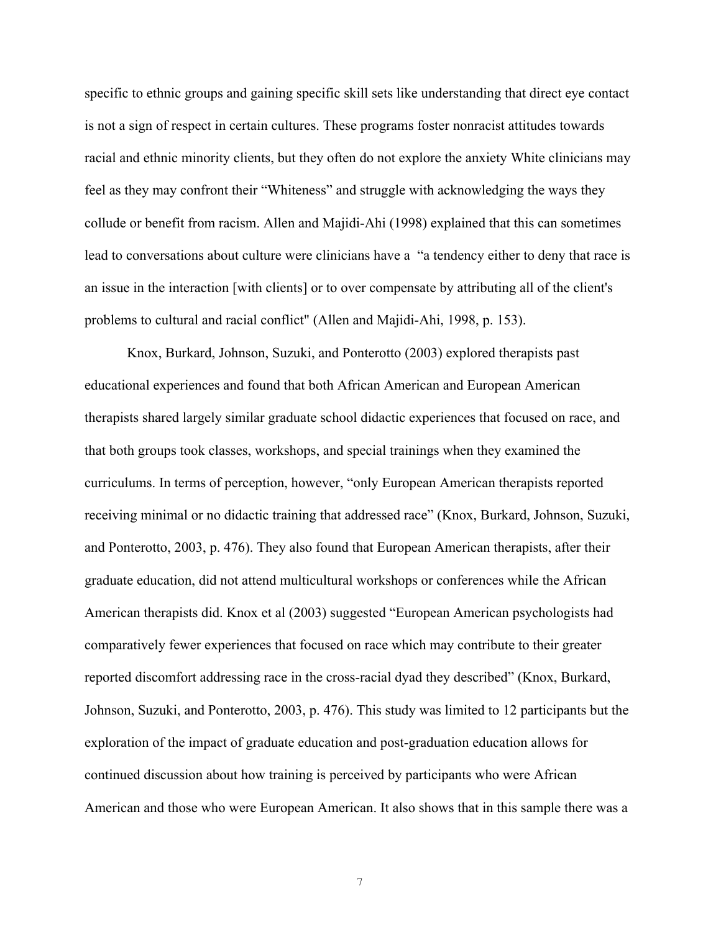specific to ethnic groups and gaining specific skill sets like understanding that direct eye contact is not a sign of respect in certain cultures. These programs foster nonracist attitudes towards racial and ethnic minority clients, but they often do not explore the anxiety White clinicians may feel as they may confront their "Whiteness" and struggle with acknowledging the ways they collude or benefit from racism. Allen and Majidi-Ahi (1998) explained that this can sometimes lead to conversations about culture were clinicians have a "a tendency either to deny that race is an issue in the interaction [with clients] or to over compensate by attributing all of the client's problems to cultural and racial conflict" (Allen and Majidi-Ahi, 1998, p. 153).

Knox, Burkard, Johnson, Suzuki, and Ponterotto (2003) explored therapists past educational experiences and found that both African American and European American therapists shared largely similar graduate school didactic experiences that focused on race, and that both groups took classes, workshops, and special trainings when they examined the curriculums. In terms of perception, however, "only European American therapists reported receiving minimal or no didactic training that addressed race" (Knox, Burkard, Johnson, Suzuki, and Ponterotto, 2003, p. 476). They also found that European American therapists, after their graduate education, did not attend multicultural workshops or conferences while the African American therapists did. Knox et al (2003) suggested "European American psychologists had comparatively fewer experiences that focused on race which may contribute to their greater reported discomfort addressing race in the cross-racial dyad they described" (Knox, Burkard, Johnson, Suzuki, and Ponterotto, 2003, p. 476). This study was limited to 12 participants but the exploration of the impact of graduate education and post-graduation education allows for continued discussion about how training is perceived by participants who were African American and those who were European American. It also shows that in this sample there was a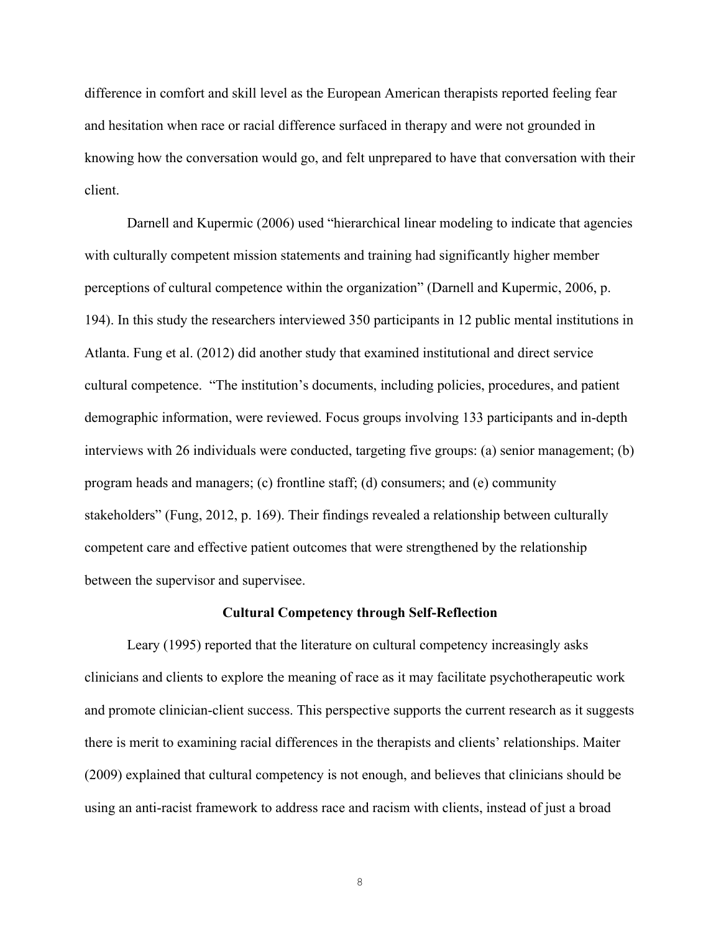difference in comfort and skill level as the European American therapists reported feeling fear and hesitation when race or racial difference surfaced in therapy and were not grounded in knowing how the conversation would go, and felt unprepared to have that conversation with their client.

Darnell and Kupermic (2006) used "hierarchical linear modeling to indicate that agencies with culturally competent mission statements and training had significantly higher member perceptions of cultural competence within the organization" (Darnell and Kupermic, 2006, p. 194). In this study the researchers interviewed 350 participants in 12 public mental institutions in Atlanta. Fung et al. (2012) did another study that examined institutional and direct service cultural competence. "The institution's documents, including policies, procedures, and patient demographic information, were reviewed. Focus groups involving 133 participants and in-depth interviews with 26 individuals were conducted, targeting five groups: (a) senior management; (b) program heads and managers; (c) frontline staff; (d) consumers; and (e) community stakeholders" (Fung, 2012, p. 169). Their findings revealed a relationship between culturally competent care and effective patient outcomes that were strengthened by the relationship between the supervisor and supervisee.

#### **Cultural Competency through Self-Reflection**

Leary (1995) reported that the literature on cultural competency increasingly asks clinicians and clients to explore the meaning of race as it may facilitate psychotherapeutic work and promote clinician-client success. This perspective supports the current research as it suggests there is merit to examining racial differences in the therapists and clients' relationships. Maiter (2009) explained that cultural competency is not enough, and believes that clinicians should be using an anti-racist framework to address race and racism with clients, instead of just a broad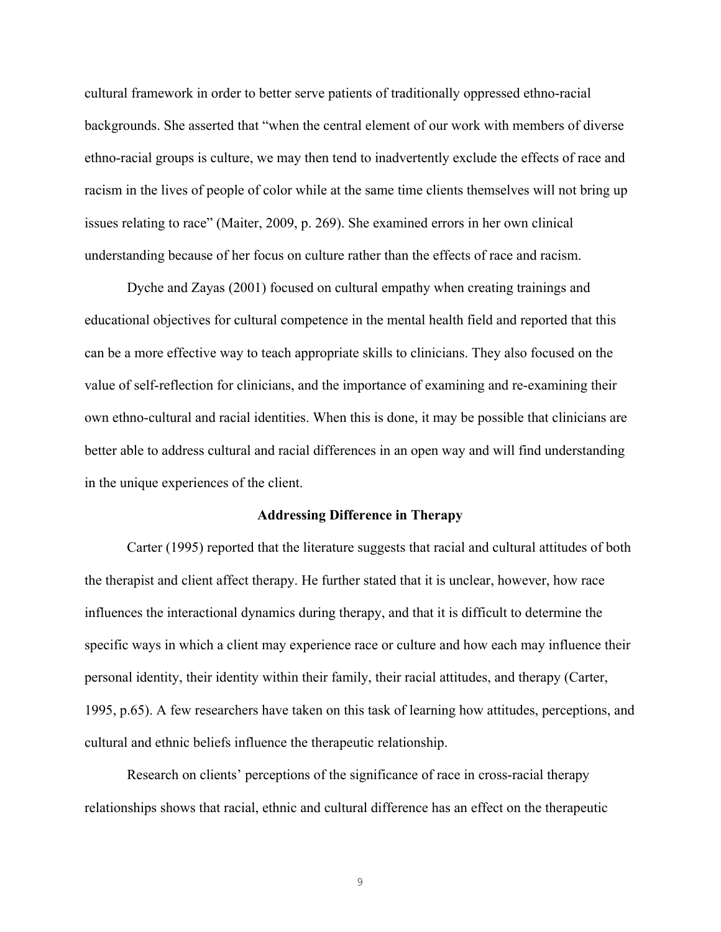cultural framework in order to better serve patients of traditionally oppressed ethno-racial backgrounds. She asserted that "when the central element of our work with members of diverse ethno-racial groups is culture, we may then tend to inadvertently exclude the effects of race and racism in the lives of people of color while at the same time clients themselves will not bring up issues relating to race" (Maiter, 2009, p. 269). She examined errors in her own clinical understanding because of her focus on culture rather than the effects of race and racism.

Dyche and Zayas (2001) focused on cultural empathy when creating trainings and educational objectives for cultural competence in the mental health field and reported that this can be a more effective way to teach appropriate skills to clinicians. They also focused on the value of self-reflection for clinicians, and the importance of examining and re-examining their own ethno-cultural and racial identities. When this is done, it may be possible that clinicians are better able to address cultural and racial differences in an open way and will find understanding in the unique experiences of the client.

#### **Addressing Difference in Therapy**

Carter (1995) reported that the literature suggests that racial and cultural attitudes of both the therapist and client affect therapy. He further stated that it is unclear, however, how race influences the interactional dynamics during therapy, and that it is difficult to determine the specific ways in which a client may experience race or culture and how each may influence their personal identity, their identity within their family, their racial attitudes, and therapy (Carter, 1995, p.65). A few researchers have taken on this task of learning how attitudes, perceptions, and cultural and ethnic beliefs influence the therapeutic relationship.

Research on clients' perceptions of the significance of race in cross-racial therapy relationships shows that racial, ethnic and cultural difference has an effect on the therapeutic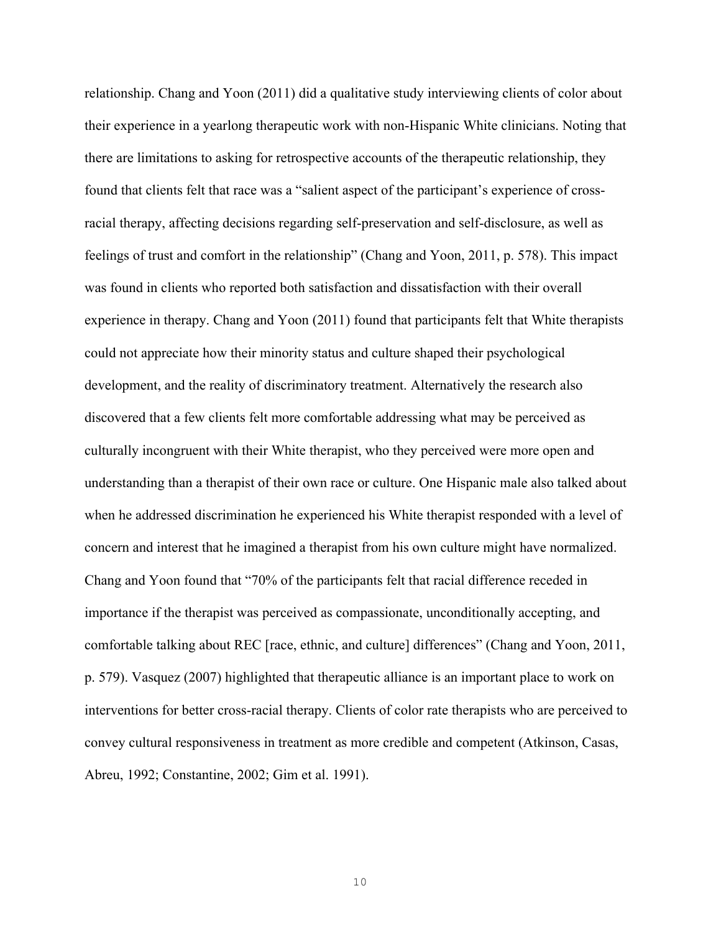relationship. Chang and Yoon (2011) did a qualitative study interviewing clients of color about their experience in a yearlong therapeutic work with non-Hispanic White clinicians. Noting that there are limitations to asking for retrospective accounts of the therapeutic relationship, they found that clients felt that race was a "salient aspect of the participant's experience of crossracial therapy, affecting decisions regarding self-preservation and self-disclosure, as well as feelings of trust and comfort in the relationship" (Chang and Yoon, 2011, p. 578). This impact was found in clients who reported both satisfaction and dissatisfaction with their overall experience in therapy. Chang and Yoon (2011) found that participants felt that White therapists could not appreciate how their minority status and culture shaped their psychological development, and the reality of discriminatory treatment. Alternatively the research also discovered that a few clients felt more comfortable addressing what may be perceived as culturally incongruent with their White therapist, who they perceived were more open and understanding than a therapist of their own race or culture. One Hispanic male also talked about when he addressed discrimination he experienced his White therapist responded with a level of concern and interest that he imagined a therapist from his own culture might have normalized. Chang and Yoon found that "70% of the participants felt that racial difference receded in importance if the therapist was perceived as compassionate, unconditionally accepting, and comfortable talking about REC [race, ethnic, and culture] differences" (Chang and Yoon, 2011, p. 579). Vasquez (2007) highlighted that therapeutic alliance is an important place to work on interventions for better cross-racial therapy. Clients of color rate therapists who are perceived to convey cultural responsiveness in treatment as more credible and competent (Atkinson, Casas, Abreu, 1992; Constantine, 2002; Gim et al. 1991).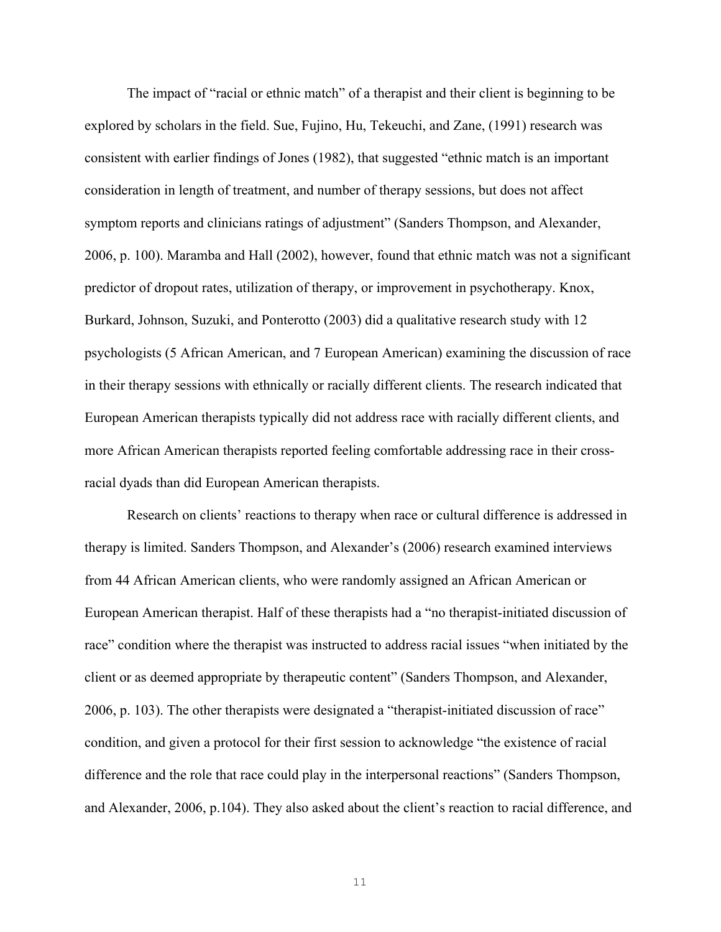The impact of "racial or ethnic match" of a therapist and their client is beginning to be explored by scholars in the field. Sue, Fujino, Hu, Tekeuchi, and Zane, (1991) research was consistent with earlier findings of Jones (1982), that suggested "ethnic match is an important consideration in length of treatment, and number of therapy sessions, but does not affect symptom reports and clinicians ratings of adjustment" (Sanders Thompson, and Alexander, 2006, p. 100). Maramba and Hall (2002), however, found that ethnic match was not a significant predictor of dropout rates, utilization of therapy, or improvement in psychotherapy. Knox, Burkard, Johnson, Suzuki, and Ponterotto (2003) did a qualitative research study with 12 psychologists (5 African American, and 7 European American) examining the discussion of race in their therapy sessions with ethnically or racially different clients. The research indicated that European American therapists typically did not address race with racially different clients, and more African American therapists reported feeling comfortable addressing race in their crossracial dyads than did European American therapists.

Research on clients' reactions to therapy when race or cultural difference is addressed in therapy is limited. Sanders Thompson, and Alexander's (2006) research examined interviews from 44 African American clients, who were randomly assigned an African American or European American therapist. Half of these therapists had a "no therapist-initiated discussion of race" condition where the therapist was instructed to address racial issues "when initiated by the client or as deemed appropriate by therapeutic content" (Sanders Thompson, and Alexander, 2006, p. 103). The other therapists were designated a "therapist-initiated discussion of race" condition, and given a protocol for their first session to acknowledge "the existence of racial difference and the role that race could play in the interpersonal reactions" (Sanders Thompson, and Alexander, 2006, p.104). They also asked about the client's reaction to racial difference, and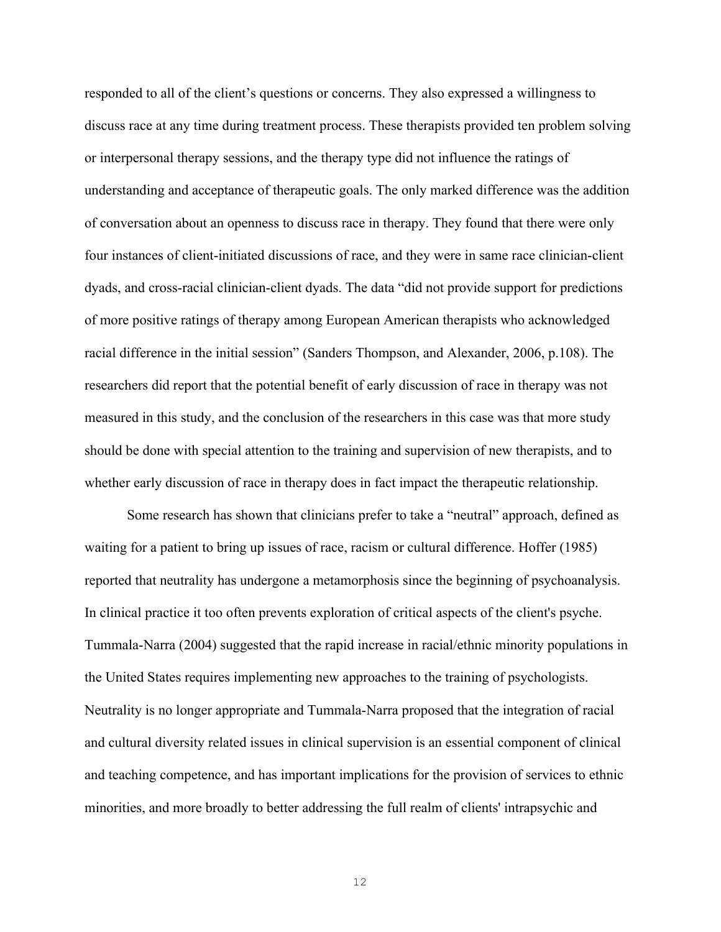responded to all of the client's questions or concerns. They also expressed a willingness to discuss race at any time during treatment process. These therapists provided ten problem solving or interpersonal therapy sessions, and the therapy type did not influence the ratings of understanding and acceptance of therapeutic goals. The only marked difference was the addition of conversation about an openness to discuss race in therapy. They found that there were only four instances of client-initiated discussions of race, and they were in same race clinician-client dyads, and cross-racial clinician-client dyads. The data "did not provide support for predictions of more positive ratings of therapy among European American therapists who acknowledged racial difference in the initial session" (Sanders Thompson, and Alexander, 2006, p.108). The researchers did report that the potential benefit of early discussion of race in therapy was not measured in this study, and the conclusion of the researchers in this case was that more study should be done with special attention to the training and supervision of new therapists, and to whether early discussion of race in therapy does in fact impact the therapeutic relationship.

Some research has shown that clinicians prefer to take a "neutral" approach, defined as waiting for a patient to bring up issues of race, racism or cultural difference. Hoffer (1985) reported that neutrality has undergone a metamorphosis since the beginning of psychoanalysis. In clinical practice it too often prevents exploration of critical aspects of the client's psyche. Tummala-Narra (2004) suggested that the rapid increase in racial/ethnic minority populations in the United States requires implementing new approaches to the training of psychologists. Neutrality is no longer appropriate and Tummala-Narra proposed that the integration of racial and cultural diversity related issues in clinical supervision is an essential component of clinical and teaching competence, and has important implications for the provision of services to ethnic minorities, and more broadly to better addressing the full realm of clients' intrapsychic and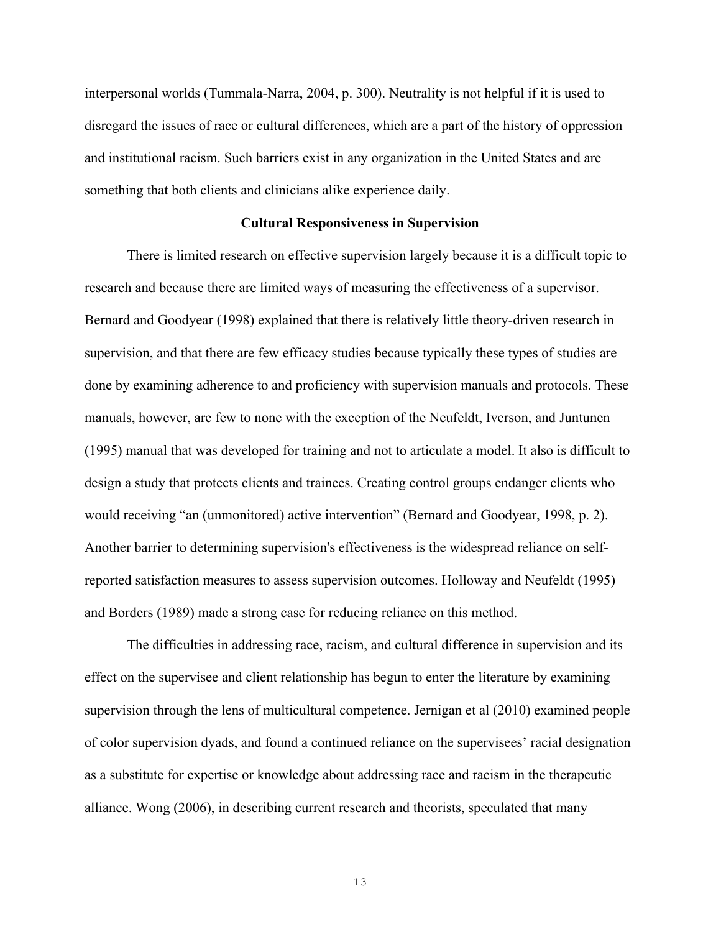interpersonal worlds (Tummala-Narra, 2004, p. 300). Neutrality is not helpful if it is used to disregard the issues of race or cultural differences, which are a part of the history of oppression and institutional racism. Such barriers exist in any organization in the United States and are something that both clients and clinicians alike experience daily.

#### **Cultural Responsiveness in Supervision**

There is limited research on effective supervision largely because it is a difficult topic to research and because there are limited ways of measuring the effectiveness of a supervisor. Bernard and Goodyear (1998) explained that there is relatively little theory-driven research in supervision, and that there are few efficacy studies because typically these types of studies are done by examining adherence to and proficiency with supervision manuals and protocols. These manuals, however, are few to none with the exception of the Neufeldt, Iverson, and Juntunen (1995) manual that was developed for training and not to articulate a model. It also is difficult to design a study that protects clients and trainees. Creating control groups endanger clients who would receiving "an (unmonitored) active intervention" (Bernard and Goodyear, 1998, p. 2). Another barrier to determining supervision's effectiveness is the widespread reliance on selfreported satisfaction measures to assess supervision outcomes. Holloway and Neufeldt (1995) and Borders (1989) made a strong case for reducing reliance on this method.

The difficulties in addressing race, racism, and cultural difference in supervision and its effect on the supervisee and client relationship has begun to enter the literature by examining supervision through the lens of multicultural competence. Jernigan et al (2010) examined people of color supervision dyads, and found a continued reliance on the supervisees' racial designation as a substitute for expertise or knowledge about addressing race and racism in the therapeutic alliance. Wong (2006), in describing current research and theorists, speculated that many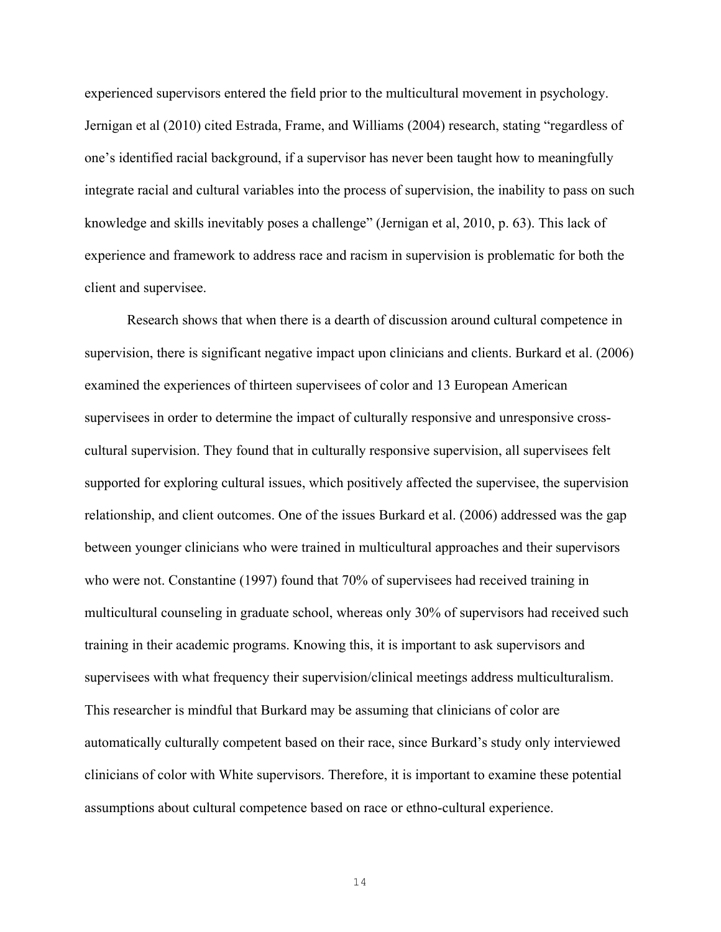experienced supervisors entered the field prior to the multicultural movement in psychology. Jernigan et al (2010) cited Estrada, Frame, and Williams (2004) research, stating "regardless of one's identified racial background, if a supervisor has never been taught how to meaningfully integrate racial and cultural variables into the process of supervision, the inability to pass on such knowledge and skills inevitably poses a challenge" (Jernigan et al, 2010, p. 63). This lack of experience and framework to address race and racism in supervision is problematic for both the client and supervisee.

Research shows that when there is a dearth of discussion around cultural competence in supervision, there is significant negative impact upon clinicians and clients. Burkard et al. (2006) examined the experiences of thirteen supervisees of color and 13 European American supervisees in order to determine the impact of culturally responsive and unresponsive crosscultural supervision. They found that in culturally responsive supervision, all supervisees felt supported for exploring cultural issues, which positively affected the supervisee, the supervision relationship, and client outcomes. One of the issues Burkard et al. (2006) addressed was the gap between younger clinicians who were trained in multicultural approaches and their supervisors who were not. Constantine (1997) found that 70% of supervisees had received training in multicultural counseling in graduate school, whereas only 30% of supervisors had received such training in their academic programs. Knowing this, it is important to ask supervisors and supervisees with what frequency their supervision/clinical meetings address multiculturalism. This researcher is mindful that Burkard may be assuming that clinicians of color are automatically culturally competent based on their race, since Burkard's study only interviewed clinicians of color with White supervisors. Therefore, it is important to examine these potential assumptions about cultural competence based on race or ethno-cultural experience.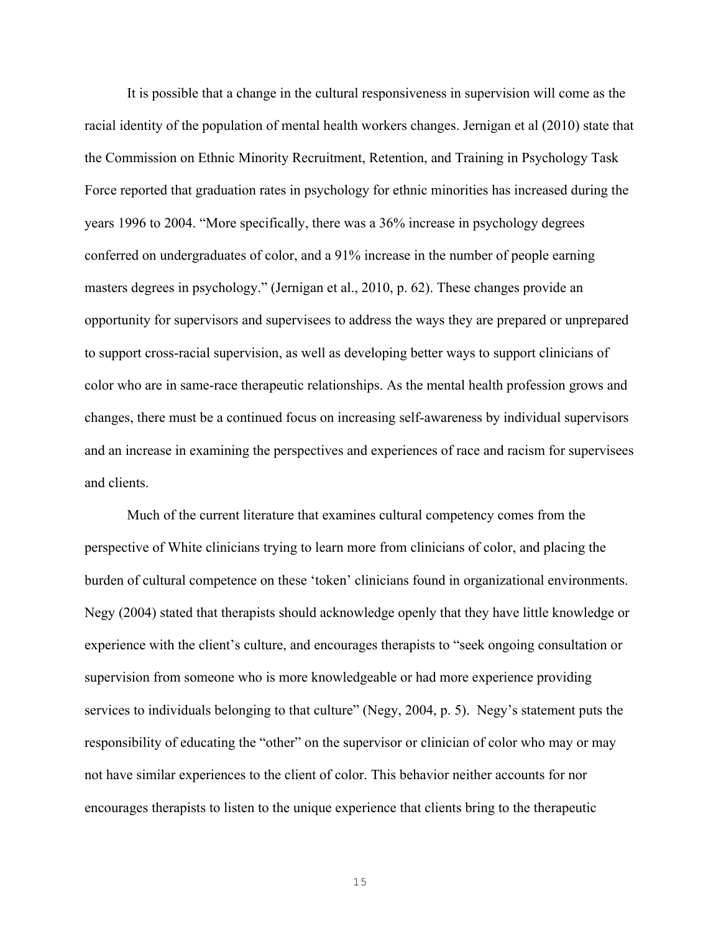It is possible that a change in the cultural responsiveness in supervision will come as the racial identity of the population of mental health workers changes. Jernigan et al (2010) state that the Commission on Ethnic Minority Recruitment, Retention, and Training in Psychology Task Force reported that graduation rates in psychology for ethnic minorities has increased during the years 1996 to 2004. "More specifically, there was a 36% increase in psychology degrees conferred on undergraduates of color, and a 91% increase in the number of people earning masters degrees in psychology." (Jernigan et al., 2010, p. 62). These changes provide an opportunity for supervisors and supervisees to address the ways they are prepared or unprepared to support cross-racial supervision, as well as developing better ways to support clinicians of color who are in same-race therapeutic relationships. As the mental health profession grows and changes, there must be a continued focus on increasing self-awareness by individual supervisors and an increase in examining the perspectives and experiences of race and racism for supervisees and clients.

Much of the current literature that examines cultural competency comes from the perspective of White clinicians trying to learn more from clinicians of color, and placing the burden of cultural competence on these 'token' clinicians found in organizational environments. Negy (2004) stated that therapists should acknowledge openly that they have little knowledge or experience with the client's culture, and encourages therapists to "seek ongoing consultation or supervision from someone who is more knowledgeable or had more experience providing services to individuals belonging to that culture" (Negy, 2004, p. 5). Negy's statement puts the responsibility of educating the "other" on the supervisor or clinician of color who may or may not have similar experiences to the client of color. This behavior neither accounts for nor encourages therapists to listen to the unique experience that clients bring to the therapeutic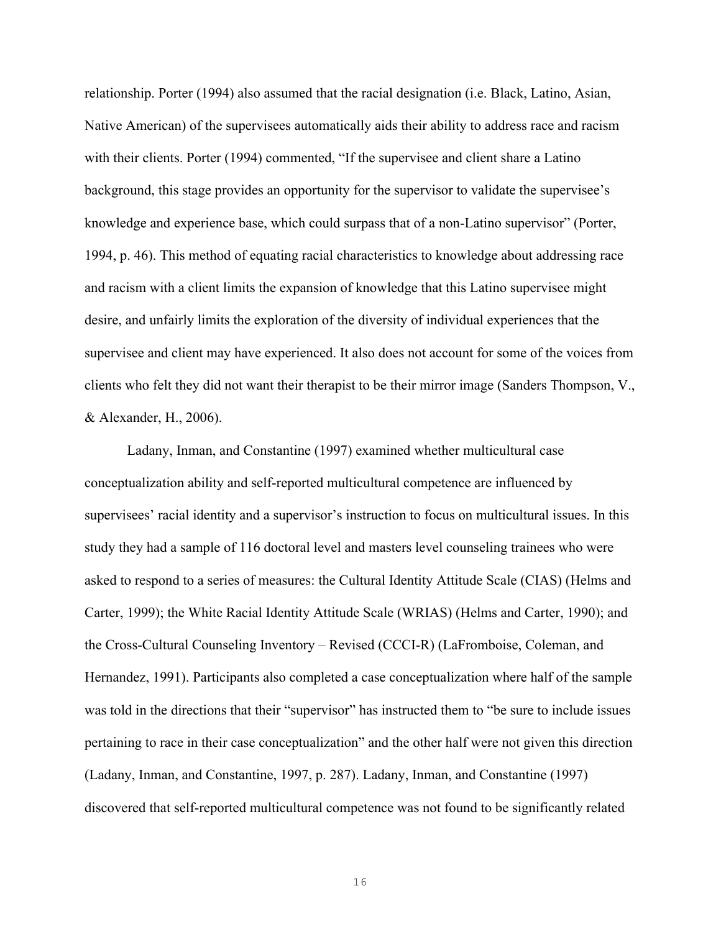relationship. Porter (1994) also assumed that the racial designation (i.e. Black, Latino, Asian, Native American) of the supervisees automatically aids their ability to address race and racism with their clients. Porter (1994) commented, "If the supervisee and client share a Latino background, this stage provides an opportunity for the supervisor to validate the supervisee's knowledge and experience base, which could surpass that of a non-Latino supervisor" (Porter, 1994, p. 46). This method of equating racial characteristics to knowledge about addressing race and racism with a client limits the expansion of knowledge that this Latino supervisee might desire, and unfairly limits the exploration of the diversity of individual experiences that the supervisee and client may have experienced. It also does not account for some of the voices from clients who felt they did not want their therapist to be their mirror image (Sanders Thompson, V., & Alexander, H., 2006).

Ladany, Inman, and Constantine (1997) examined whether multicultural case conceptualization ability and self-reported multicultural competence are influenced by supervisees' racial identity and a supervisor's instruction to focus on multicultural issues. In this study they had a sample of 116 doctoral level and masters level counseling trainees who were asked to respond to a series of measures: the Cultural Identity Attitude Scale (CIAS) (Helms and Carter, 1999); the White Racial Identity Attitude Scale (WRIAS) (Helms and Carter, 1990); and the Cross-Cultural Counseling Inventory – Revised (CCCI-R) (LaFromboise, Coleman, and Hernandez, 1991). Participants also completed a case conceptualization where half of the sample was told in the directions that their "supervisor" has instructed them to "be sure to include issues pertaining to race in their case conceptualization" and the other half were not given this direction (Ladany, Inman, and Constantine, 1997, p. 287). Ladany, Inman, and Constantine (1997) discovered that self-reported multicultural competence was not found to be significantly related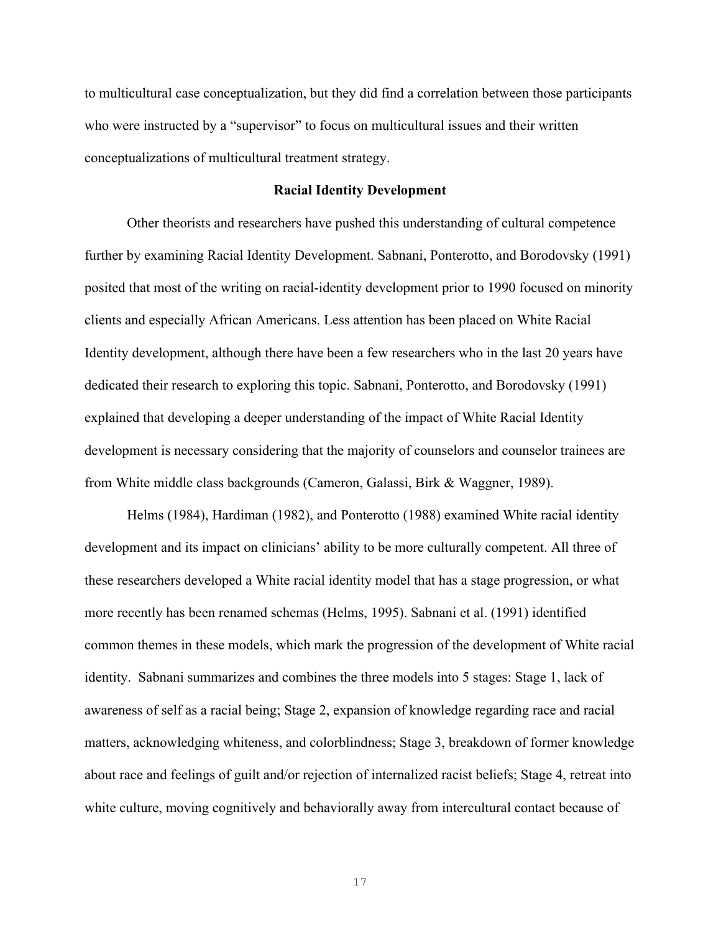to multicultural case conceptualization, but they did find a correlation between those participants who were instructed by a "supervisor" to focus on multicultural issues and their written conceptualizations of multicultural treatment strategy.

#### **Racial Identity Development**

Other theorists and researchers have pushed this understanding of cultural competence further by examining Racial Identity Development. Sabnani, Ponterotto, and Borodovsky (1991) posited that most of the writing on racial-identity development prior to 1990 focused on minority clients and especially African Americans. Less attention has been placed on White Racial Identity development, although there have been a few researchers who in the last 20 years have dedicated their research to exploring this topic. Sabnani, Ponterotto, and Borodovsky (1991) explained that developing a deeper understanding of the impact of White Racial Identity development is necessary considering that the majority of counselors and counselor trainees are from White middle class backgrounds (Cameron, Galassi, Birk & Waggner, 1989).

Helms (1984), Hardiman (1982), and Ponterotto (1988) examined White racial identity development and its impact on clinicians' ability to be more culturally competent. All three of these researchers developed a White racial identity model that has a stage progression, or what more recently has been renamed schemas (Helms, 1995). Sabnani et al. (1991) identified common themes in these models, which mark the progression of the development of White racial identity. Sabnani summarizes and combines the three models into 5 stages: Stage 1, lack of awareness of self as a racial being; Stage 2, expansion of knowledge regarding race and racial matters, acknowledging whiteness, and colorblindness; Stage 3, breakdown of former knowledge about race and feelings of guilt and/or rejection of internalized racist beliefs; Stage 4, retreat into white culture, moving cognitively and behaviorally away from intercultural contact because of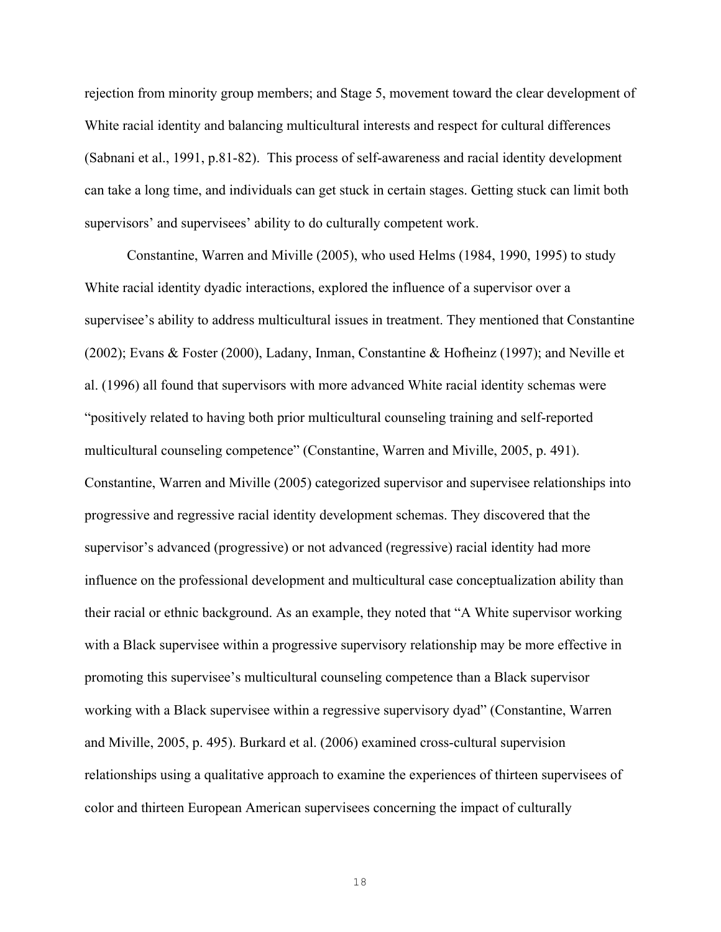rejection from minority group members; and Stage 5, movement toward the clear development of White racial identity and balancing multicultural interests and respect for cultural differences (Sabnani et al., 1991, p.81-82). This process of self-awareness and racial identity development can take a long time, and individuals can get stuck in certain stages. Getting stuck can limit both supervisors' and supervisees' ability to do culturally competent work.

Constantine, Warren and Miville (2005), who used Helms (1984, 1990, 1995) to study White racial identity dyadic interactions, explored the influence of a supervisor over a supervisee's ability to address multicultural issues in treatment. They mentioned that Constantine (2002); Evans & Foster (2000), Ladany, Inman, Constantine & Hofheinz (1997); and Neville et al. (1996) all found that supervisors with more advanced White racial identity schemas were "positively related to having both prior multicultural counseling training and self-reported multicultural counseling competence" (Constantine, Warren and Miville, 2005, p. 491). Constantine, Warren and Miville (2005) categorized supervisor and supervisee relationships into progressive and regressive racial identity development schemas. They discovered that the supervisor's advanced (progressive) or not advanced (regressive) racial identity had more influence on the professional development and multicultural case conceptualization ability than their racial or ethnic background. As an example, they noted that "A White supervisor working with a Black supervisee within a progressive supervisory relationship may be more effective in promoting this supervisee's multicultural counseling competence than a Black supervisor working with a Black supervisee within a regressive supervisory dyad" (Constantine, Warren and Miville, 2005, p. 495). Burkard et al. (2006) examined cross-cultural supervision relationships using a qualitative approach to examine the experiences of thirteen supervisees of color and thirteen European American supervisees concerning the impact of culturally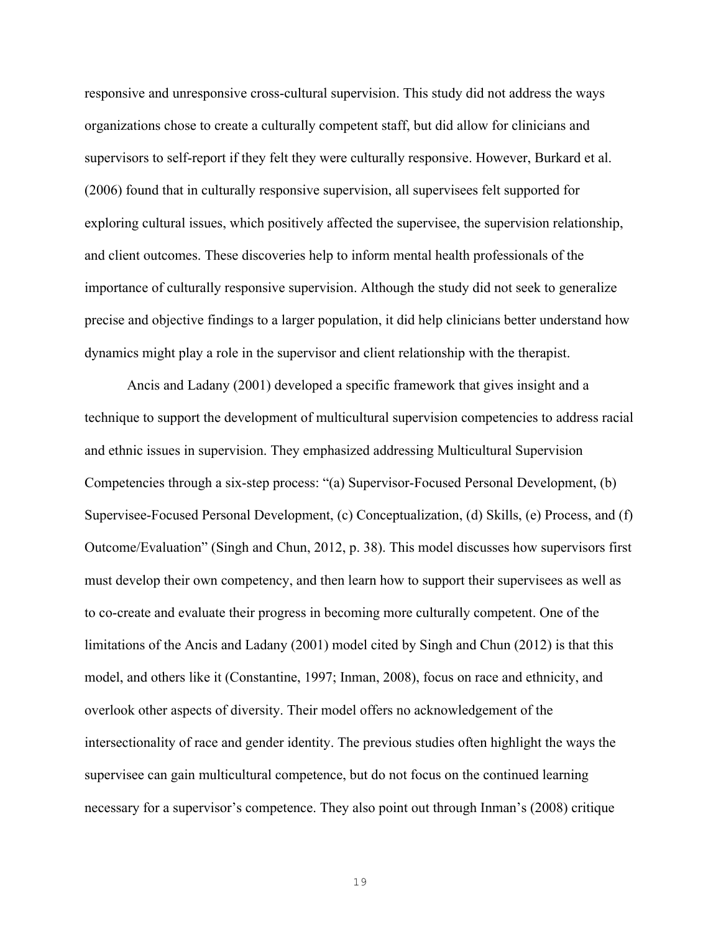responsive and unresponsive cross-cultural supervision. This study did not address the ways organizations chose to create a culturally competent staff, but did allow for clinicians and supervisors to self-report if they felt they were culturally responsive. However, Burkard et al. (2006) found that in culturally responsive supervision, all supervisees felt supported for exploring cultural issues, which positively affected the supervisee, the supervision relationship, and client outcomes. These discoveries help to inform mental health professionals of the importance of culturally responsive supervision. Although the study did not seek to generalize precise and objective findings to a larger population, it did help clinicians better understand how dynamics might play a role in the supervisor and client relationship with the therapist.

Ancis and Ladany (2001) developed a specific framework that gives insight and a technique to support the development of multicultural supervision competencies to address racial and ethnic issues in supervision. They emphasized addressing Multicultural Supervision Competencies through a six-step process: "(a) Supervisor-Focused Personal Development, (b) Supervisee-Focused Personal Development, (c) Conceptualization, (d) Skills, (e) Process, and (f) Outcome/Evaluation" (Singh and Chun, 2012, p. 38). This model discusses how supervisors first must develop their own competency, and then learn how to support their supervisees as well as to co-create and evaluate their progress in becoming more culturally competent. One of the limitations of the Ancis and Ladany (2001) model cited by Singh and Chun (2012) is that this model, and others like it (Constantine, 1997; Inman, 2008), focus on race and ethnicity, and overlook other aspects of diversity. Their model offers no acknowledgement of the intersectionality of race and gender identity. The previous studies often highlight the ways the supervisee can gain multicultural competence, but do not focus on the continued learning necessary for a supervisor's competence. They also point out through Inman's (2008) critique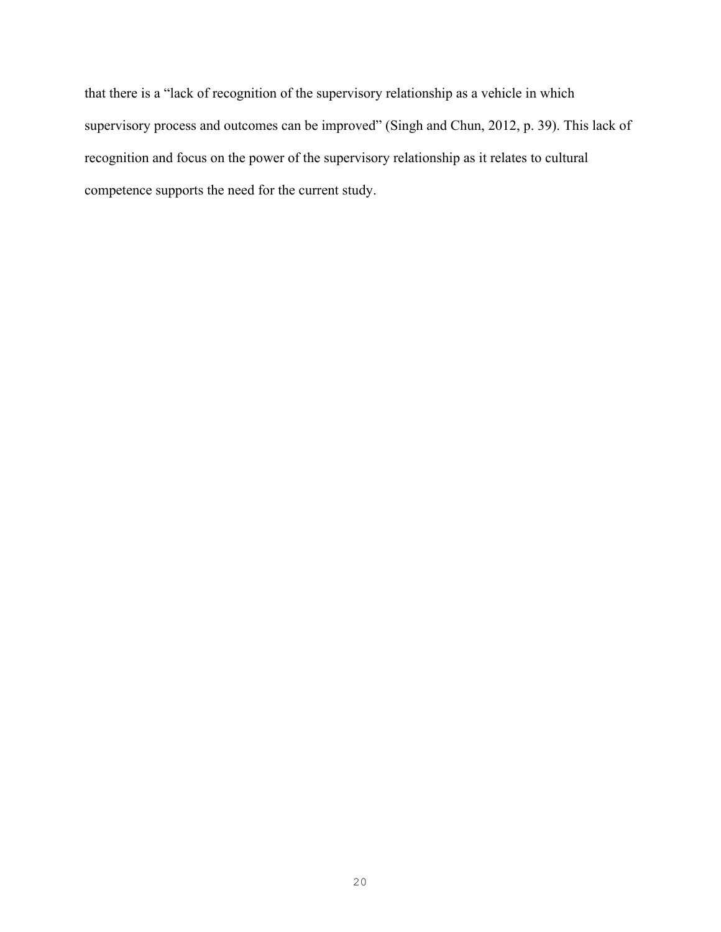that there is a "lack of recognition of the supervisory relationship as a vehicle in which supervisory process and outcomes can be improved" (Singh and Chun, 2012, p. 39). This lack of recognition and focus on the power of the supervisory relationship as it relates to cultural competence supports the need for the current study.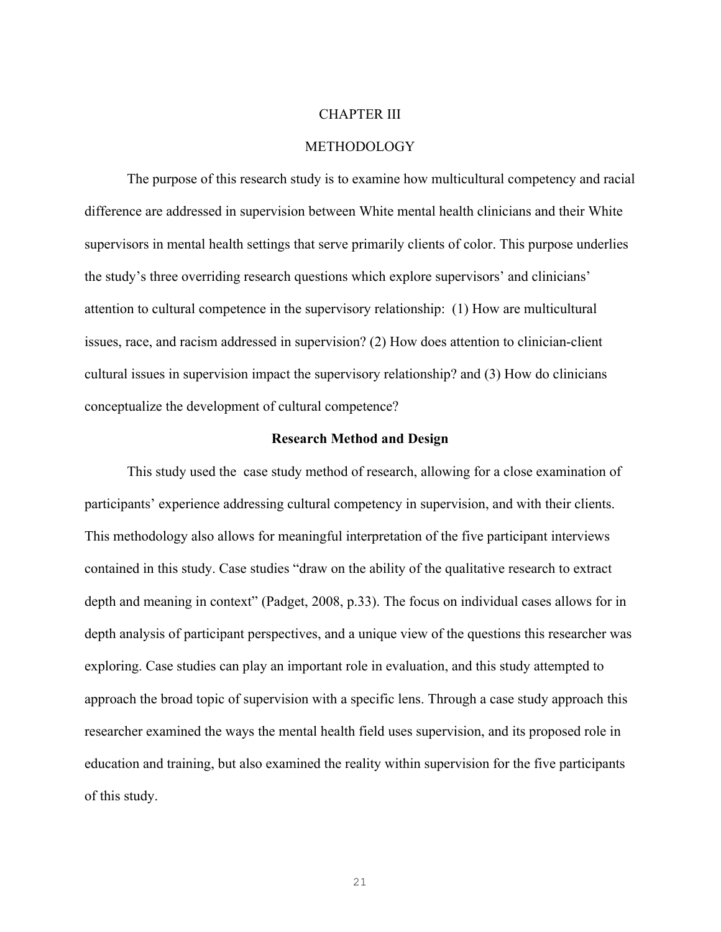#### CHAPTER III

#### **METHODOLOGY**

The purpose of this research study is to examine how multicultural competency and racial difference are addressed in supervision between White mental health clinicians and their White supervisors in mental health settings that serve primarily clients of color. This purpose underlies the study's three overriding research questions which explore supervisors' and clinicians' attention to cultural competence in the supervisory relationship: (1) How are multicultural issues, race, and racism addressed in supervision? (2) How does attention to clinician-client cultural issues in supervision impact the supervisory relationship? and (3) How do clinicians conceptualize the development of cultural competence?

#### **Research Method and Design**

This study used the case study method of research, allowing for a close examination of participants' experience addressing cultural competency in supervision, and with their clients. This methodology also allows for meaningful interpretation of the five participant interviews contained in this study. Case studies "draw on the ability of the qualitative research to extract depth and meaning in context" (Padget, 2008, p.33). The focus on individual cases allows for in depth analysis of participant perspectives, and a unique view of the questions this researcher was exploring. Case studies can play an important role in evaluation, and this study attempted to approach the broad topic of supervision with a specific lens. Through a case study approach this researcher examined the ways the mental health field uses supervision, and its proposed role in education and training, but also examined the reality within supervision for the five participants of this study.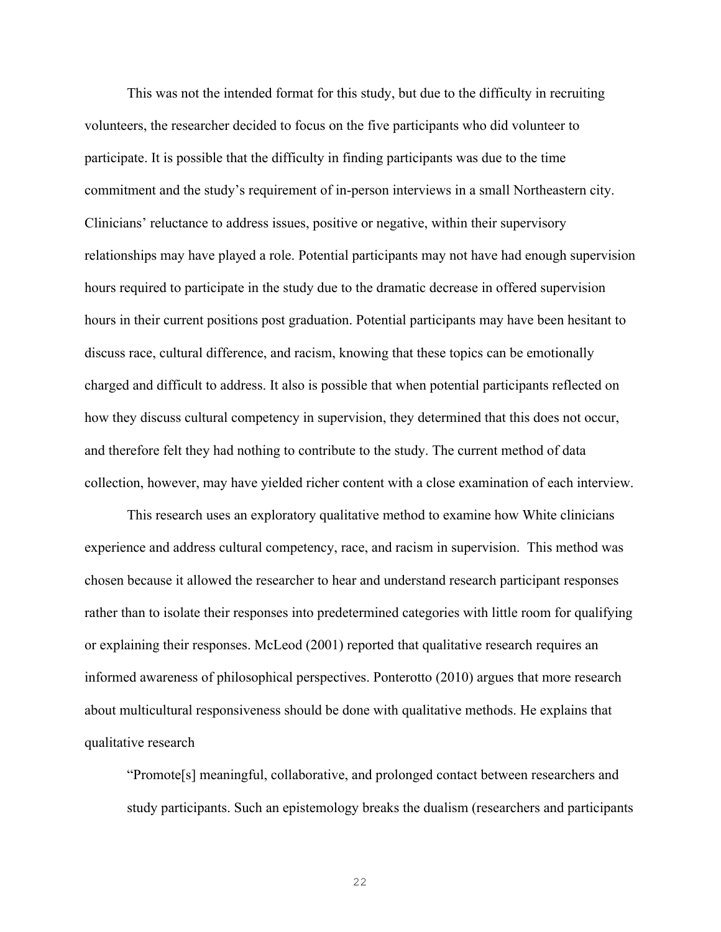This was not the intended format for this study, but due to the difficulty in recruiting volunteers, the researcher decided to focus on the five participants who did volunteer to participate. It is possible that the difficulty in finding participants was due to the time commitment and the study's requirement of in-person interviews in a small Northeastern city. Clinicians' reluctance to address issues, positive or negative, within their supervisory relationships may have played a role. Potential participants may not have had enough supervision hours required to participate in the study due to the dramatic decrease in offered supervision hours in their current positions post graduation. Potential participants may have been hesitant to discuss race, cultural difference, and racism, knowing that these topics can be emotionally charged and difficult to address. It also is possible that when potential participants reflected on how they discuss cultural competency in supervision, they determined that this does not occur, and therefore felt they had nothing to contribute to the study. The current method of data collection, however, may have yielded richer content with a close examination of each interview.

This research uses an exploratory qualitative method to examine how White clinicians experience and address cultural competency, race, and racism in supervision. This method was chosen because it allowed the researcher to hear and understand research participant responses rather than to isolate their responses into predetermined categories with little room for qualifying or explaining their responses. McLeod (2001) reported that qualitative research requires an informed awareness of philosophical perspectives. Ponterotto (2010) argues that more research about multicultural responsiveness should be done with qualitative methods. He explains that qualitative research

"Promote[s] meaningful, collaborative, and prolonged contact between researchers and study participants. Such an epistemology breaks the dualism (researchers and participants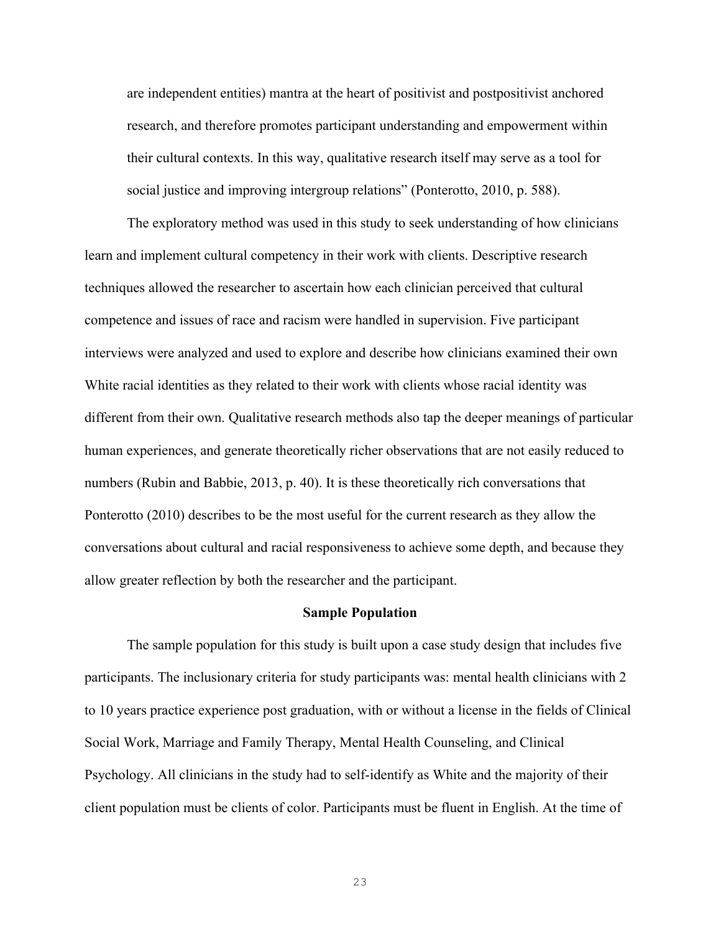are independent entities) mantra at the heart of positivist and postpositivist anchored research, and therefore promotes participant understanding and empowerment within their cultural contexts. In this way, qualitative research itself may serve as a tool for social justice and improving intergroup relations" (Ponterotto, 2010, p. 588).

The exploratory method was used in this study to seek understanding of how clinicians learn and implement cultural competency in their work with clients. Descriptive research techniques allowed the researcher to ascertain how each clinician perceived that cultural competence and issues of race and racism were handled in supervision. Five participant interviews were analyzed and used to explore and describe how clinicians examined their own White racial identities as they related to their work with clients whose racial identity was different from their own. Qualitative research methods also tap the deeper meanings of particular human experiences, and generate theoretically richer observations that are not easily reduced to numbers (Rubin and Babbie, 2013, p. 40). It is these theoretically rich conversations that Ponterotto (2010) describes to be the most useful for the current research as they allow the conversations about cultural and racial responsiveness to achieve some depth, and because they allow greater reflection by both the researcher and the participant.

#### **Sample Population**

The sample population for this study is built upon a case study design that includes five participants. The inclusionary criteria for study participants was: mental health clinicians with 2 to 10 years practice experience post graduation, with or without a license in the fields of Clinical Social Work, Marriage and Family Therapy, Mental Health Counseling, and Clinical Psychology. All clinicians in the study had to self-identify as White and the majority of their client population must be clients of color. Participants must be fluent in English. At the time of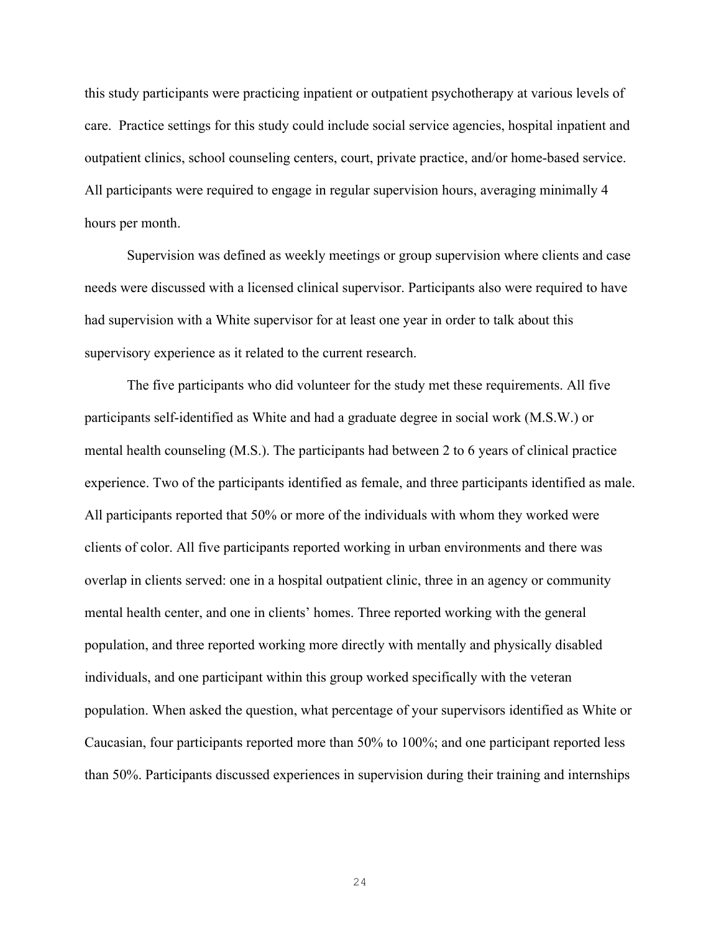this study participants were practicing inpatient or outpatient psychotherapy at various levels of care. Practice settings for this study could include social service agencies, hospital inpatient and outpatient clinics, school counseling centers, court, private practice, and/or home-based service. All participants were required to engage in regular supervision hours, averaging minimally 4 hours per month.

Supervision was defined as weekly meetings or group supervision where clients and case needs were discussed with a licensed clinical supervisor. Participants also were required to have had supervision with a White supervisor for at least one year in order to talk about this supervisory experience as it related to the current research.

The five participants who did volunteer for the study met these requirements. All five participants self-identified as White and had a graduate degree in social work (M.S.W.) or mental health counseling (M.S.). The participants had between 2 to 6 years of clinical practice experience. Two of the participants identified as female, and three participants identified as male. All participants reported that 50% or more of the individuals with whom they worked were clients of color. All five participants reported working in urban environments and there was overlap in clients served: one in a hospital outpatient clinic, three in an agency or community mental health center, and one in clients' homes. Three reported working with the general population, and three reported working more directly with mentally and physically disabled individuals, and one participant within this group worked specifically with the veteran population. When asked the question, what percentage of your supervisors identified as White or Caucasian, four participants reported more than 50% to 100%; and one participant reported less than 50%. Participants discussed experiences in supervision during their training and internships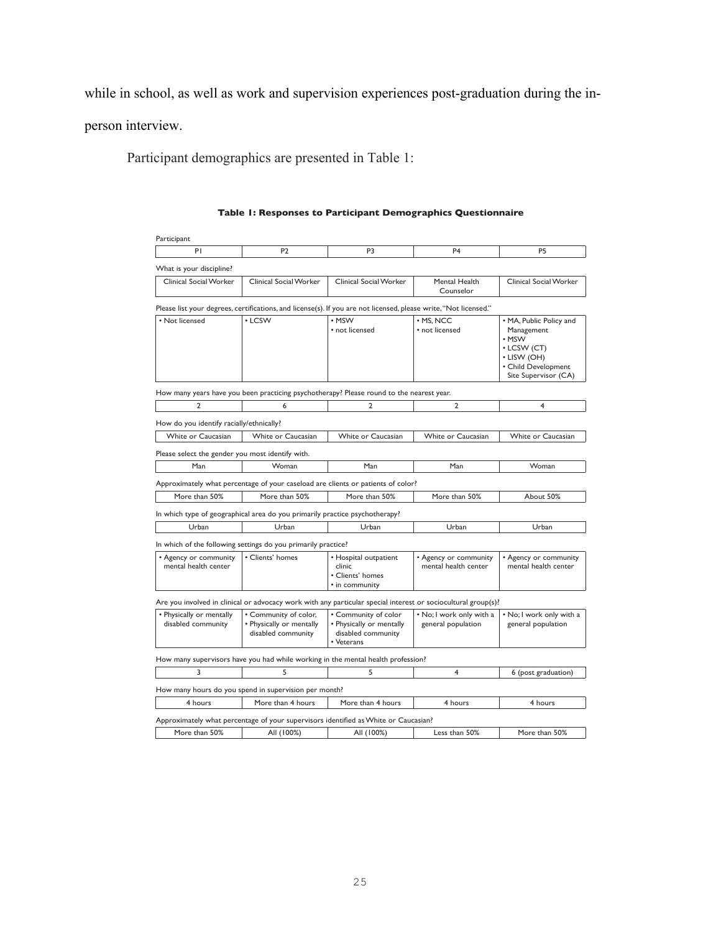while in school, as well as work and supervision experiences post-graduation during the in-

person interview.

Participant demographics are presented in Table 1:

Participant 4 4 4 4 4 What is your discipline? Clinical Social Worker | Clinical Social Worker | Clinical Social Worker | Mental Health Counselor Clinical Social Worker Please list your degrees, certifications, and license(s). If you are not licensed, please write, "Not licensed." • Not licensed  $\cdot$  LCSW • MSW not licensed  $\cdot$  MS, NCC not licensed MA, Public Policy and Management msw LCSW (CT) LISW (OH) Child Development Site Supervisor (CA) How many years have you been practicing psychotherapy? Please round to the nearest year. 2 and  $\begin{array}{|c|c|c|c|c|c|}\n\hline\n2 & 2 & 2 & 2\n\end{array}$ How do you identify racially/ethnically? White or Caucasian | White or Caucasian | White or Caucasian | White or Caucasian | White or Caucasian Please select the gender you most identify with. 1ER ;SQER 1ER 1ER ;SQER Approximately what percentage of your caseload are clients or patients of color? More than 50% More than 50% More than 50% More than 50% About 50% In which type of geographical area do you primarily practice psychotherapy? Urban | Urban | Urban | Vitam | Urban | Urban In which of the following settings do you primarily practice? • Agency or community mental health center  $\overline{\cdot}$  Clients' homes  $\overline{\cdot}$  + Hospital outpatient clinic Clients' homes in community Moreon Community mental health center **Agency or community** mental health center Are you involved in clinical or advocacy work with any particular special interest or sociocultural group(s)? · Physically or mentally disabled community • Community of color, · Physically or mentally disabled community . Community of color · Physically or mentally disabled community Veterans No; I work only with a general population No; I work only with a general population How many supervisors have you had while working in the mental health profession? 3 5 5 5 5 4 6 (post graduation) How many hours do you spend in supervision per month? 4 hours More than 4 hours More than 4 hours 4 hours 4 hours 4 hours Approximately what percentage of your supervisors identified as White or Caucasian? More than 50% All (100%) All (100%) Less than 50% More than 50%

#### Table 1: Responses to Participant Demographics Questionnaire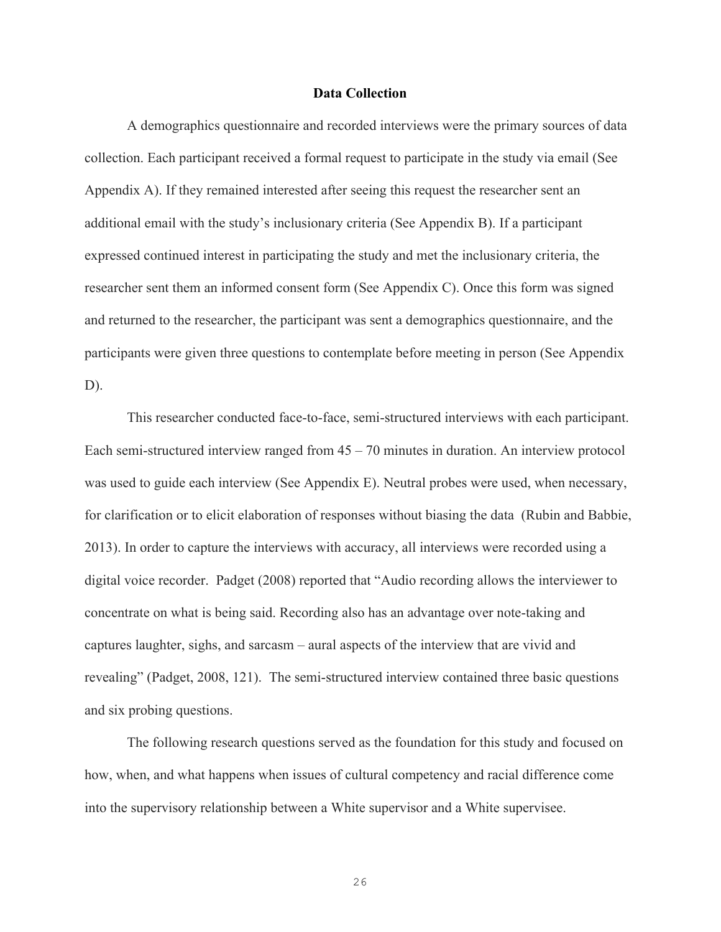#### **Data Collection**

A demographics questionnaire and recorded interviews were the primary sources of data collection. Each participant received a formal request to participate in the study via email (See Appendix A). If they remained interested after seeing this request the researcher sent an additional email with the study's inclusionary criteria (See Appendix B). If a participant expressed continued interest in participating the study and met the inclusionary criteria, the researcher sent them an informed consent form (See Appendix C). Once this form was signed and returned to the researcher, the participant was sent a demographics questionnaire, and the participants were given three questions to contemplate before meeting in person (See Appendix D).

This researcher conducted face-to-face, semi-structured interviews with each participant. Each semi-structured interview ranged from 45 – 70 minutes in duration. An interview protocol was used to guide each interview (See Appendix E). Neutral probes were used, when necessary, for clarification or to elicit elaboration of responses without biasing the data (Rubin and Babbie, 2013). In order to capture the interviews with accuracy, all interviews were recorded using a digital voice recorder. Padget (2008) reported that "Audio recording allows the interviewer to concentrate on what is being said. Recording also has an advantage over note-taking and captures laughter, sighs, and sarcasm – aural aspects of the interview that are vivid and revealing" (Padget, 2008, 121). The semi-structured interview contained three basic questions and six probing questions.

The following research questions served as the foundation for this study and focused on how, when, and what happens when issues of cultural competency and racial difference come into the supervisory relationship between a White supervisor and a White supervisee.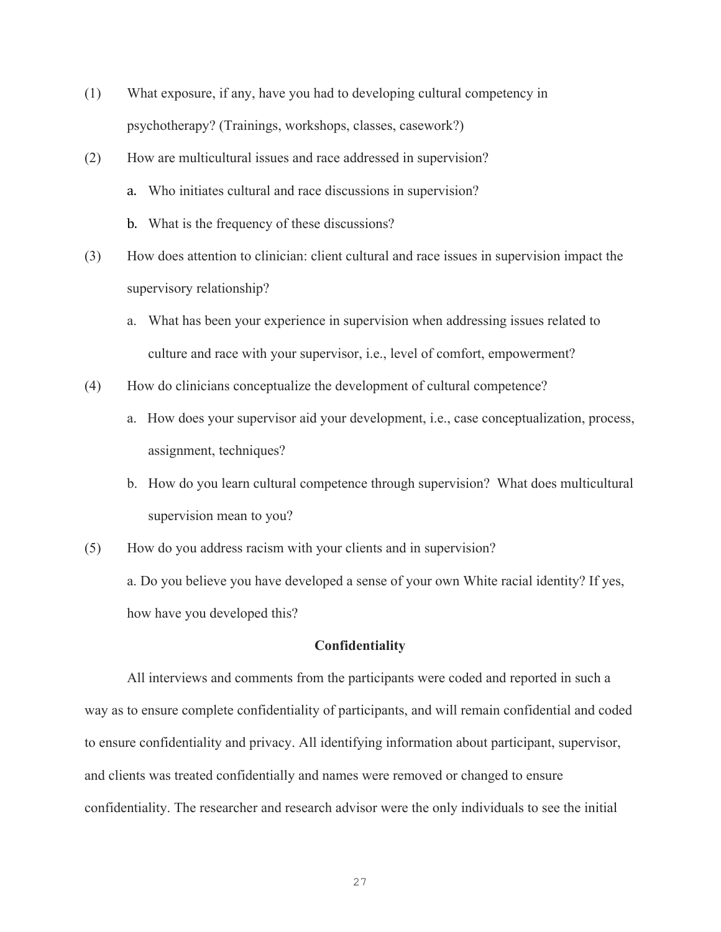- (1) What exposure, if any, have you had to developing cultural competency in psychotherapy? (Trainings, workshops, classes, casework?)
- (2) How are multicultural issues and race addressed in supervision?
	- a. Who initiates cultural and race discussions in supervision?
	- b. What is the frequency of these discussions?
- (3) How does attention to clinician: client cultural and race issues in supervision impact the supervisory relationship?
	- a. What has been your experience in supervision when addressing issues related to culture and race with your supervisor, i.e., level of comfort, empowerment?
- (4) How do clinicians conceptualize the development of cultural competence?
	- a. How does your supervisor aid your development, i.e., case conceptualization, process, assignment, techniques?
	- b. How do you learn cultural competence through supervision? What does multicultural supervision mean to you?
- (5) How do you address racism with your clients and in supervision? a. Do you believe you have developed a sense of your own White racial identity? If yes, how have you developed this?

#### **Confidentiality**

All interviews and comments from the participants were coded and reported in such a way as to ensure complete confidentiality of participants, and will remain confidential and coded to ensure confidentiality and privacy. All identifying information about participant, supervisor, and clients was treated confidentially and names were removed or changed to ensure confidentiality. The researcher and research advisor were the only individuals to see the initial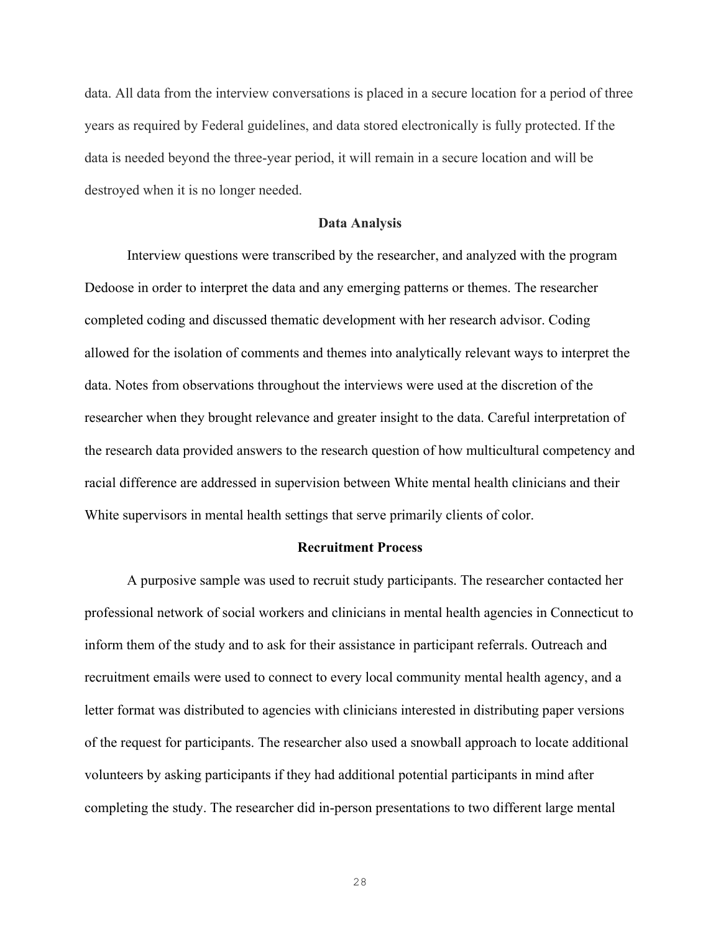data. All data from the interview conversations is placed in a secure location for a period of three years as required by Federal guidelines, and data stored electronically is fully protected. If the data is needed beyond the three-year period, it will remain in a secure location and will be destroyed when it is no longer needed.

#### **Data Analysis**

Interview questions were transcribed by the researcher, and analyzed with the program Dedoose in order to interpret the data and any emerging patterns or themes. The researcher completed coding and discussed thematic development with her research advisor. Coding allowed for the isolation of comments and themes into analytically relevant ways to interpret the data. Notes from observations throughout the interviews were used at the discretion of the researcher when they brought relevance and greater insight to the data. Careful interpretation of the research data provided answers to the research question of how multicultural competency and racial difference are addressed in supervision between White mental health clinicians and their White supervisors in mental health settings that serve primarily clients of color.

#### **Recruitment Process**

A purposive sample was used to recruit study participants. The researcher contacted her professional network of social workers and clinicians in mental health agencies in Connecticut to inform them of the study and to ask for their assistance in participant referrals. Outreach and recruitment emails were used to connect to every local community mental health agency, and a letter format was distributed to agencies with clinicians interested in distributing paper versions of the request for participants. The researcher also used a snowball approach to locate additional volunteers by asking participants if they had additional potential participants in mind after completing the study. The researcher did in-person presentations to two different large mental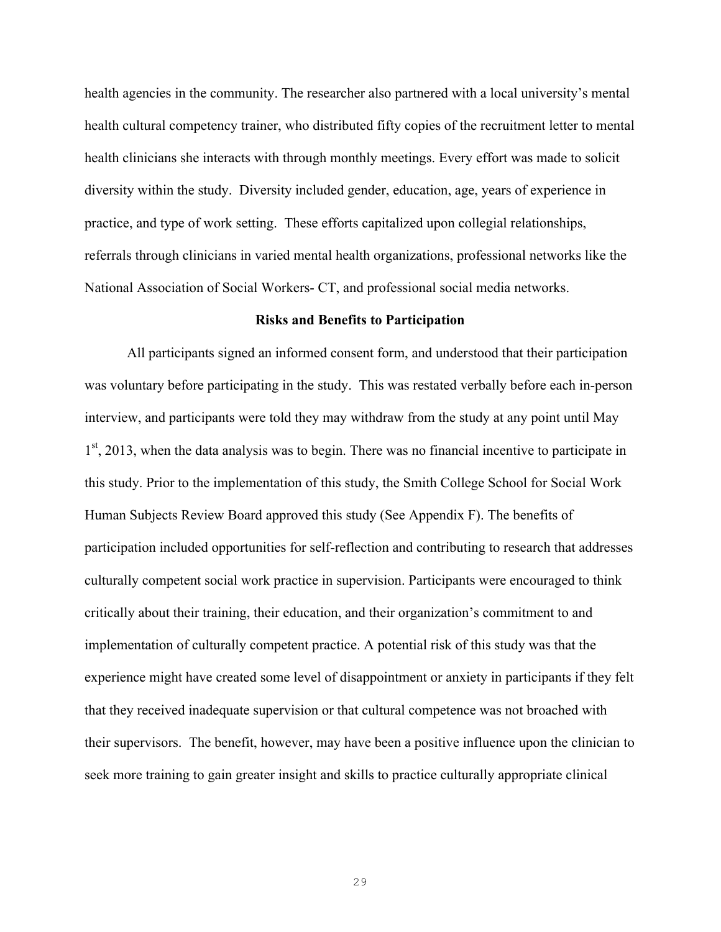health agencies in the community. The researcher also partnered with a local university's mental health cultural competency trainer, who distributed fifty copies of the recruitment letter to mental health clinicians she interacts with through monthly meetings. Every effort was made to solicit diversity within the study. Diversity included gender, education, age, years of experience in practice, and type of work setting. These efforts capitalized upon collegial relationships, referrals through clinicians in varied mental health organizations, professional networks like the National Association of Social Workers- CT, and professional social media networks.

#### **Risks and Benefits to Participation**

All participants signed an informed consent form, and understood that their participation was voluntary before participating in the study. This was restated verbally before each in-person interview, and participants were told they may withdraw from the study at any point until May  $1<sup>st</sup>$ , 2013, when the data analysis was to begin. There was no financial incentive to participate in this study. Prior to the implementation of this study, the Smith College School for Social Work Human Subjects Review Board approved this study (See Appendix F). The benefits of participation included opportunities for self-reflection and contributing to research that addresses culturally competent social work practice in supervision. Participants were encouraged to think critically about their training, their education, and their organization's commitment to and implementation of culturally competent practice. A potential risk of this study was that the experience might have created some level of disappointment or anxiety in participants if they felt that they received inadequate supervision or that cultural competence was not broached with their supervisors. The benefit, however, may have been a positive influence upon the clinician to seek more training to gain greater insight and skills to practice culturally appropriate clinical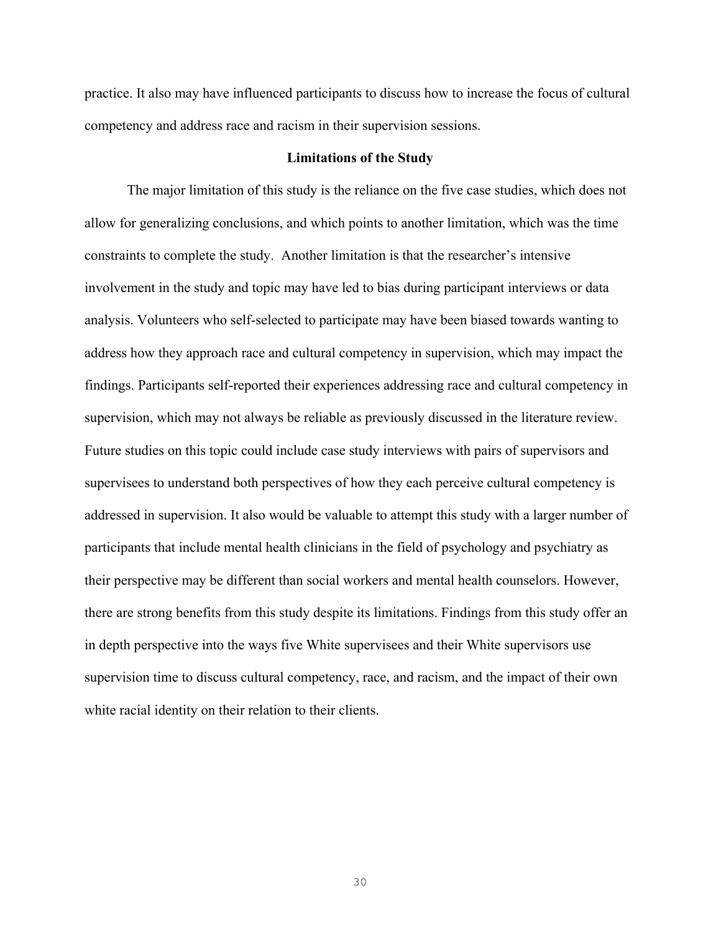practice. It also may have influenced participants to discuss how to increase the focus of cultural competency and address race and racism in their supervision sessions.

### **Limitations of the Study**

The major limitation of this study is the reliance on the five case studies, which does not allow for generalizing conclusions, and which points to another limitation, which was the time constraints to complete the study. Another limitation is that the researcher's intensive involvement in the study and topic may have led to bias during participant interviews or data analysis. Volunteers who self-selected to participate may have been biased towards wanting to address how they approach race and cultural competency in supervision, which may impact the findings. Participants self-reported their experiences addressing race and cultural competency in supervision, which may not always be reliable as previously discussed in the literature review. Future studies on this topic could include case study interviews with pairs of supervisors and supervisees to understand both perspectives of how they each perceive cultural competency is addressed in supervision. It also would be valuable to attempt this study with a larger number of participants that include mental health clinicians in the field of psychology and psychiatry as their perspective may be different than social workers and mental health counselors. However, there are strong benefits from this study despite its limitations. Findings from this study offer an in depth perspective into the ways five White supervisees and their White supervisors use supervision time to discuss cultural competency, race, and racism, and the impact of their own white racial identity on their relation to their clients.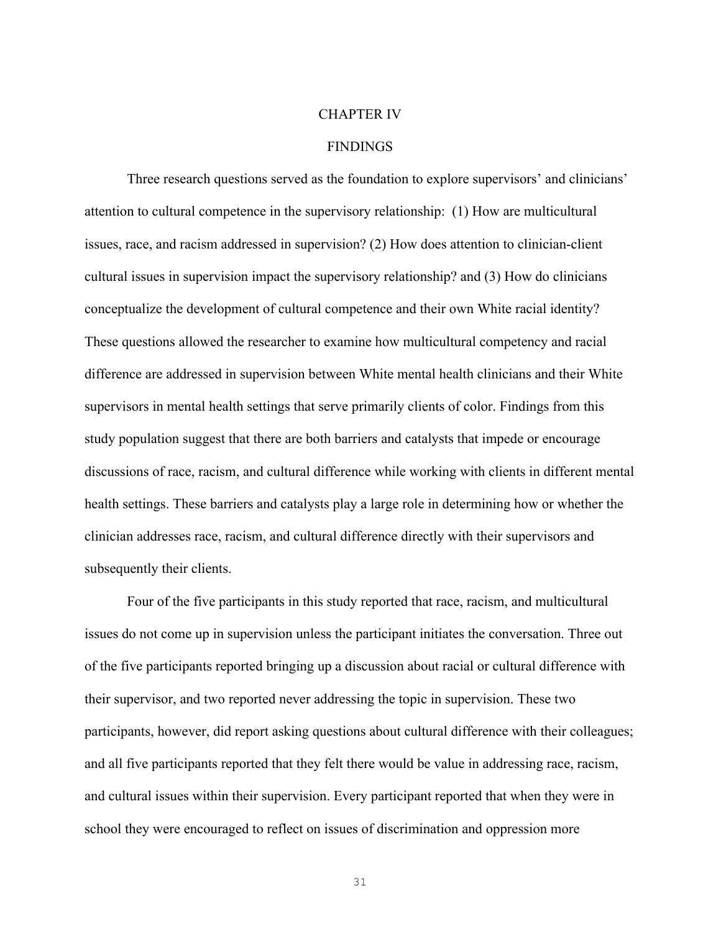## CHAPTER IV

### FINDINGS

Three research questions served as the foundation to explore supervisors' and clinicians' attention to cultural competence in the supervisory relationship: (1) How are multicultural issues, race, and racism addressed in supervision? (2) How does attention to clinician-client cultural issues in supervision impact the supervisory relationship? and (3) How do clinicians conceptualize the development of cultural competence and their own White racial identity? These questions allowed the researcher to examine how multicultural competency and racial difference are addressed in supervision between White mental health clinicians and their White supervisors in mental health settings that serve primarily clients of color. Findings from this study population suggest that there are both barriers and catalysts that impede or encourage discussions of race, racism, and cultural difference while working with clients in different mental health settings. These barriers and catalysts play a large role in determining how or whether the clinician addresses race, racism, and cultural difference directly with their supervisors and subsequently their clients.

Four of the five participants in this study reported that race, racism, and multicultural issues do not come up in supervision unless the participant initiates the conversation. Three out of the five participants reported bringing up a discussion about racial or cultural difference with their supervisor, and two reported never addressing the topic in supervision. These two participants, however, did report asking questions about cultural difference with their colleagues; and all five participants reported that they felt there would be value in addressing race, racism, and cultural issues within their supervision. Every participant reported that when they were in school they were encouraged to reflect on issues of discrimination and oppression more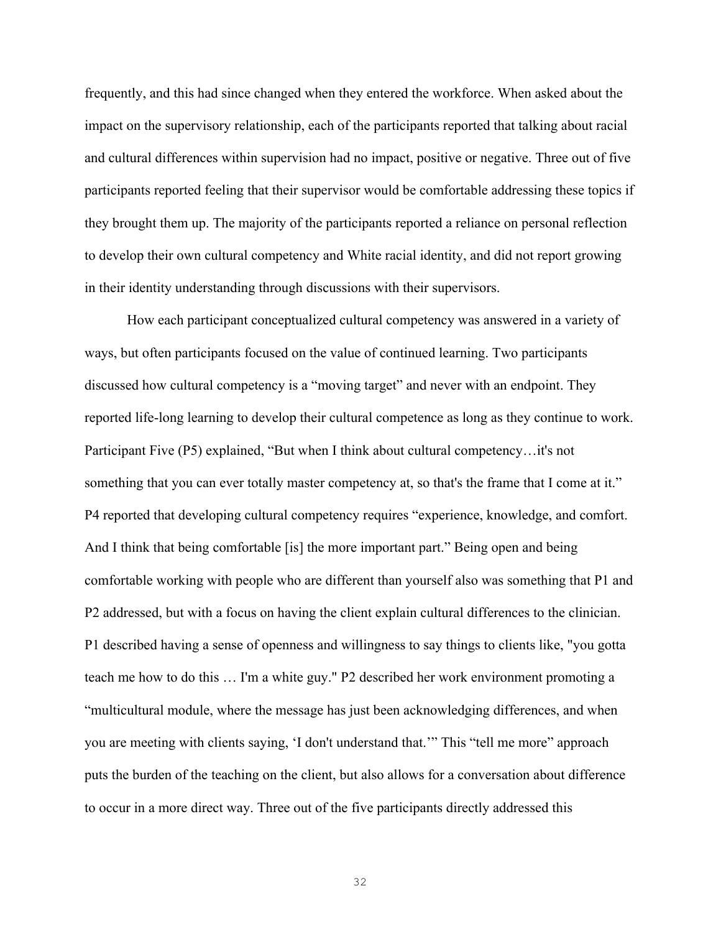frequently, and this had since changed when they entered the workforce. When asked about the impact on the supervisory relationship, each of the participants reported that talking about racial and cultural differences within supervision had no impact, positive or negative. Three out of five participants reported feeling that their supervisor would be comfortable addressing these topics if they brought them up. The majority of the participants reported a reliance on personal reflection to develop their own cultural competency and White racial identity, and did not report growing in their identity understanding through discussions with their supervisors.

How each participant conceptualized cultural competency was answered in a variety of ways, but often participants focused on the value of continued learning. Two participants discussed how cultural competency is a "moving target" and never with an endpoint. They reported life-long learning to develop their cultural competence as long as they continue to work. Participant Five (P5) explained, "But when I think about cultural competency…it's not something that you can ever totally master competency at, so that's the frame that I come at it." P4 reported that developing cultural competency requires "experience, knowledge, and comfort. And I think that being comfortable [is] the more important part." Being open and being comfortable working with people who are different than yourself also was something that P1 and P2 addressed, but with a focus on having the client explain cultural differences to the clinician. P1 described having a sense of openness and willingness to say things to clients like, "you gotta teach me how to do this … I'm a white guy." P2 described her work environment promoting a "multicultural module, where the message has just been acknowledging differences, and when you are meeting with clients saying, 'I don't understand that.'" This "tell me more" approach puts the burden of the teaching on the client, but also allows for a conversation about difference to occur in a more direct way. Three out of the five participants directly addressed this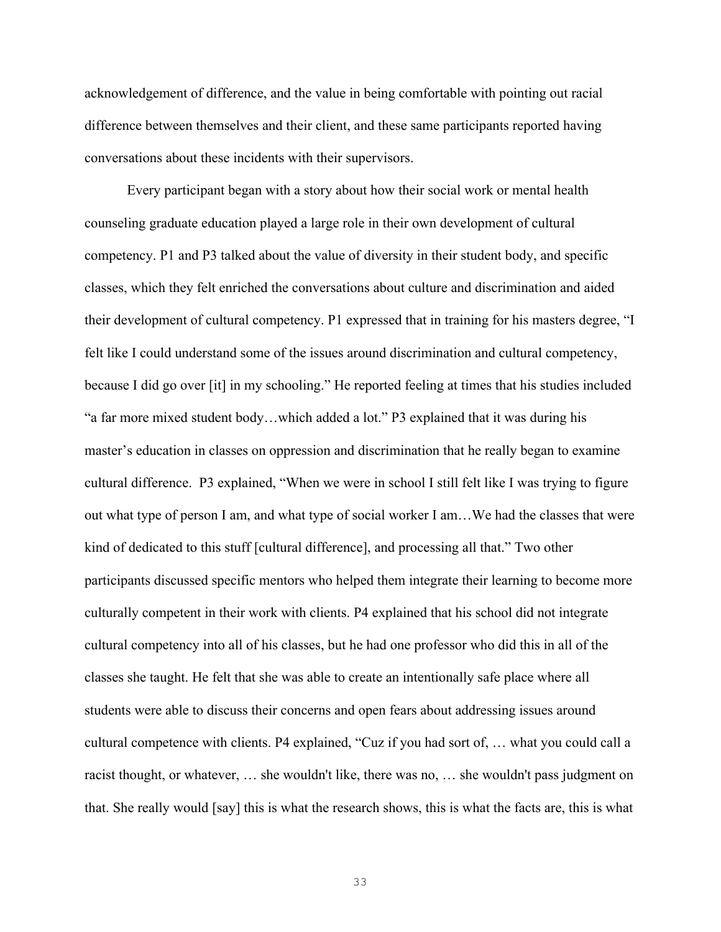acknowledgement of difference, and the value in being comfortable with pointing out racial difference between themselves and their client, and these same participants reported having conversations about these incidents with their supervisors.

Every participant began with a story about how their social work or mental health counseling graduate education played a large role in their own development of cultural competency. P1 and P3 talked about the value of diversity in their student body, and specific classes, which they felt enriched the conversations about culture and discrimination and aided their development of cultural competency. P1 expressed that in training for his masters degree, "I felt like I could understand some of the issues around discrimination and cultural competency, because I did go over [it] in my schooling." He reported feeling at times that his studies included "a far more mixed student body…which added a lot." P3 explained that it was during his master's education in classes on oppression and discrimination that he really began to examine cultural difference. P3 explained, "When we were in school I still felt like I was trying to figure out what type of person I am, and what type of social worker I am…We had the classes that were kind of dedicated to this stuff [cultural difference], and processing all that." Two other participants discussed specific mentors who helped them integrate their learning to become more culturally competent in their work with clients. P4 explained that his school did not integrate cultural competency into all of his classes, but he had one professor who did this in all of the classes she taught. He felt that she was able to create an intentionally safe place where all students were able to discuss their concerns and open fears about addressing issues around cultural competence with clients. P4 explained, "Cuz if you had sort of, … what you could call a racist thought, or whatever, … she wouldn't like, there was no, … she wouldn't pass judgment on that. She really would [say] this is what the research shows, this is what the facts are, this is what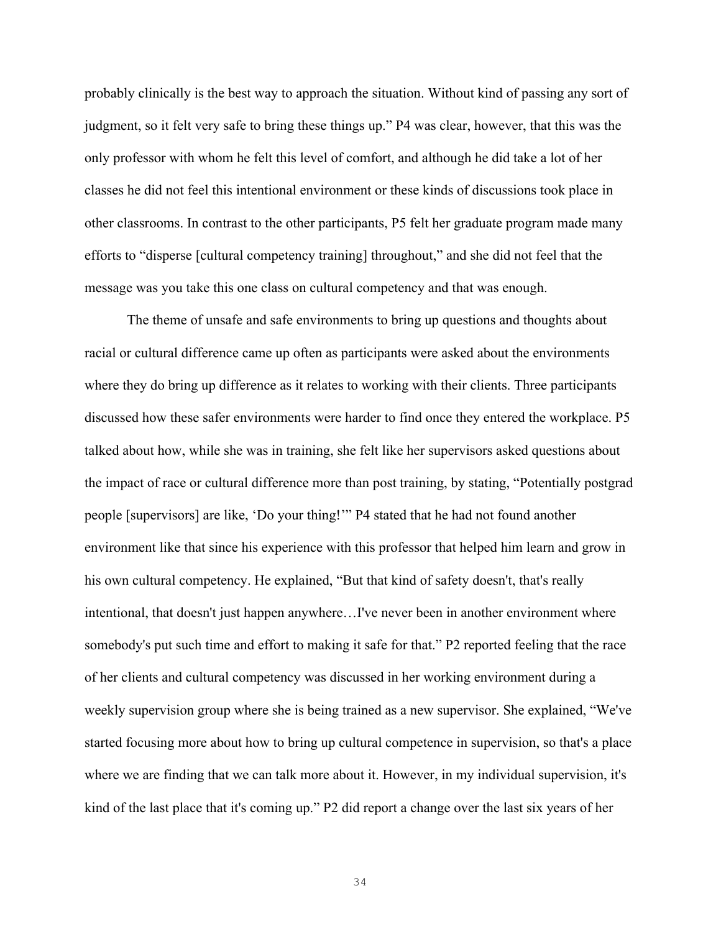probably clinically is the best way to approach the situation. Without kind of passing any sort of judgment, so it felt very safe to bring these things up." P4 was clear, however, that this was the only professor with whom he felt this level of comfort, and although he did take a lot of her classes he did not feel this intentional environment or these kinds of discussions took place in other classrooms. In contrast to the other participants, P5 felt her graduate program made many efforts to "disperse [cultural competency training] throughout," and she did not feel that the message was you take this one class on cultural competency and that was enough.

The theme of unsafe and safe environments to bring up questions and thoughts about racial or cultural difference came up often as participants were asked about the environments where they do bring up difference as it relates to working with their clients. Three participants discussed how these safer environments were harder to find once they entered the workplace. P5 talked about how, while she was in training, she felt like her supervisors asked questions about the impact of race or cultural difference more than post training, by stating, "Potentially postgrad people [supervisors] are like, 'Do your thing!'" P4 stated that he had not found another environment like that since his experience with this professor that helped him learn and grow in his own cultural competency. He explained, "But that kind of safety doesn't, that's really intentional, that doesn't just happen anywhere…I've never been in another environment where somebody's put such time and effort to making it safe for that." P2 reported feeling that the race of her clients and cultural competency was discussed in her working environment during a weekly supervision group where she is being trained as a new supervisor. She explained, "We've started focusing more about how to bring up cultural competence in supervision, so that's a place where we are finding that we can talk more about it. However, in my individual supervision, it's kind of the last place that it's coming up." P2 did report a change over the last six years of her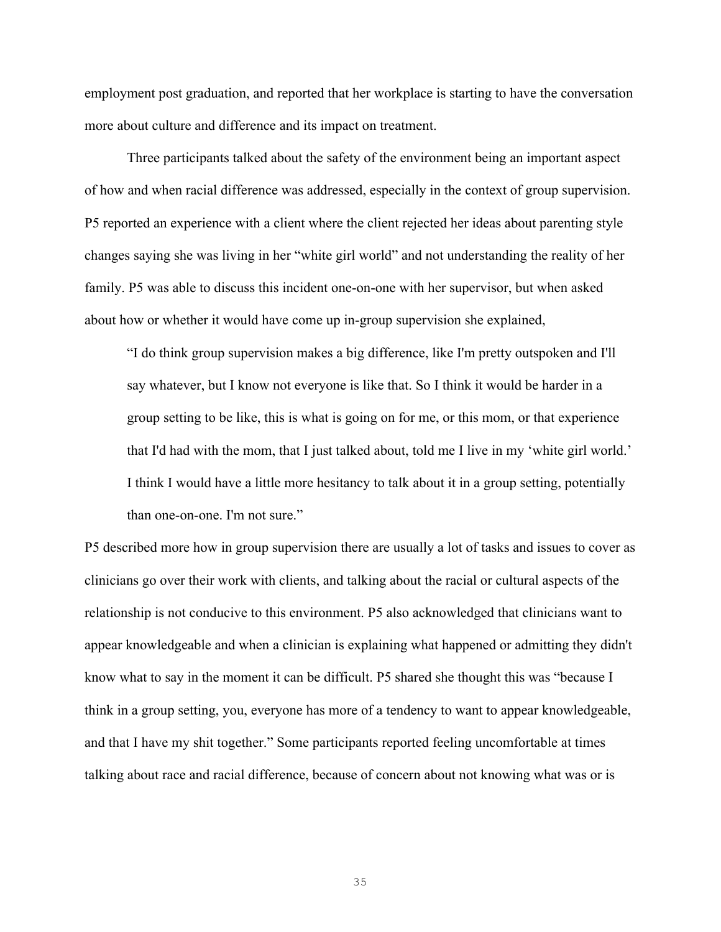employment post graduation, and reported that her workplace is starting to have the conversation more about culture and difference and its impact on treatment.

Three participants talked about the safety of the environment being an important aspect of how and when racial difference was addressed, especially in the context of group supervision. P5 reported an experience with a client where the client rejected her ideas about parenting style changes saying she was living in her "white girl world" and not understanding the reality of her family. P5 was able to discuss this incident one-on-one with her supervisor, but when asked about how or whether it would have come up in-group supervision she explained,

"I do think group supervision makes a big difference, like I'm pretty outspoken and I'll say whatever, but I know not everyone is like that. So I think it would be harder in a group setting to be like, this is what is going on for me, or this mom, or that experience that I'd had with the mom, that I just talked about, told me I live in my 'white girl world.' I think I would have a little more hesitancy to talk about it in a group setting, potentially than one-on-one. I'm not sure."

P5 described more how in group supervision there are usually a lot of tasks and issues to cover as clinicians go over their work with clients, and talking about the racial or cultural aspects of the relationship is not conducive to this environment. P5 also acknowledged that clinicians want to appear knowledgeable and when a clinician is explaining what happened or admitting they didn't know what to say in the moment it can be difficult. P5 shared she thought this was "because I think in a group setting, you, everyone has more of a tendency to want to appear knowledgeable, and that I have my shit together." Some participants reported feeling uncomfortable at times talking about race and racial difference, because of concern about not knowing what was or is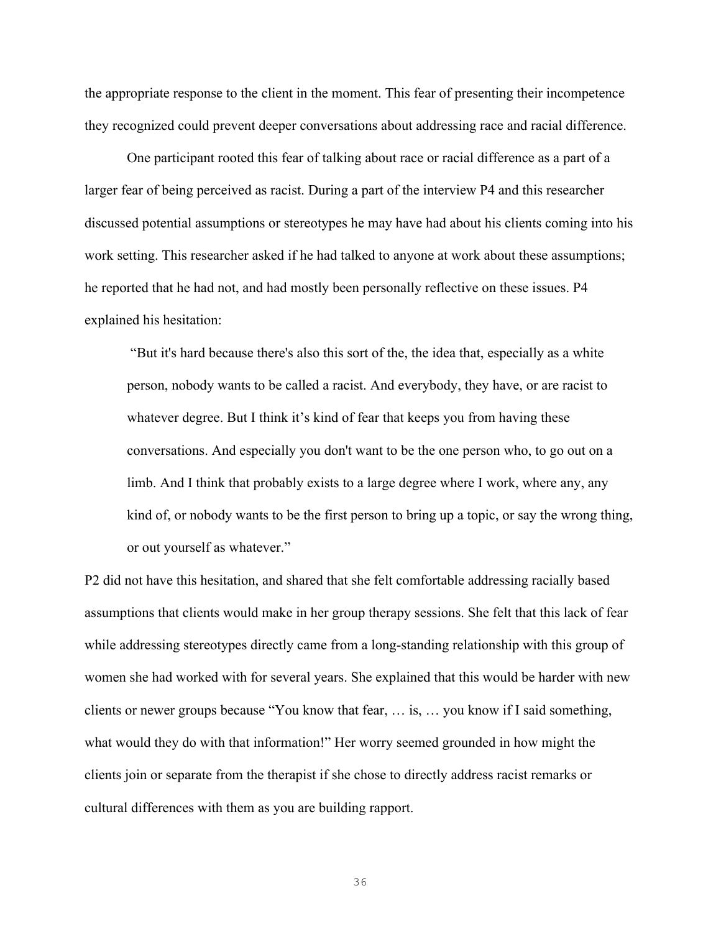the appropriate response to the client in the moment. This fear of presenting their incompetence they recognized could prevent deeper conversations about addressing race and racial difference.

One participant rooted this fear of talking about race or racial difference as a part of a larger fear of being perceived as racist. During a part of the interview P4 and this researcher discussed potential assumptions or stereotypes he may have had about his clients coming into his work setting. This researcher asked if he had talked to anyone at work about these assumptions; he reported that he had not, and had mostly been personally reflective on these issues. P4 explained his hesitation:

"But it's hard because there's also this sort of the, the idea that, especially as a white person, nobody wants to be called a racist. And everybody, they have, or are racist to whatever degree. But I think it's kind of fear that keeps you from having these conversations. And especially you don't want to be the one person who, to go out on a limb. And I think that probably exists to a large degree where I work, where any, any kind of, or nobody wants to be the first person to bring up a topic, or say the wrong thing, or out yourself as whatever."

P2 did not have this hesitation, and shared that she felt comfortable addressing racially based assumptions that clients would make in her group therapy sessions. She felt that this lack of fear while addressing stereotypes directly came from a long-standing relationship with this group of women she had worked with for several years. She explained that this would be harder with new clients or newer groups because "You know that fear, … is, … you know if I said something, what would they do with that information!" Her worry seemed grounded in how might the clients join or separate from the therapist if she chose to directly address racist remarks or cultural differences with them as you are building rapport.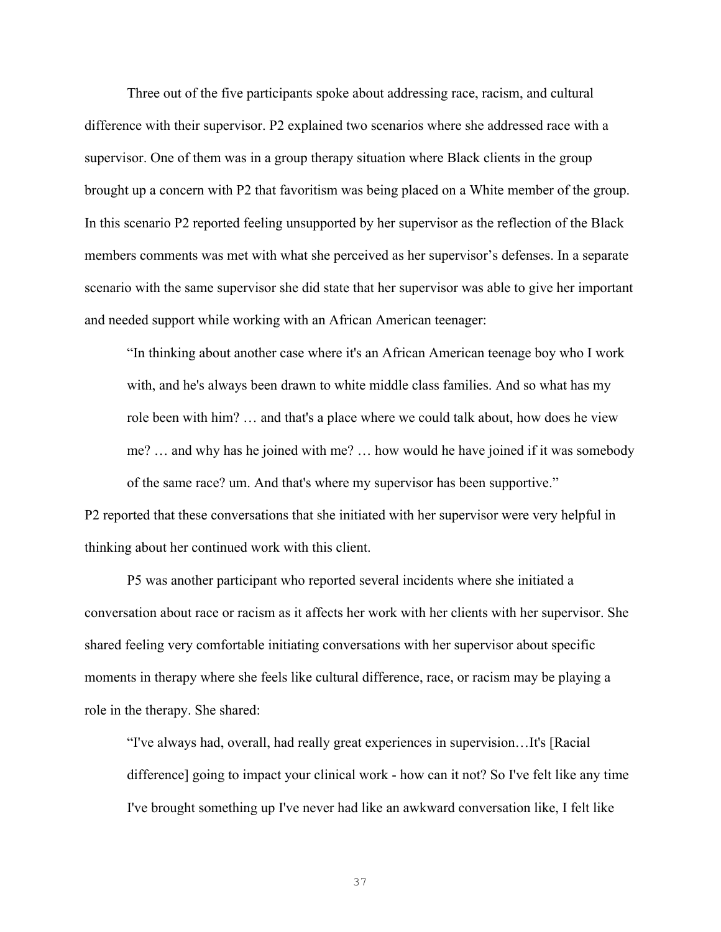Three out of the five participants spoke about addressing race, racism, and cultural difference with their supervisor. P2 explained two scenarios where she addressed race with a supervisor. One of them was in a group therapy situation where Black clients in the group brought up a concern with P2 that favoritism was being placed on a White member of the group. In this scenario P2 reported feeling unsupported by her supervisor as the reflection of the Black members comments was met with what she perceived as her supervisor's defenses. In a separate scenario with the same supervisor she did state that her supervisor was able to give her important and needed support while working with an African American teenager:

"In thinking about another case where it's an African American teenage boy who I work with, and he's always been drawn to white middle class families. And so what has my role been with him? … and that's a place where we could talk about, how does he view me? … and why has he joined with me? … how would he have joined if it was somebody of the same race? um. And that's where my supervisor has been supportive."

P2 reported that these conversations that she initiated with her supervisor were very helpful in thinking about her continued work with this client.

P5 was another participant who reported several incidents where she initiated a conversation about race or racism as it affects her work with her clients with her supervisor. She shared feeling very comfortable initiating conversations with her supervisor about specific moments in therapy where she feels like cultural difference, race, or racism may be playing a role in the therapy. She shared:

"I've always had, overall, had really great experiences in supervision…It's [Racial difference] going to impact your clinical work - how can it not? So I've felt like any time I've brought something up I've never had like an awkward conversation like, I felt like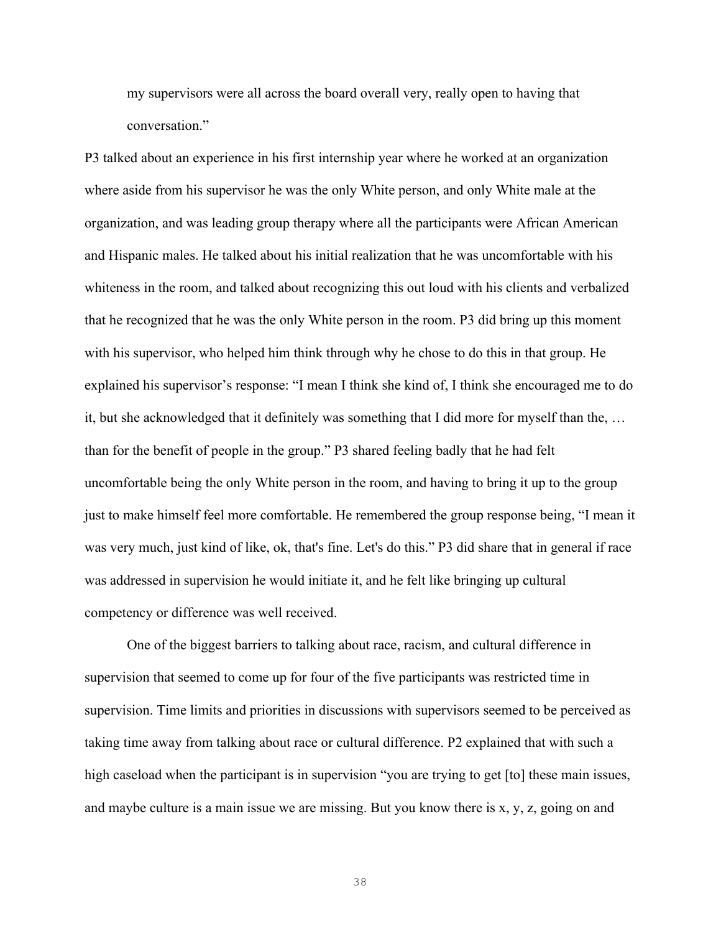my supervisors were all across the board overall very, really open to having that conversation."

P3 talked about an experience in his first internship year where he worked at an organization where aside from his supervisor he was the only White person, and only White male at the organization, and was leading group therapy where all the participants were African American and Hispanic males. He talked about his initial realization that he was uncomfortable with his whiteness in the room, and talked about recognizing this out loud with his clients and verbalized that he recognized that he was the only White person in the room. P3 did bring up this moment with his supervisor, who helped him think through why he chose to do this in that group. He explained his supervisor's response: "I mean I think she kind of, I think she encouraged me to do it, but she acknowledged that it definitely was something that I did more for myself than the, … than for the benefit of people in the group." P3 shared feeling badly that he had felt uncomfortable being the only White person in the room, and having to bring it up to the group just to make himself feel more comfortable. He remembered the group response being, "I mean it was very much, just kind of like, ok, that's fine. Let's do this." P3 did share that in general if race was addressed in supervision he would initiate it, and he felt like bringing up cultural competency or difference was well received.

One of the biggest barriers to talking about race, racism, and cultural difference in supervision that seemed to come up for four of the five participants was restricted time in supervision. Time limits and priorities in discussions with supervisors seemed to be perceived as taking time away from talking about race or cultural difference. P2 explained that with such a high caseload when the participant is in supervision "you are trying to get [to] these main issues, and maybe culture is a main issue we are missing. But you know there is x, y, z, going on and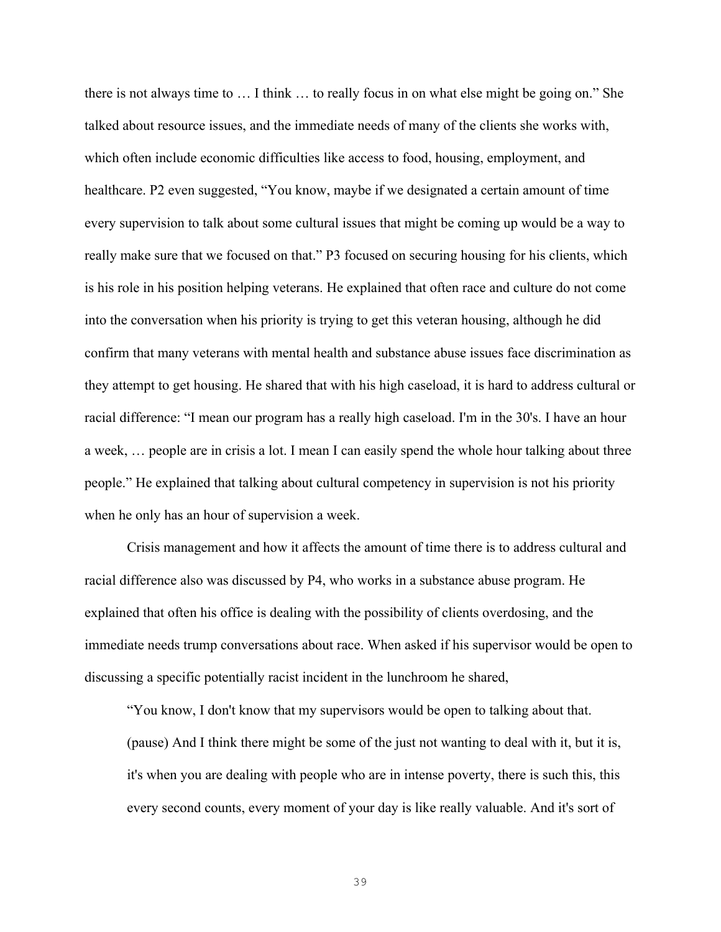there is not always time to … I think … to really focus in on what else might be going on." She talked about resource issues, and the immediate needs of many of the clients she works with, which often include economic difficulties like access to food, housing, employment, and healthcare. P2 even suggested, "You know, maybe if we designated a certain amount of time every supervision to talk about some cultural issues that might be coming up would be a way to really make sure that we focused on that." P3 focused on securing housing for his clients, which is his role in his position helping veterans. He explained that often race and culture do not come into the conversation when his priority is trying to get this veteran housing, although he did confirm that many veterans with mental health and substance abuse issues face discrimination as they attempt to get housing. He shared that with his high caseload, it is hard to address cultural or racial difference: "I mean our program has a really high caseload. I'm in the 30's. I have an hour a week, … people are in crisis a lot. I mean I can easily spend the whole hour talking about three people." He explained that talking about cultural competency in supervision is not his priority when he only has an hour of supervision a week.

Crisis management and how it affects the amount of time there is to address cultural and racial difference also was discussed by P4, who works in a substance abuse program. He explained that often his office is dealing with the possibility of clients overdosing, and the immediate needs trump conversations about race. When asked if his supervisor would be open to discussing a specific potentially racist incident in the lunchroom he shared,

"You know, I don't know that my supervisors would be open to talking about that. (pause) And I think there might be some of the just not wanting to deal with it, but it is, it's when you are dealing with people who are in intense poverty, there is such this, this every second counts, every moment of your day is like really valuable. And it's sort of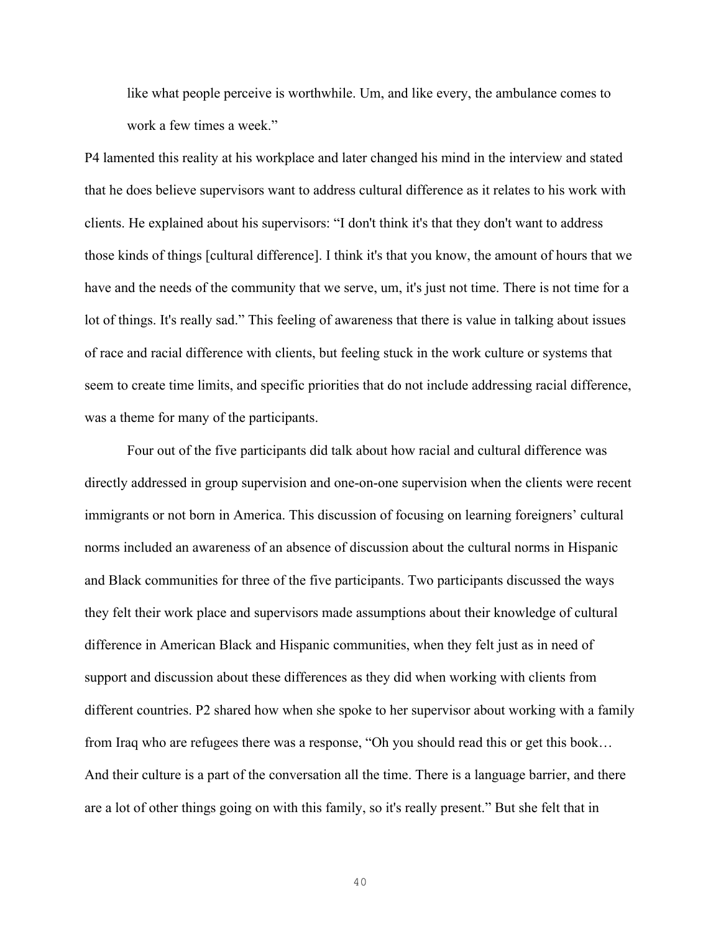like what people perceive is worthwhile. Um, and like every, the ambulance comes to work a few times a week."

P4 lamented this reality at his workplace and later changed his mind in the interview and stated that he does believe supervisors want to address cultural difference as it relates to his work with clients. He explained about his supervisors: "I don't think it's that they don't want to address those kinds of things [cultural difference]. I think it's that you know, the amount of hours that we have and the needs of the community that we serve, um, it's just not time. There is not time for a lot of things. It's really sad." This feeling of awareness that there is value in talking about issues of race and racial difference with clients, but feeling stuck in the work culture or systems that seem to create time limits, and specific priorities that do not include addressing racial difference, was a theme for many of the participants.

Four out of the five participants did talk about how racial and cultural difference was directly addressed in group supervision and one-on-one supervision when the clients were recent immigrants or not born in America. This discussion of focusing on learning foreigners' cultural norms included an awareness of an absence of discussion about the cultural norms in Hispanic and Black communities for three of the five participants. Two participants discussed the ways they felt their work place and supervisors made assumptions about their knowledge of cultural difference in American Black and Hispanic communities, when they felt just as in need of support and discussion about these differences as they did when working with clients from different countries. P2 shared how when she spoke to her supervisor about working with a family from Iraq who are refugees there was a response, "Oh you should read this or get this book… And their culture is a part of the conversation all the time. There is a language barrier, and there are a lot of other things going on with this family, so it's really present." But she felt that in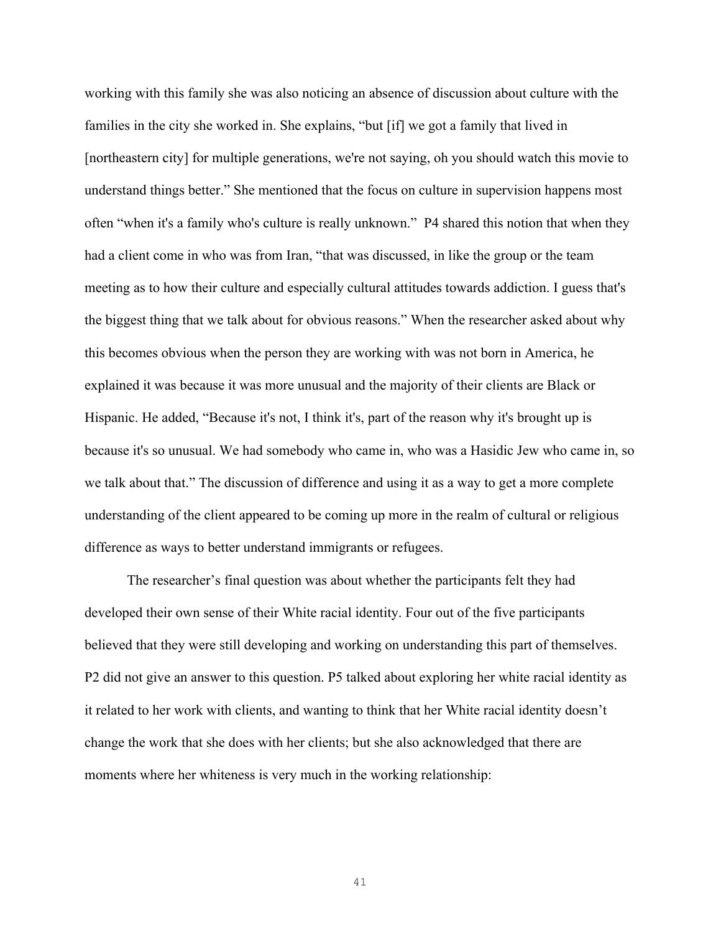working with this family she was also noticing an absence of discussion about culture with the families in the city she worked in. She explains, "but [if] we got a family that lived in [northeastern city] for multiple generations, we're not saying, oh you should watch this movie to understand things better." She mentioned that the focus on culture in supervision happens most often "when it's a family who's culture is really unknown." P4 shared this notion that when they had a client come in who was from Iran, "that was discussed, in like the group or the team meeting as to how their culture and especially cultural attitudes towards addiction. I guess that's the biggest thing that we talk about for obvious reasons." When the researcher asked about why this becomes obvious when the person they are working with was not born in America, he explained it was because it was more unusual and the majority of their clients are Black or Hispanic. He added, "Because it's not, I think it's, part of the reason why it's brought up is because it's so unusual. We had somebody who came in, who was a Hasidic Jew who came in, so we talk about that." The discussion of difference and using it as a way to get a more complete understanding of the client appeared to be coming up more in the realm of cultural or religious difference as ways to better understand immigrants or refugees.

The researcher's final question was about whether the participants felt they had developed their own sense of their White racial identity. Four out of the five participants believed that they were still developing and working on understanding this part of themselves. P2 did not give an answer to this question. P5 talked about exploring her white racial identity as it related to her work with clients, and wanting to think that her White racial identity doesn't change the work that she does with her clients; but she also acknowledged that there are moments where her whiteness is very much in the working relationship: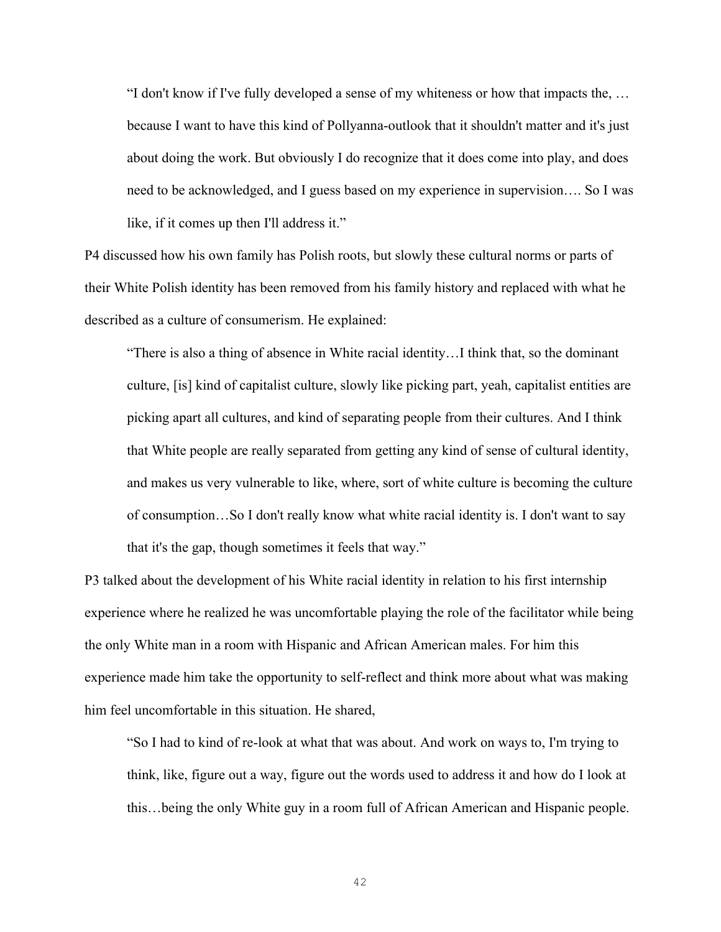"I don't know if I've fully developed a sense of my whiteness or how that impacts the, … because I want to have this kind of Pollyanna-outlook that it shouldn't matter and it's just about doing the work. But obviously I do recognize that it does come into play, and does need to be acknowledged, and I guess based on my experience in supervision…. So I was like, if it comes up then I'll address it."

P4 discussed how his own family has Polish roots, but slowly these cultural norms or parts of their White Polish identity has been removed from his family history and replaced with what he described as a culture of consumerism. He explained:

"There is also a thing of absence in White racial identity…I think that, so the dominant culture, [is] kind of capitalist culture, slowly like picking part, yeah, capitalist entities are picking apart all cultures, and kind of separating people from their cultures. And I think that White people are really separated from getting any kind of sense of cultural identity, and makes us very vulnerable to like, where, sort of white culture is becoming the culture of consumption…So I don't really know what white racial identity is. I don't want to say that it's the gap, though sometimes it feels that way."

P3 talked about the development of his White racial identity in relation to his first internship experience where he realized he was uncomfortable playing the role of the facilitator while being the only White man in a room with Hispanic and African American males. For him this experience made him take the opportunity to self-reflect and think more about what was making him feel uncomfortable in this situation. He shared,

"So I had to kind of re-look at what that was about. And work on ways to, I'm trying to think, like, figure out a way, figure out the words used to address it and how do I look at this…being the only White guy in a room full of African American and Hispanic people.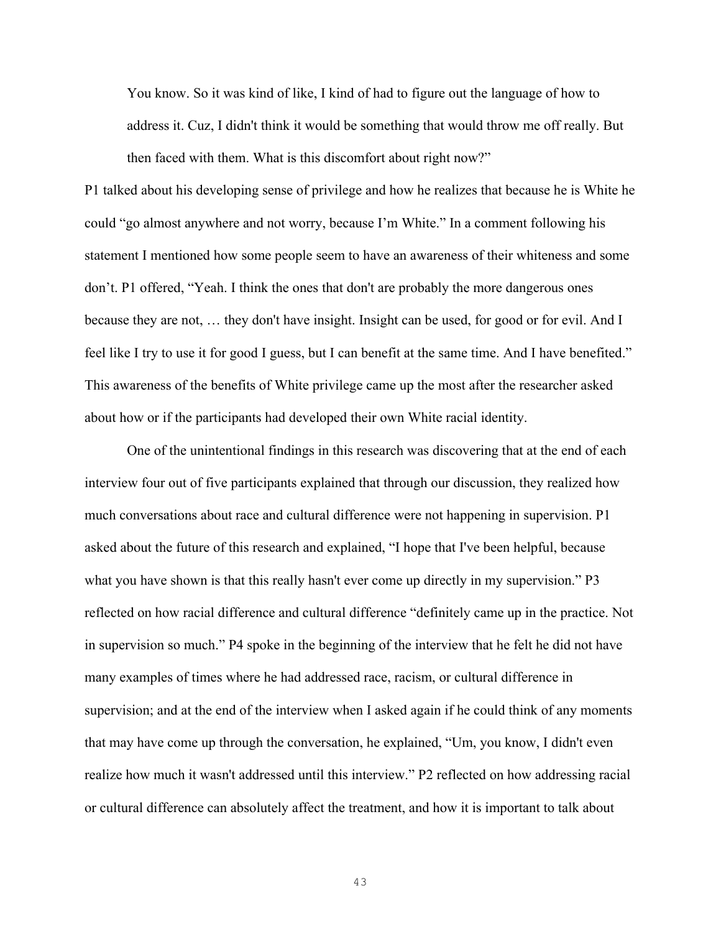You know. So it was kind of like, I kind of had to figure out the language of how to address it. Cuz, I didn't think it would be something that would throw me off really. But then faced with them. What is this discomfort about right now?"

P1 talked about his developing sense of privilege and how he realizes that because he is White he could "go almost anywhere and not worry, because I'm White." In a comment following his statement I mentioned how some people seem to have an awareness of their whiteness and some don't. P1 offered, "Yeah. I think the ones that don't are probably the more dangerous ones because they are not, … they don't have insight. Insight can be used, for good or for evil. And I feel like I try to use it for good I guess, but I can benefit at the same time. And I have benefited." This awareness of the benefits of White privilege came up the most after the researcher asked about how or if the participants had developed their own White racial identity.

One of the unintentional findings in this research was discovering that at the end of each interview four out of five participants explained that through our discussion, they realized how much conversations about race and cultural difference were not happening in supervision. P1 asked about the future of this research and explained, "I hope that I've been helpful, because what you have shown is that this really hasn't ever come up directly in my supervision." P3 reflected on how racial difference and cultural difference "definitely came up in the practice. Not in supervision so much." P4 spoke in the beginning of the interview that he felt he did not have many examples of times where he had addressed race, racism, or cultural difference in supervision; and at the end of the interview when I asked again if he could think of any moments that may have come up through the conversation, he explained, "Um, you know, I didn't even realize how much it wasn't addressed until this interview." P2 reflected on how addressing racial or cultural difference can absolutely affect the treatment, and how it is important to talk about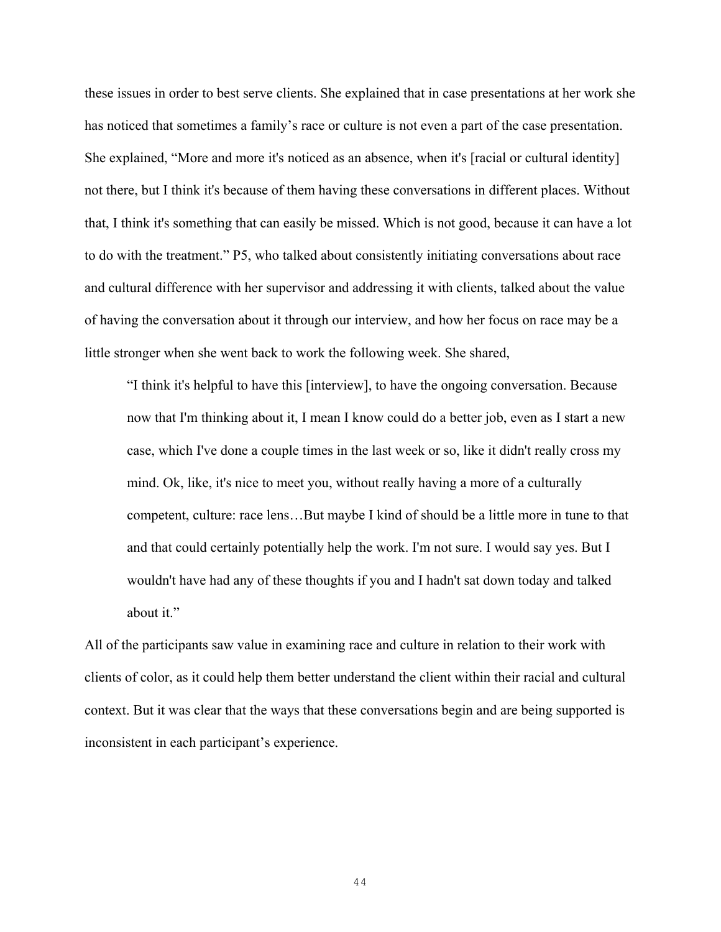these issues in order to best serve clients. She explained that in case presentations at her work she has noticed that sometimes a family's race or culture is not even a part of the case presentation. She explained, "More and more it's noticed as an absence, when it's [racial or cultural identity] not there, but I think it's because of them having these conversations in different places. Without that, I think it's something that can easily be missed. Which is not good, because it can have a lot to do with the treatment." P5, who talked about consistently initiating conversations about race and cultural difference with her supervisor and addressing it with clients, talked about the value of having the conversation about it through our interview, and how her focus on race may be a little stronger when she went back to work the following week. She shared,

"I think it's helpful to have this [interview], to have the ongoing conversation. Because now that I'm thinking about it, I mean I know could do a better job, even as I start a new case, which I've done a couple times in the last week or so, like it didn't really cross my mind. Ok, like, it's nice to meet you, without really having a more of a culturally competent, culture: race lens…But maybe I kind of should be a little more in tune to that and that could certainly potentially help the work. I'm not sure. I would say yes. But I wouldn't have had any of these thoughts if you and I hadn't sat down today and talked about it."

All of the participants saw value in examining race and culture in relation to their work with clients of color, as it could help them better understand the client within their racial and cultural context. But it was clear that the ways that these conversations begin and are being supported is inconsistent in each participant's experience.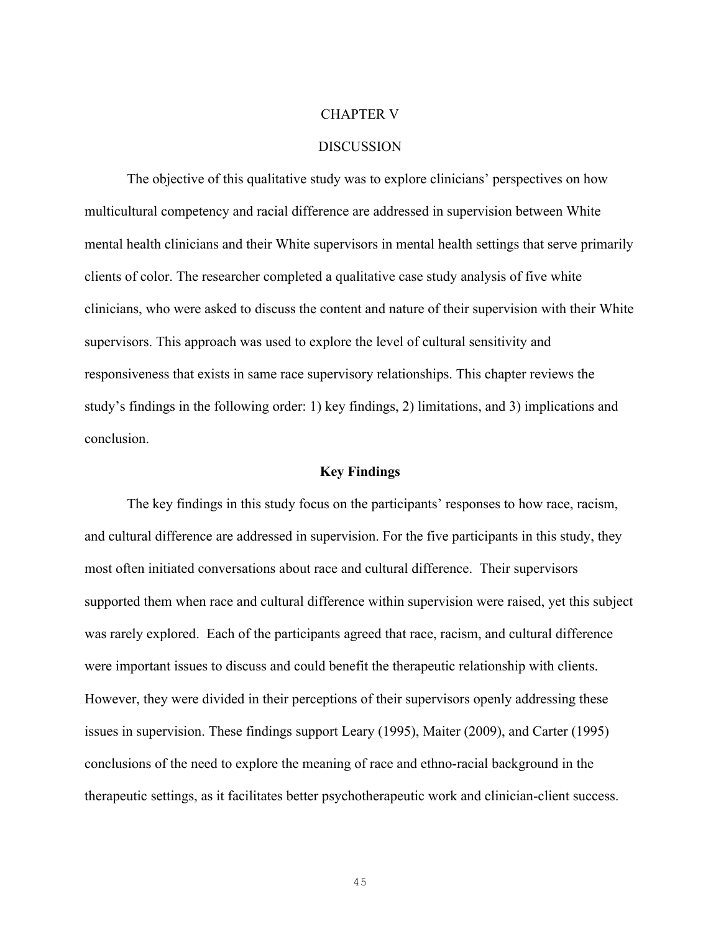#### CHAPTER V

### **DISCUSSION**

The objective of this qualitative study was to explore clinicians' perspectives on how multicultural competency and racial difference are addressed in supervision between White mental health clinicians and their White supervisors in mental health settings that serve primarily clients of color. The researcher completed a qualitative case study analysis of five white clinicians, who were asked to discuss the content and nature of their supervision with their White supervisors. This approach was used to explore the level of cultural sensitivity and responsiveness that exists in same race supervisory relationships. This chapter reviews the study's findings in the following order: 1) key findings, 2) limitations, and 3) implications and conclusion.

### **Key Findings**

The key findings in this study focus on the participants' responses to how race, racism, and cultural difference are addressed in supervision. For the five participants in this study, they most often initiated conversations about race and cultural difference. Their supervisors supported them when race and cultural difference within supervision were raised, yet this subject was rarely explored. Each of the participants agreed that race, racism, and cultural difference were important issues to discuss and could benefit the therapeutic relationship with clients. However, they were divided in their perceptions of their supervisors openly addressing these issues in supervision. These findings support Leary (1995), Maiter (2009), and Carter (1995) conclusions of the need to explore the meaning of race and ethno-racial background in the therapeutic settings, as it facilitates better psychotherapeutic work and clinician-client success.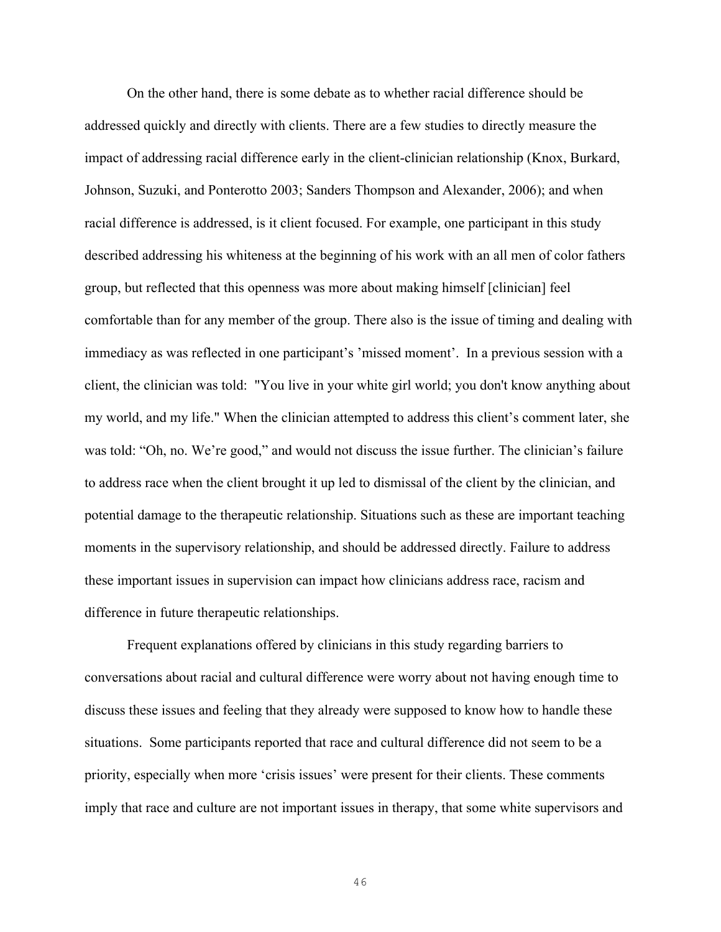On the other hand, there is some debate as to whether racial difference should be addressed quickly and directly with clients. There are a few studies to directly measure the impact of addressing racial difference early in the client-clinician relationship (Knox, Burkard, Johnson, Suzuki, and Ponterotto 2003; Sanders Thompson and Alexander, 2006); and when racial difference is addressed, is it client focused. For example, one participant in this study described addressing his whiteness at the beginning of his work with an all men of color fathers group, but reflected that this openness was more about making himself [clinician] feel comfortable than for any member of the group. There also is the issue of timing and dealing with immediacy as was reflected in one participant's 'missed moment'. In a previous session with a client, the clinician was told: "You live in your white girl world; you don't know anything about my world, and my life." When the clinician attempted to address this client's comment later, she was told: "Oh, no. We're good," and would not discuss the issue further. The clinician's failure to address race when the client brought it up led to dismissal of the client by the clinician, and potential damage to the therapeutic relationship. Situations such as these are important teaching moments in the supervisory relationship, and should be addressed directly. Failure to address these important issues in supervision can impact how clinicians address race, racism and difference in future therapeutic relationships.

Frequent explanations offered by clinicians in this study regarding barriers to conversations about racial and cultural difference were worry about not having enough time to discuss these issues and feeling that they already were supposed to know how to handle these situations. Some participants reported that race and cultural difference did not seem to be a priority, especially when more 'crisis issues' were present for their clients. These comments imply that race and culture are not important issues in therapy, that some white supervisors and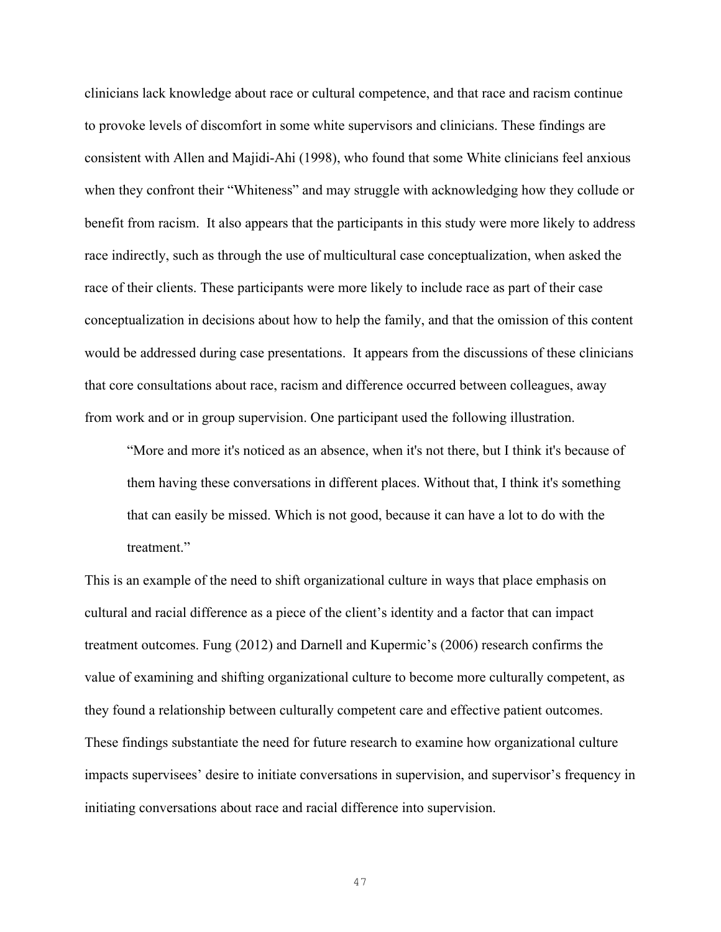clinicians lack knowledge about race or cultural competence, and that race and racism continue to provoke levels of discomfort in some white supervisors and clinicians. These findings are consistent with Allen and Majidi-Ahi (1998), who found that some White clinicians feel anxious when they confront their "Whiteness" and may struggle with acknowledging how they collude or benefit from racism. It also appears that the participants in this study were more likely to address race indirectly, such as through the use of multicultural case conceptualization, when asked the race of their clients. These participants were more likely to include race as part of their case conceptualization in decisions about how to help the family, and that the omission of this content would be addressed during case presentations. It appears from the discussions of these clinicians that core consultations about race, racism and difference occurred between colleagues, away from work and or in group supervision. One participant used the following illustration.

"More and more it's noticed as an absence, when it's not there, but I think it's because of them having these conversations in different places. Without that, I think it's something that can easily be missed. Which is not good, because it can have a lot to do with the treatment."

This is an example of the need to shift organizational culture in ways that place emphasis on cultural and racial difference as a piece of the client's identity and a factor that can impact treatment outcomes. Fung (2012) and Darnell and Kupermic's (2006) research confirms the value of examining and shifting organizational culture to become more culturally competent, as they found a relationship between culturally competent care and effective patient outcomes. These findings substantiate the need for future research to examine how organizational culture impacts supervisees' desire to initiate conversations in supervision, and supervisor's frequency in initiating conversations about race and racial difference into supervision.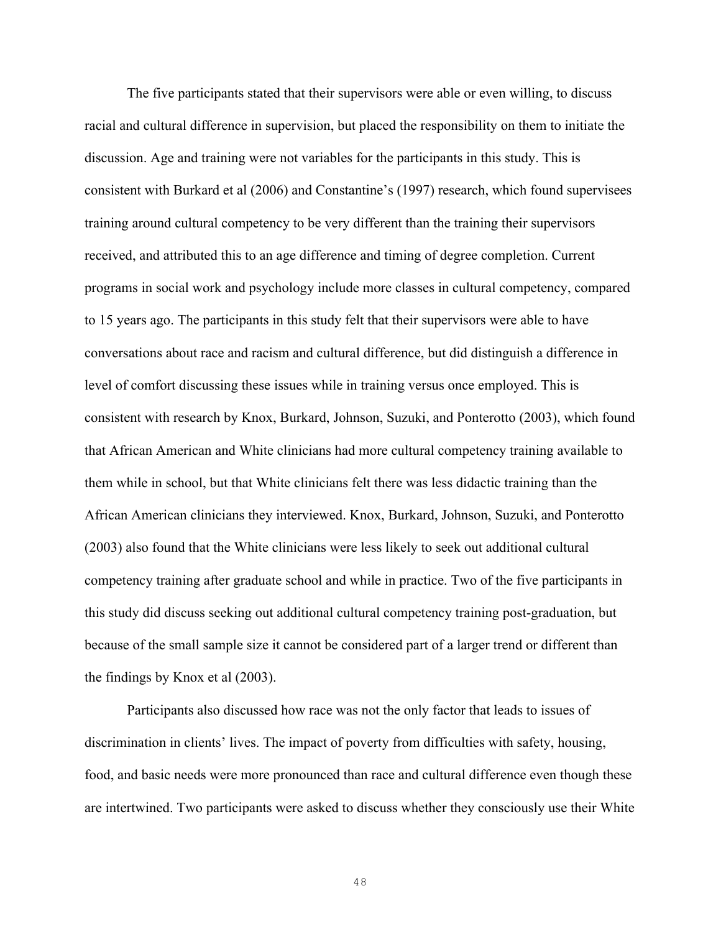The five participants stated that their supervisors were able or even willing, to discuss racial and cultural difference in supervision, but placed the responsibility on them to initiate the discussion. Age and training were not variables for the participants in this study. This is consistent with Burkard et al (2006) and Constantine's (1997) research, which found supervisees training around cultural competency to be very different than the training their supervisors received, and attributed this to an age difference and timing of degree completion. Current programs in social work and psychology include more classes in cultural competency, compared to 15 years ago. The participants in this study felt that their supervisors were able to have conversations about race and racism and cultural difference, but did distinguish a difference in level of comfort discussing these issues while in training versus once employed. This is consistent with research by Knox, Burkard, Johnson, Suzuki, and Ponterotto (2003), which found that African American and White clinicians had more cultural competency training available to them while in school, but that White clinicians felt there was less didactic training than the African American clinicians they interviewed. Knox, Burkard, Johnson, Suzuki, and Ponterotto (2003) also found that the White clinicians were less likely to seek out additional cultural competency training after graduate school and while in practice. Two of the five participants in this study did discuss seeking out additional cultural competency training post-graduation, but because of the small sample size it cannot be considered part of a larger trend or different than the findings by Knox et al (2003).

Participants also discussed how race was not the only factor that leads to issues of discrimination in clients' lives. The impact of poverty from difficulties with safety, housing, food, and basic needs were more pronounced than race and cultural difference even though these are intertwined. Two participants were asked to discuss whether they consciously use their White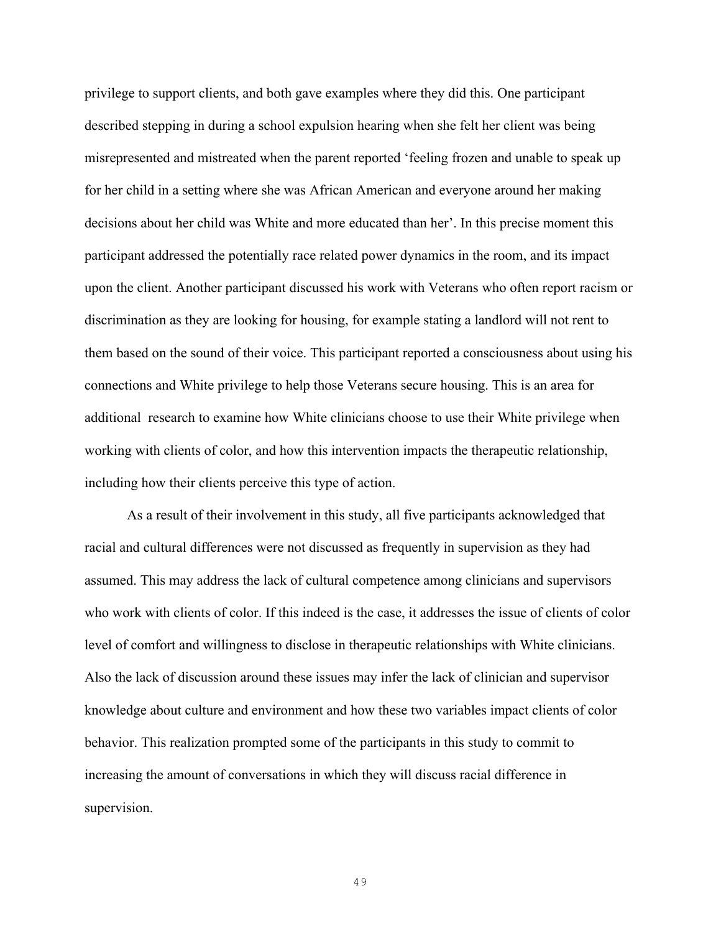privilege to support clients, and both gave examples where they did this. One participant described stepping in during a school expulsion hearing when she felt her client was being misrepresented and mistreated when the parent reported 'feeling frozen and unable to speak up for her child in a setting where she was African American and everyone around her making decisions about her child was White and more educated than her'. In this precise moment this participant addressed the potentially race related power dynamics in the room, and its impact upon the client. Another participant discussed his work with Veterans who often report racism or discrimination as they are looking for housing, for example stating a landlord will not rent to them based on the sound of their voice. This participant reported a consciousness about using his connections and White privilege to help those Veterans secure housing. This is an area for additional research to examine how White clinicians choose to use their White privilege when working with clients of color, and how this intervention impacts the therapeutic relationship, including how their clients perceive this type of action.

As a result of their involvement in this study, all five participants acknowledged that racial and cultural differences were not discussed as frequently in supervision as they had assumed. This may address the lack of cultural competence among clinicians and supervisors who work with clients of color. If this indeed is the case, it addresses the issue of clients of color level of comfort and willingness to disclose in therapeutic relationships with White clinicians. Also the lack of discussion around these issues may infer the lack of clinician and supervisor knowledge about culture and environment and how these two variables impact clients of color behavior. This realization prompted some of the participants in this study to commit to increasing the amount of conversations in which they will discuss racial difference in supervision.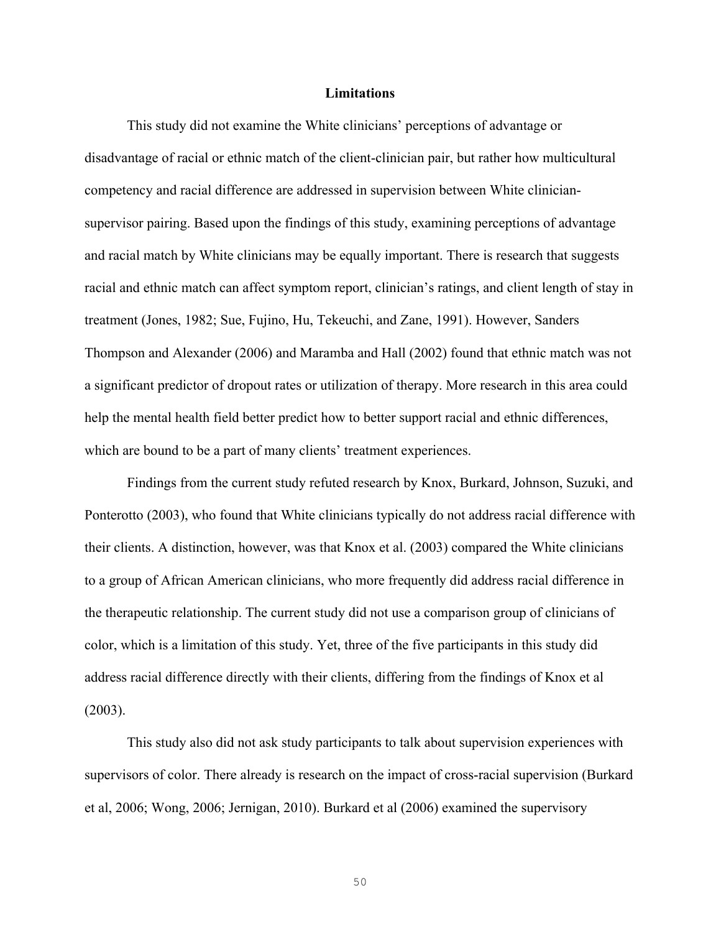### **Limitations**

This study did not examine the White clinicians' perceptions of advantage or disadvantage of racial or ethnic match of the client-clinician pair, but rather how multicultural competency and racial difference are addressed in supervision between White cliniciansupervisor pairing. Based upon the findings of this study, examining perceptions of advantage and racial match by White clinicians may be equally important. There is research that suggests racial and ethnic match can affect symptom report, clinician's ratings, and client length of stay in treatment (Jones, 1982; Sue, Fujino, Hu, Tekeuchi, and Zane, 1991). However, Sanders Thompson and Alexander (2006) and Maramba and Hall (2002) found that ethnic match was not a significant predictor of dropout rates or utilization of therapy. More research in this area could help the mental health field better predict how to better support racial and ethnic differences, which are bound to be a part of many clients' treatment experiences.

Findings from the current study refuted research by Knox, Burkard, Johnson, Suzuki, and Ponterotto (2003), who found that White clinicians typically do not address racial difference with their clients. A distinction, however, was that Knox et al. (2003) compared the White clinicians to a group of African American clinicians, who more frequently did address racial difference in the therapeutic relationship. The current study did not use a comparison group of clinicians of color, which is a limitation of this study. Yet, three of the five participants in this study did address racial difference directly with their clients, differing from the findings of Knox et al (2003).

This study also did not ask study participants to talk about supervision experiences with supervisors of color. There already is research on the impact of cross-racial supervision (Burkard et al, 2006; Wong, 2006; Jernigan, 2010). Burkard et al (2006) examined the supervisory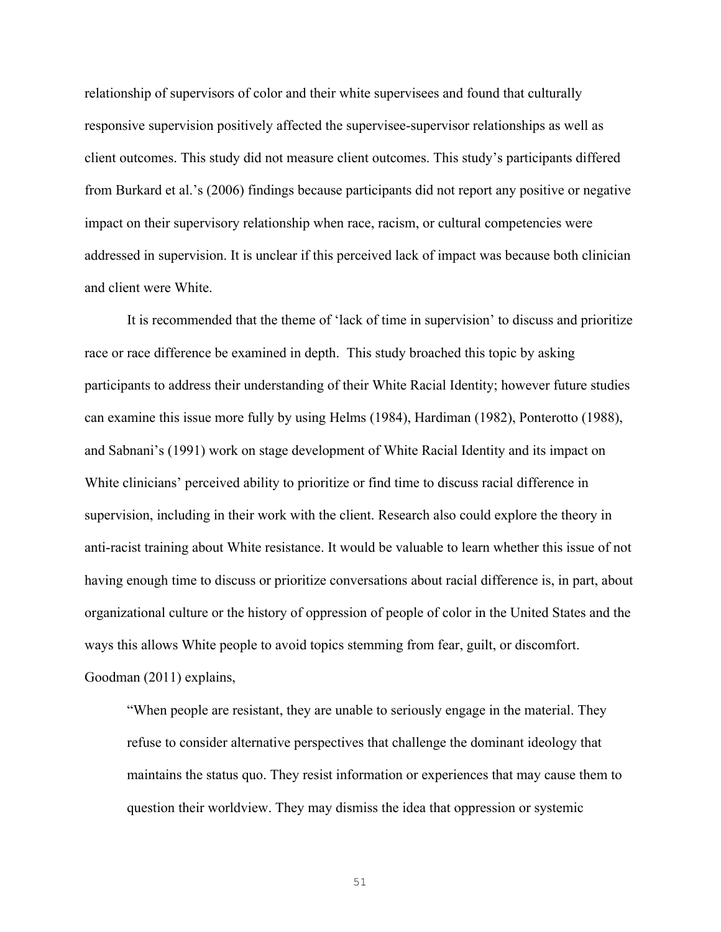relationship of supervisors of color and their white supervisees and found that culturally responsive supervision positively affected the supervisee-supervisor relationships as well as client outcomes. This study did not measure client outcomes. This study's participants differed from Burkard et al.'s (2006) findings because participants did not report any positive or negative impact on their supervisory relationship when race, racism, or cultural competencies were addressed in supervision. It is unclear if this perceived lack of impact was because both clinician and client were White.

It is recommended that the theme of 'lack of time in supervision' to discuss and prioritize race or race difference be examined in depth. This study broached this topic by asking participants to address their understanding of their White Racial Identity; however future studies can examine this issue more fully by using Helms (1984), Hardiman (1982), Ponterotto (1988), and Sabnani's (1991) work on stage development of White Racial Identity and its impact on White clinicians' perceived ability to prioritize or find time to discuss racial difference in supervision, including in their work with the client. Research also could explore the theory in anti-racist training about White resistance. It would be valuable to learn whether this issue of not having enough time to discuss or prioritize conversations about racial difference is, in part, about organizational culture or the history of oppression of people of color in the United States and the ways this allows White people to avoid topics stemming from fear, guilt, or discomfort. Goodman (2011) explains,

"When people are resistant, they are unable to seriously engage in the material. They refuse to consider alternative perspectives that challenge the dominant ideology that maintains the status quo. They resist information or experiences that may cause them to question their worldview. They may dismiss the idea that oppression or systemic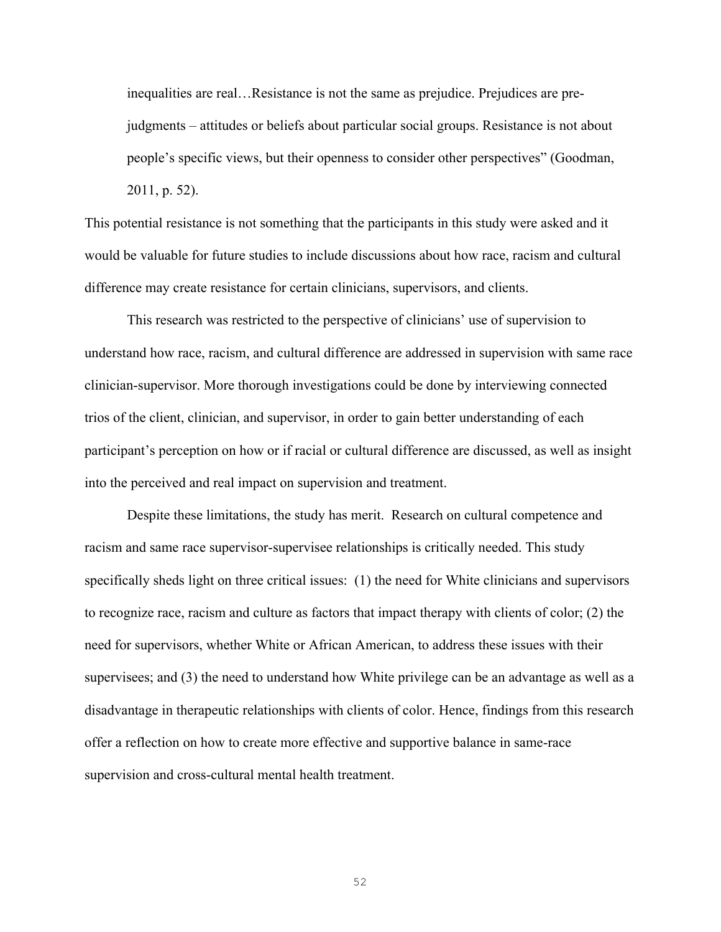inequalities are real…Resistance is not the same as prejudice. Prejudices are prejudgments – attitudes or beliefs about particular social groups. Resistance is not about people's specific views, but their openness to consider other perspectives" (Goodman, 2011, p. 52).

This potential resistance is not something that the participants in this study were asked and it would be valuable for future studies to include discussions about how race, racism and cultural difference may create resistance for certain clinicians, supervisors, and clients.

This research was restricted to the perspective of clinicians' use of supervision to understand how race, racism, and cultural difference are addressed in supervision with same race clinician-supervisor. More thorough investigations could be done by interviewing connected trios of the client, clinician, and supervisor, in order to gain better understanding of each participant's perception on how or if racial or cultural difference are discussed, as well as insight into the perceived and real impact on supervision and treatment.

Despite these limitations, the study has merit. Research on cultural competence and racism and same race supervisor-supervisee relationships is critically needed. This study specifically sheds light on three critical issues: (1) the need for White clinicians and supervisors to recognize race, racism and culture as factors that impact therapy with clients of color; (2) the need for supervisors, whether White or African American, to address these issues with their supervisees; and (3) the need to understand how White privilege can be an advantage as well as a disadvantage in therapeutic relationships with clients of color. Hence, findings from this research offer a reflection on how to create more effective and supportive balance in same-race supervision and cross-cultural mental health treatment.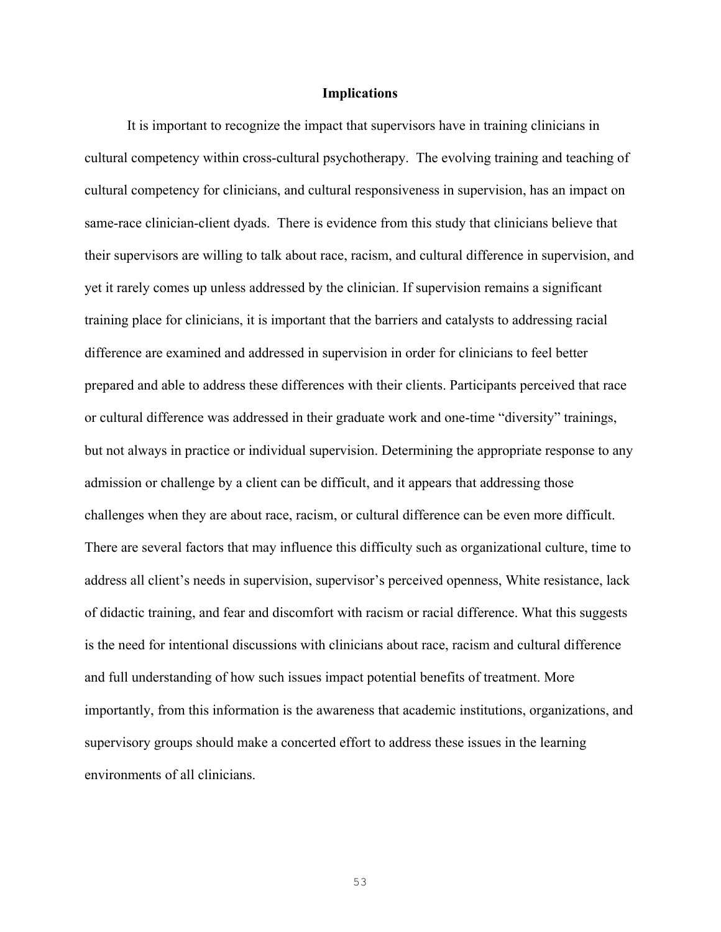### **Implications**

It is important to recognize the impact that supervisors have in training clinicians in cultural competency within cross-cultural psychotherapy. The evolving training and teaching of cultural competency for clinicians, and cultural responsiveness in supervision, has an impact on same-race clinician-client dyads. There is evidence from this study that clinicians believe that their supervisors are willing to talk about race, racism, and cultural difference in supervision, and yet it rarely comes up unless addressed by the clinician. If supervision remains a significant training place for clinicians, it is important that the barriers and catalysts to addressing racial difference are examined and addressed in supervision in order for clinicians to feel better prepared and able to address these differences with their clients. Participants perceived that race or cultural difference was addressed in their graduate work and one-time "diversity" trainings, but not always in practice or individual supervision. Determining the appropriate response to any admission or challenge by a client can be difficult, and it appears that addressing those challenges when they are about race, racism, or cultural difference can be even more difficult. There are several factors that may influence this difficulty such as organizational culture, time to address all client's needs in supervision, supervisor's perceived openness, White resistance, lack of didactic training, and fear and discomfort with racism or racial difference. What this suggests is the need for intentional discussions with clinicians about race, racism and cultural difference and full understanding of how such issues impact potential benefits of treatment. More importantly, from this information is the awareness that academic institutions, organizations, and supervisory groups should make a concerted effort to address these issues in the learning environments of all clinicians.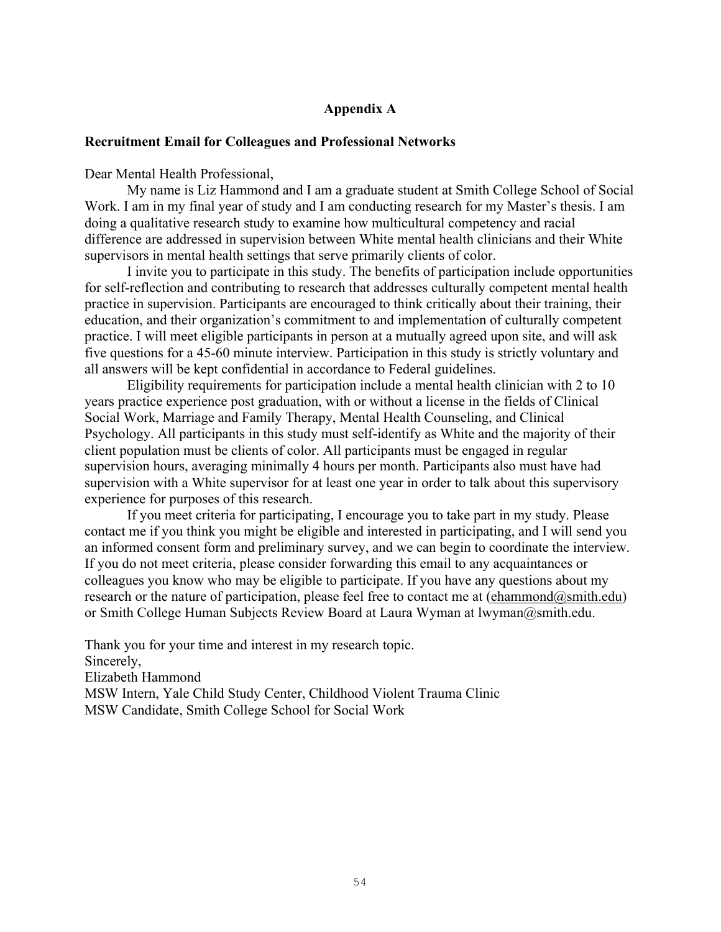### **Appendix A**

### **Recruitment Email for Colleagues and Professional Networks**

Dear Mental Health Professional,

My name is Liz Hammond and I am a graduate student at Smith College School of Social Work. I am in my final year of study and I am conducting research for my Master's thesis. I am doing a qualitative research study to examine how multicultural competency and racial difference are addressed in supervision between White mental health clinicians and their White supervisors in mental health settings that serve primarily clients of color.

I invite you to participate in this study. The benefits of participation include opportunities for self-reflection and contributing to research that addresses culturally competent mental health practice in supervision. Participants are encouraged to think critically about their training, their education, and their organization's commitment to and implementation of culturally competent practice. I will meet eligible participants in person at a mutually agreed upon site, and will ask five questions for a 45-60 minute interview. Participation in this study is strictly voluntary and all answers will be kept confidential in accordance to Federal guidelines.

Eligibility requirements for participation include a mental health clinician with 2 to 10 years practice experience post graduation, with or without a license in the fields of Clinical Social Work, Marriage and Family Therapy, Mental Health Counseling, and Clinical Psychology. All participants in this study must self-identify as White and the majority of their client population must be clients of color. All participants must be engaged in regular supervision hours, averaging minimally 4 hours per month. Participants also must have had supervision with a White supervisor for at least one year in order to talk about this supervisory experience for purposes of this research.

If you meet criteria for participating, I encourage you to take part in my study. Please contact me if you think you might be eligible and interested in participating, and I will send you an informed consent form and preliminary survey, and we can begin to coordinate the interview. If you do not meet criteria, please consider forwarding this email to any acquaintances or colleagues you know who may be eligible to participate. If you have any questions about my research or the nature of participation, please feel free to contact me at  $(ehammond@smith.edu)$ or Smith College Human Subjects Review Board at Laura Wyman at lwyman@smith.edu.

Thank you for your time and interest in my research topic. Sincerely, Elizabeth Hammond MSW Intern, Yale Child Study Center, Childhood Violent Trauma Clinic MSW Candidate, Smith College School for Social Work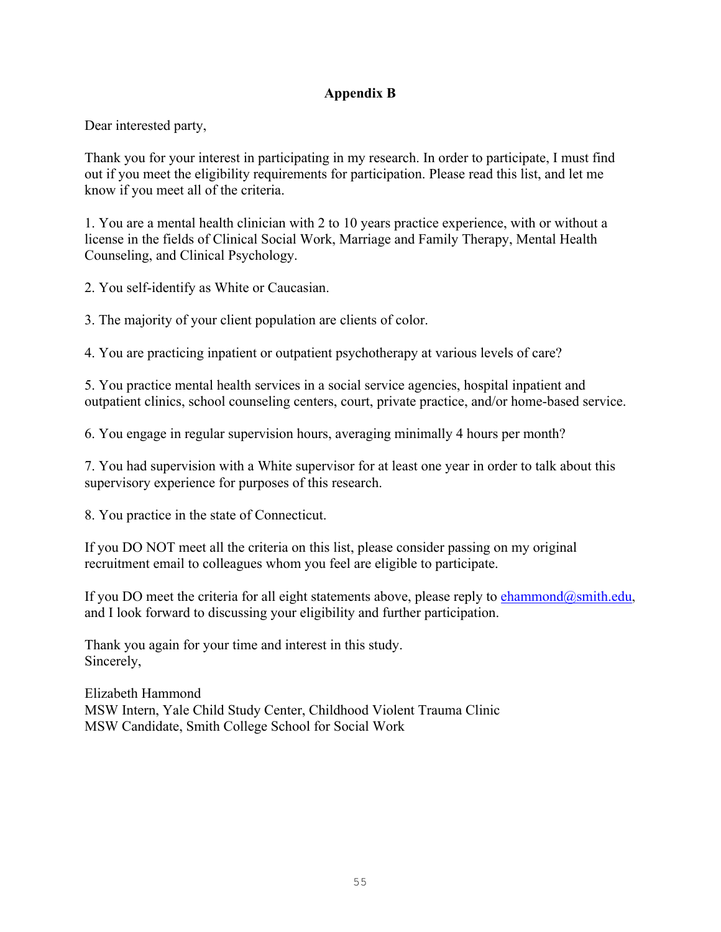# **Appendix B**

Dear interested party,

Thank you for your interest in participating in my research. In order to participate, I must find out if you meet the eligibility requirements for participation. Please read this list, and let me know if you meet all of the criteria.

1. You are a mental health clinician with 2 to 10 years practice experience, with or without a license in the fields of Clinical Social Work, Marriage and Family Therapy, Mental Health Counseling, and Clinical Psychology.

2. You self-identify as White or Caucasian.

3. The majority of your client population are clients of color.

4. You are practicing inpatient or outpatient psychotherapy at various levels of care?

5. You practice mental health services in a social service agencies, hospital inpatient and outpatient clinics, school counseling centers, court, private practice, and/or home-based service.

6. You engage in regular supervision hours, averaging minimally 4 hours per month?

7. You had supervision with a White supervisor for at least one year in order to talk about this supervisory experience for purposes of this research.

8. You practice in the state of Connecticut.

If you DO NOT meet all the criteria on this list, please consider passing on my original recruitment email to colleagues whom you feel are eligible to participate.

If you DO meet the criteria for all eight statements above, please reply to ehammond@smith.edu, and I look forward to discussing your eligibility and further participation.

Thank you again for your time and interest in this study. Sincerely,

Elizabeth Hammond MSW Intern, Yale Child Study Center, Childhood Violent Trauma Clinic MSW Candidate, Smith College School for Social Work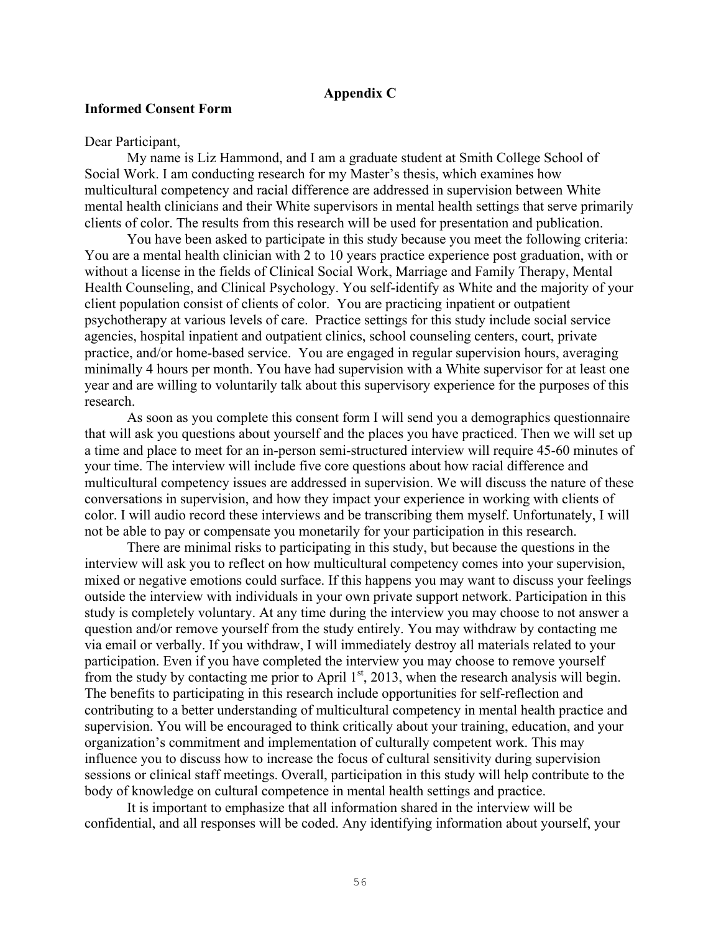### **Appendix C**

### **Informed Consent Form**

### Dear Participant,

My name is Liz Hammond, and I am a graduate student at Smith College School of Social Work. I am conducting research for my Master's thesis, which examines how multicultural competency and racial difference are addressed in supervision between White mental health clinicians and their White supervisors in mental health settings that serve primarily clients of color. The results from this research will be used for presentation and publication.

You have been asked to participate in this study because you meet the following criteria: You are a mental health clinician with 2 to 10 years practice experience post graduation, with or without a license in the fields of Clinical Social Work, Marriage and Family Therapy, Mental Health Counseling, and Clinical Psychology. You self-identify as White and the majority of your client population consist of clients of color. You are practicing inpatient or outpatient psychotherapy at various levels of care. Practice settings for this study include social service agencies, hospital inpatient and outpatient clinics, school counseling centers, court, private practice, and/or home-based service. You are engaged in regular supervision hours, averaging minimally 4 hours per month. You have had supervision with a White supervisor for at least one year and are willing to voluntarily talk about this supervisory experience for the purposes of this research.

As soon as you complete this consent form I will send you a demographics questionnaire that will ask you questions about yourself and the places you have practiced. Then we will set up a time and place to meet for an in-person semi-structured interview will require 45-60 minutes of your time. The interview will include five core questions about how racial difference and multicultural competency issues are addressed in supervision. We will discuss the nature of these conversations in supervision, and how they impact your experience in working with clients of color. I will audio record these interviews and be transcribing them myself. Unfortunately, I will not be able to pay or compensate you monetarily for your participation in this research.

There are minimal risks to participating in this study, but because the questions in the interview will ask you to reflect on how multicultural competency comes into your supervision, mixed or negative emotions could surface. If this happens you may want to discuss your feelings outside the interview with individuals in your own private support network. Participation in this study is completely voluntary. At any time during the interview you may choose to not answer a question and/or remove yourself from the study entirely. You may withdraw by contacting me via email or verbally. If you withdraw, I will immediately destroy all materials related to your participation. Even if you have completed the interview you may choose to remove yourself from the study by contacting me prior to April 1<sup>st</sup>, 2013, when the research analysis will begin. The benefits to participating in this research include opportunities for self-reflection and contributing to a better understanding of multicultural competency in mental health practice and supervision. You will be encouraged to think critically about your training, education, and your organization's commitment and implementation of culturally competent work. This may influence you to discuss how to increase the focus of cultural sensitivity during supervision sessions or clinical staff meetings. Overall, participation in this study will help contribute to the body of knowledge on cultural competence in mental health settings and practice.

It is important to emphasize that all information shared in the interview will be confidential, and all responses will be coded. Any identifying information about yourself, your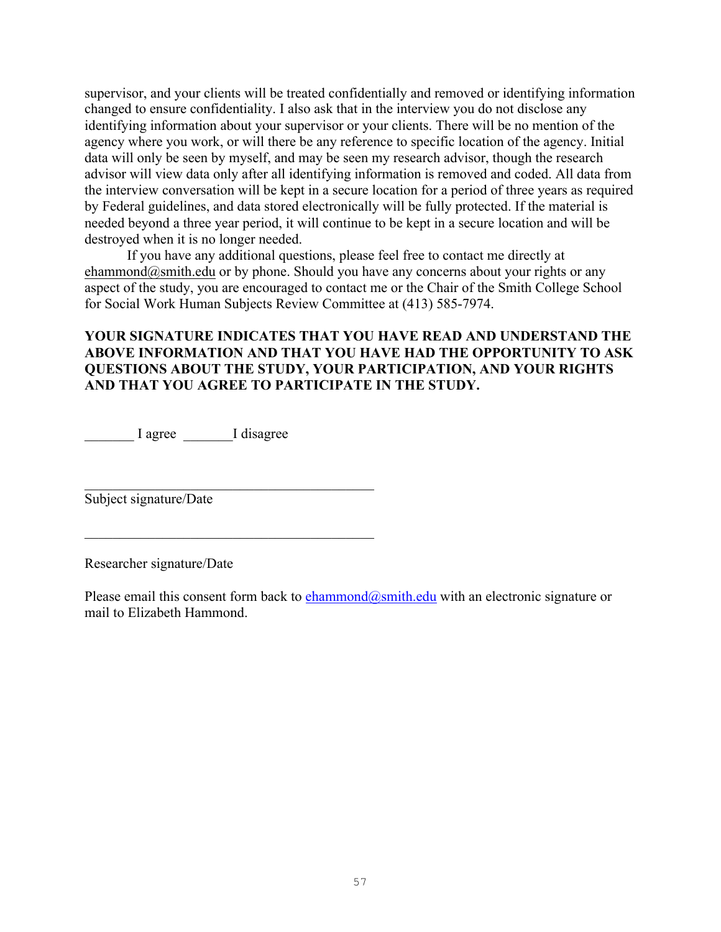supervisor, and your clients will be treated confidentially and removed or identifying information changed to ensure confidentiality. I also ask that in the interview you do not disclose any identifying information about your supervisor or your clients. There will be no mention of the agency where you work, or will there be any reference to specific location of the agency. Initial data will only be seen by myself, and may be seen my research advisor, though the research advisor will view data only after all identifying information is removed and coded. All data from the interview conversation will be kept in a secure location for a period of three years as required by Federal guidelines, and data stored electronically will be fully protected. If the material is needed beyond a three year period, it will continue to be kept in a secure location and will be destroyed when it is no longer needed.

If you have any additional questions, please feel free to contact me directly at ehammond $@s$ smith.edu or by phone. Should you have any concerns about your rights or any aspect of the study, you are encouraged to contact me or the Chair of the Smith College School for Social Work Human Subjects Review Committee at (413) 585-7974.

## **YOUR SIGNATURE INDICATES THAT YOU HAVE READ AND UNDERSTAND THE ABOVE INFORMATION AND THAT YOU HAVE HAD THE OPPORTUNITY TO ASK QUESTIONS ABOUT THE STUDY, YOUR PARTICIPATION, AND YOUR RIGHTS AND THAT YOU AGREE TO PARTICIPATE IN THE STUDY.**

\_\_\_\_\_\_\_ I agree \_\_\_\_\_\_\_I disagree

\_\_\_\_\_\_\_\_\_\_\_\_\_\_\_\_\_\_\_\_\_\_\_\_\_\_\_\_\_\_\_\_\_\_\_\_\_\_\_\_\_

\_\_\_\_\_\_\_\_\_\_\_\_\_\_\_\_\_\_\_\_\_\_\_\_\_\_\_\_\_\_\_\_\_\_\_\_\_\_\_\_\_

Subject signature/Date

Researcher signature/Date

Please email this consent form back to  $ehammond@smith.edu$  with an electronic signature or mail to Elizabeth Hammond.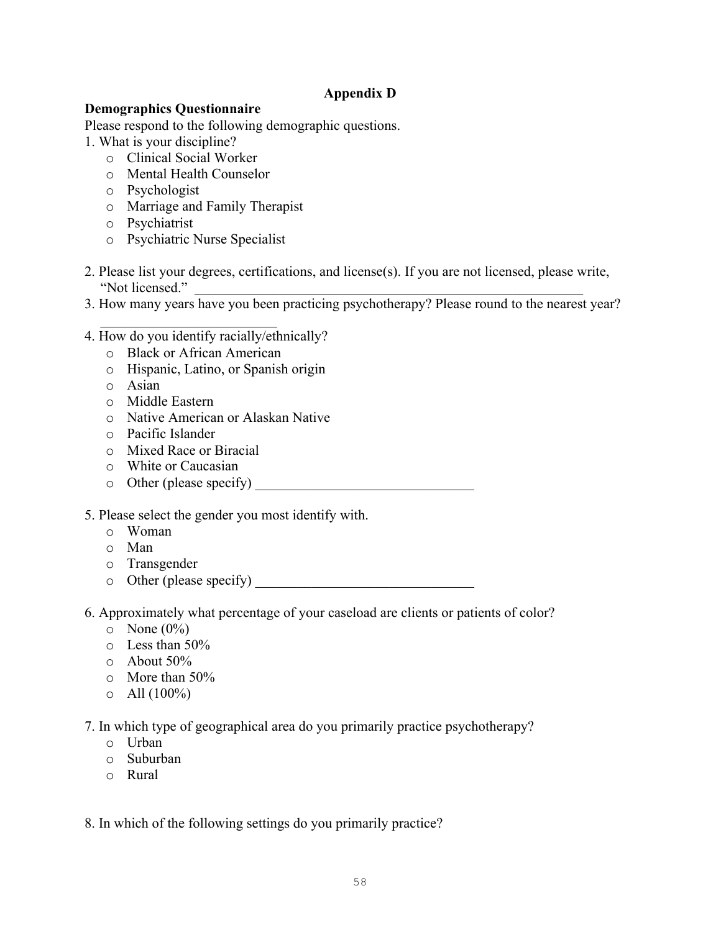## **Appendix D**

### **Demographics Questionnaire**

Please respond to the following demographic questions.

1. What is your discipline?

- o Clinical Social Worker
- o Mental Health Counselor
- o Psychologist
- o Marriage and Family Therapist
- o Psychiatrist
- o Psychiatric Nurse Specialist
- 2. Please list your degrees, certifications, and license(s). If you are not licensed, please write, "Not licensed."
- 3. How many years have you been practicing psychotherapy? Please round to the nearest year?
- \_\_\_\_\_\_\_\_\_\_\_\_\_\_\_\_\_\_\_\_\_\_\_\_\_ 4. How do you identify racially/ethnically?
	- o Black or African American
	- o Hispanic, Latino, or Spanish origin
	- o Asian
	- o Middle Eastern
	- o Native American or Alaskan Native
	- o Pacific Islander
	- o Mixed Race or Biracial
	- o White or Caucasian
	- $\circ$  Other (please specify)
- 5. Please select the gender you most identify with.
	- o Woman
	- o Man
	- o Transgender
	- o Other (please specify) \_\_\_\_\_\_\_\_\_\_\_\_\_\_\_\_\_\_\_\_\_\_\_\_\_\_\_\_\_\_\_
- 6. Approximately what percentage of your caseload are clients or patients of color?
	- $\circ$  None  $(0\%)$
	- $\circ$  Less than 50%
	- o About 50%
	- o More than 50%
	- $\circ$  All  $(100\%)$
- 7. In which type of geographical area do you primarily practice psychotherapy?
	- o Urban
	- o Suburban
	- o Rural

8. In which of the following settings do you primarily practice?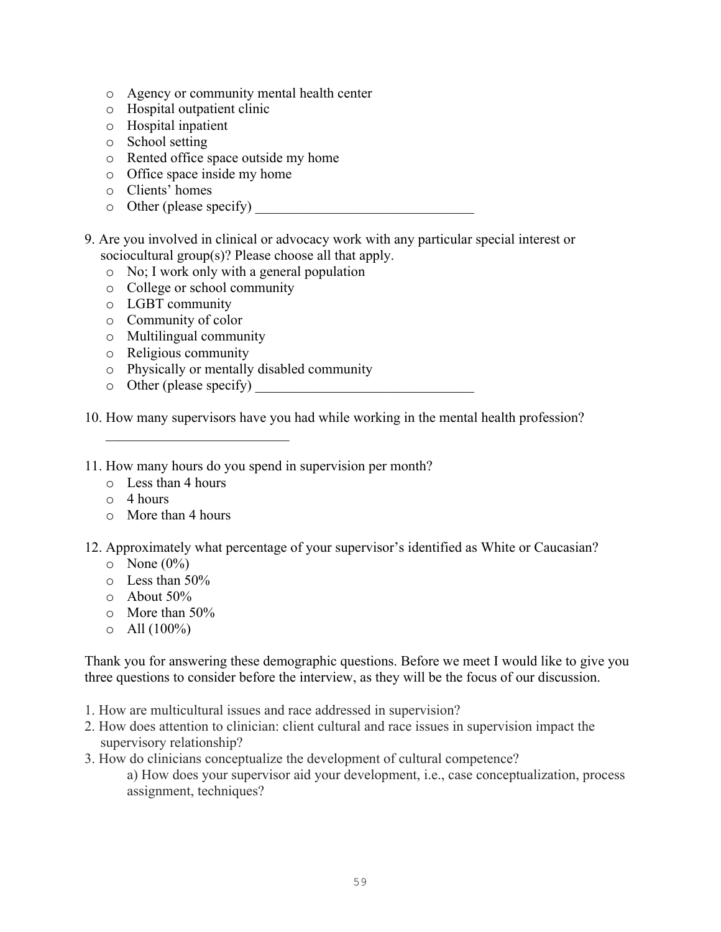- o Agency or community mental health center
- o Hospital outpatient clinic
- o Hospital inpatient
- o School setting
- o Rented office space outside my home
- o Office space inside my home
- o Clients' homes
- $\circ$  Other (please specify)
- 9. Are you involved in clinical or advocacy work with any particular special interest or sociocultural group(s)? Please choose all that apply.
	- o No; I work only with a general population
	- o College or school community
	- o LGBT community
	- o Community of color
	- o Multilingual community

 $\mathcal{L}_\text{max}$ 

- o Religious community
- o Physically or mentally disabled community
- $\circ$  Other (please specify)

10. How many supervisors have you had while working in the mental health profession?

- 11. How many hours do you spend in supervision per month?
	- o Less than 4 hours
	- $\circ$  4 hours
	- o More than 4 hours
- 12. Approximately what percentage of your supervisor's identified as White or Caucasian?
	- $\circ$  None  $(0\%)$
	- $\circ$  Less than 50%
	- o About 50%
	- o More than 50%
	- $\circ$  All  $(100\%)$

Thank you for answering these demographic questions. Before we meet I would like to give you three questions to consider before the interview, as they will be the focus of our discussion.

- 1. How are multicultural issues and race addressed in supervision?
- 2. How does attention to clinician: client cultural and race issues in supervision impact the supervisory relationship?
- 3. How do clinicians conceptualize the development of cultural competence?

a) How does your supervisor aid your development, i.e., case conceptualization, process assignment, techniques?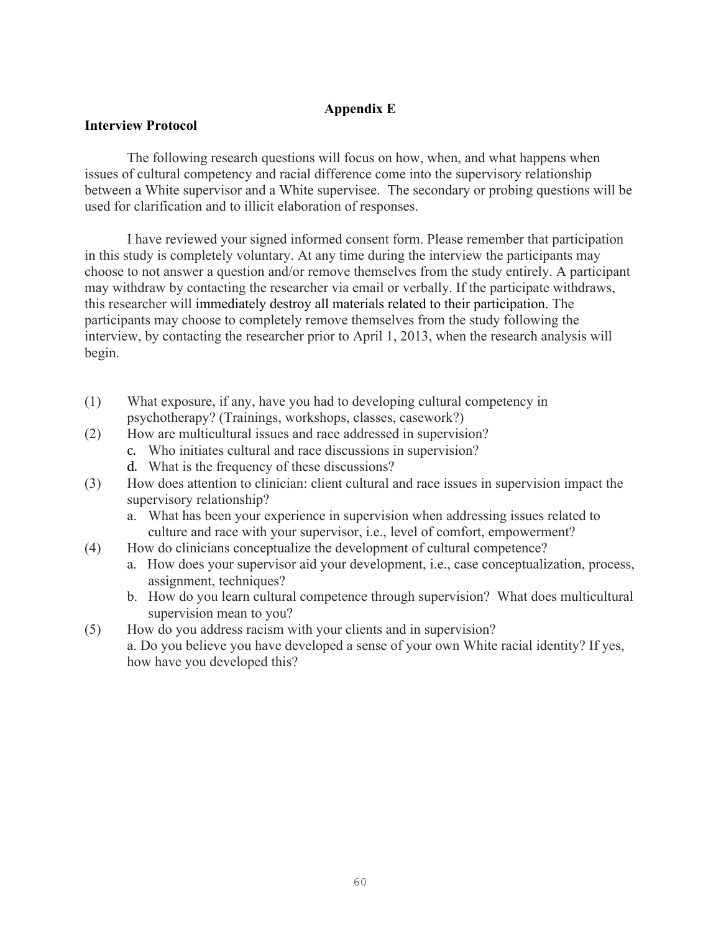# **Appendix E**

## **Interview Protocol**

The following research questions will focus on how, when, and what happens when issues of cultural competency and racial difference come into the supervisory relationship between a White supervisor and a White supervisee. The secondary or probing questions will be used for clarification and to illicit elaboration of responses.

I have reviewed your signed informed consent form. Please remember that participation in this study is completely voluntary. At any time during the interview the participants may choose to not answer a question and/or remove themselves from the study entirely. A participant may withdraw by contacting the researcher via email or verbally. If the participate withdraws, this researcher will immediately destroy all materials related to their participation. The participants may choose to completely remove themselves from the study following the interview, by contacting the researcher prior to April 1, 2013, when the research analysis will begin.

- (1) What exposure, if any, have you had to developing cultural competency in psychotherapy? (Trainings, workshops, classes, casework?)
- (2) How are multicultural issues and race addressed in supervision?
	- c. Who initiates cultural and race discussions in supervision?
	- d. What is the frequency of these discussions?
- (3) How does attention to clinician: client cultural and race issues in supervision impact the supervisory relationship?
	- a. What has been your experience in supervision when addressing issues related to culture and race with your supervisor, i.e., level of comfort, empowerment?
- (4) How do clinicians conceptualize the development of cultural competence?
	- a. How does your supervisor aid your development, i.e., case conceptualization, process, assignment, techniques?
	- b. How do you learn cultural competence through supervision? What does multicultural supervision mean to you?
- (5) How do you address racism with your clients and in supervision? a. Do you believe you have developed a sense of your own White racial identity? If yes, how have you developed this?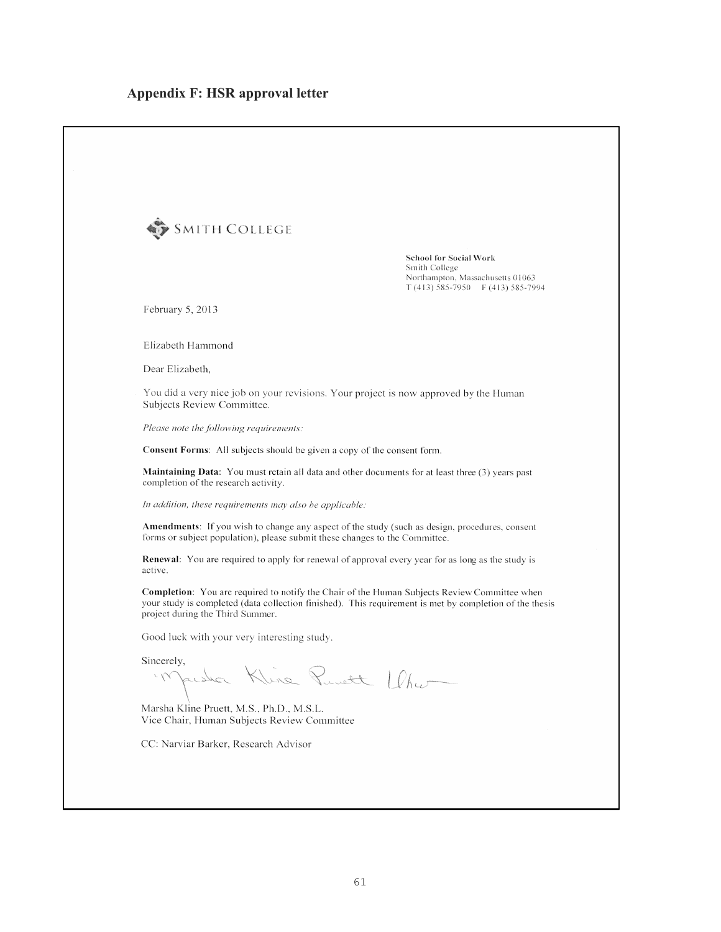| SMITH COLLEGE                                                                           |                                                                                                                                                                                                                |
|-----------------------------------------------------------------------------------------|----------------------------------------------------------------------------------------------------------------------------------------------------------------------------------------------------------------|
|                                                                                         | <b>School for Social Work</b><br>Smith College<br>Northampton, Massachusetts 01063<br>$T(413)$ 585-7950 F (413) 585-7994                                                                                       |
| February 5, 2013                                                                        |                                                                                                                                                                                                                |
| Elizabeth Hammond                                                                       |                                                                                                                                                                                                                |
| Dear Elizabeth,                                                                         |                                                                                                                                                                                                                |
| Subjects Review Committee.                                                              | You did a very nice job on your revisions. Your project is now approved by the Human                                                                                                                           |
| Please note the following requirements:                                                 |                                                                                                                                                                                                                |
| Consent Forms: All subjects should be given a copy of the consent form.                 |                                                                                                                                                                                                                |
| completion of the research activity.                                                    | <b>Maintaining Data:</b> You must retain all data and other documents for at least three (3) years past                                                                                                        |
| In addition, these requirements may also be applicable:                                 |                                                                                                                                                                                                                |
| forms or subject population), please submit these changes to the Committee.             | Amendments: If you wish to change any aspect of the study (such as design, procedures, consent                                                                                                                 |
| active.                                                                                 | <b>Renewal:</b> You are required to apply for renewal of approval every year for as long as the study is                                                                                                       |
| project during the Third Summer.                                                        | <b>Completion:</b> You are required to notify the Chair of the Human Subjects Review Committee when<br>your study is completed (data collection finished). This requirement is met by completion of the thesis |
| Good luck with your very interesting study.                                             |                                                                                                                                                                                                                |
| Sincerely,<br>Marsha Kline Runett / lhw                                                 |                                                                                                                                                                                                                |
| Marsha Kline Pruett, M.S., Ph.D., M.S.L.<br>Vice Chair, Human Subjects Review Committee |                                                                                                                                                                                                                |
| CC: Narviar Barker, Research Advisor                                                    |                                                                                                                                                                                                                |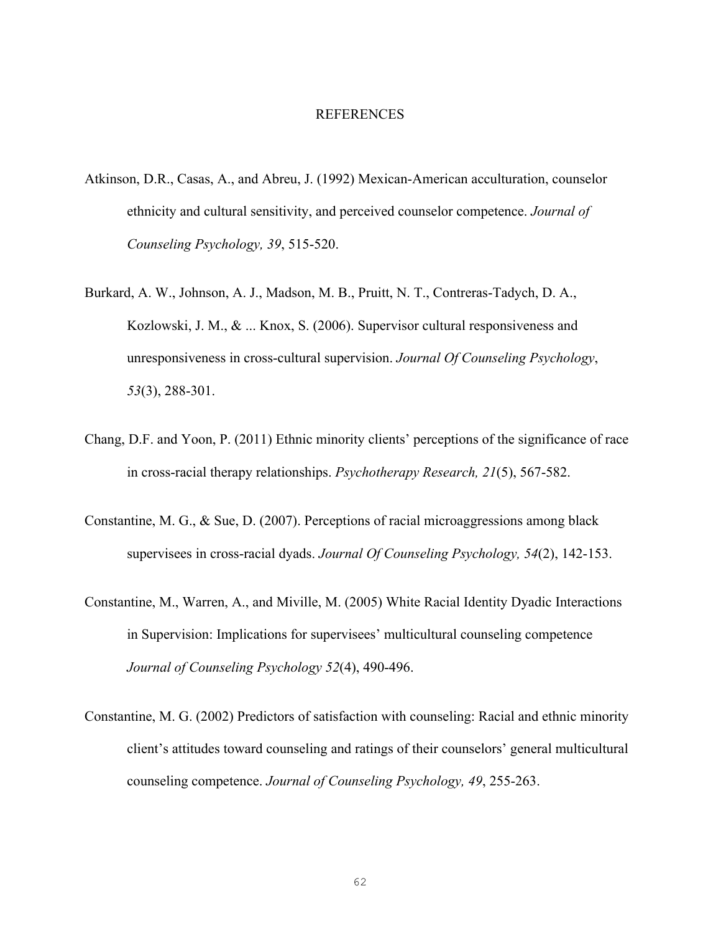#### REFERENCES

- Atkinson, D.R., Casas, A., and Abreu, J. (1992) Mexican-American acculturation, counselor ethnicity and cultural sensitivity, and perceived counselor competence. *Journal of Counseling Psychology, 39*, 515-520.
- Burkard, A. W., Johnson, A. J., Madson, M. B., Pruitt, N. T., Contreras-Tadych, D. A., Kozlowski, J. M., & ... Knox, S. (2006). Supervisor cultural responsiveness and unresponsiveness in cross-cultural supervision. *Journal Of Counseling Psychology*, *53*(3), 288-301.
- Chang, D.F. and Yoon, P. (2011) Ethnic minority clients' perceptions of the significance of race in cross-racial therapy relationships. *Psychotherapy Research, 21*(5), 567-582.
- Constantine, M. G., & Sue, D. (2007). Perceptions of racial microaggressions among black supervisees in cross-racial dyads. *Journal Of Counseling Psychology, 54*(2), 142-153.
- Constantine, M., Warren, A., and Miville, M. (2005) White Racial Identity Dyadic Interactions in Supervision: Implications for supervisees' multicultural counseling competence *Journal of Counseling Psychology 52*(4), 490-496.
- Constantine, M. G. (2002) Predictors of satisfaction with counseling: Racial and ethnic minority client's attitudes toward counseling and ratings of their counselors' general multicultural counseling competence. *Journal of Counseling Psychology, 49*, 255-263.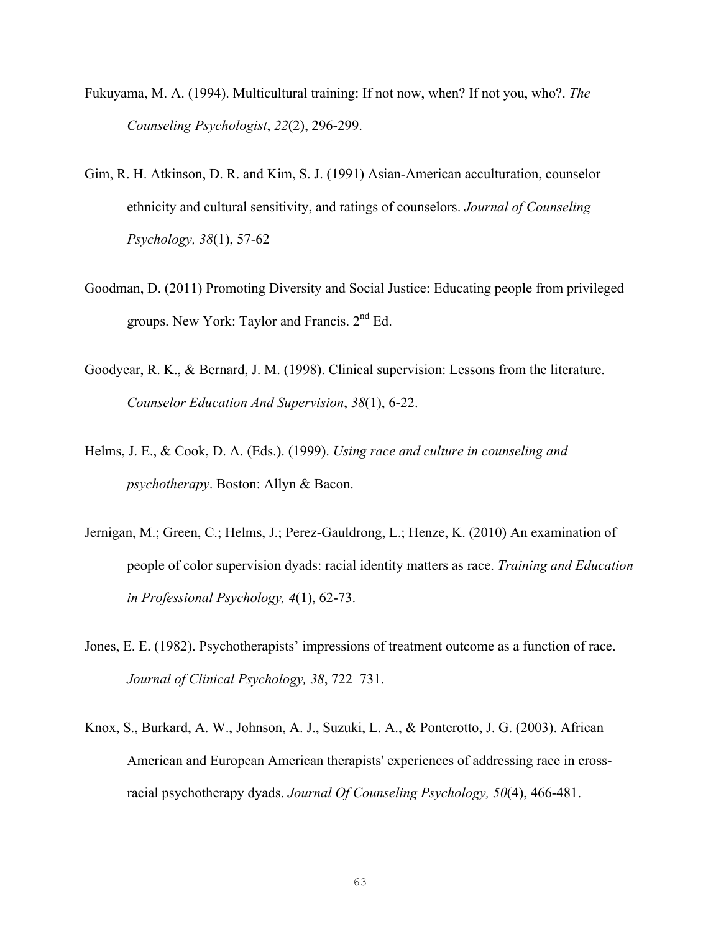- Fukuyama, M. A. (1994). Multicultural training: If not now, when? If not you, who?. *The Counseling Psychologist*, *22*(2), 296-299.
- Gim, R. H. Atkinson, D. R. and Kim, S. J. (1991) Asian-American acculturation, counselor ethnicity and cultural sensitivity, and ratings of counselors. *Journal of Counseling Psychology, 38*(1), 57-62
- Goodman, D. (2011) Promoting Diversity and Social Justice: Educating people from privileged groups. New York: Taylor and Francis. 2nd Ed.
- Goodyear, R. K., & Bernard, J. M. (1998). Clinical supervision: Lessons from the literature. *Counselor Education And Supervision*, *38*(1), 6-22.
- Helms, J. E., & Cook, D. A. (Eds.). (1999). *Using race and culture in counseling and psychotherapy*. Boston: Allyn & Bacon.
- Jernigan, M.; Green, C.; Helms, J.; Perez-Gauldrong, L.; Henze, K. (2010) An examination of people of color supervision dyads: racial identity matters as race. *Training and Education in Professional Psychology, 4*(1), 62-73.
- Jones, E. E. (1982). Psychotherapists' impressions of treatment outcome as a function of race. *Journal of Clinical Psychology, 38*, 722–731.
- Knox, S., Burkard, A. W., Johnson, A. J., Suzuki, L. A., & Ponterotto, J. G. (2003). African American and European American therapists' experiences of addressing race in crossracial psychotherapy dyads. *Journal Of Counseling Psychology, 50*(4), 466-481.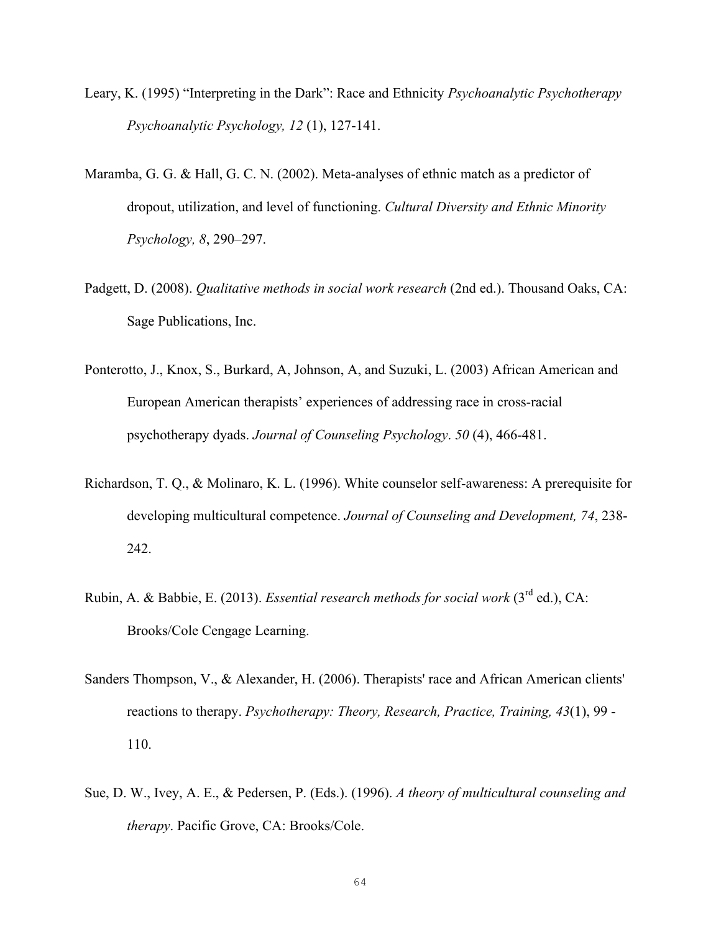- Leary, K. (1995) "Interpreting in the Dark": Race and Ethnicity *Psychoanalytic Psychotherapy Psychoanalytic Psychology, 12* (1), 127-141.
- Maramba, G. G. & Hall, G. C. N. (2002). Meta-analyses of ethnic match as a predictor of dropout, utilization, and level of functioning. *Cultural Diversity and Ethnic Minority Psychology, 8*, 290–297.
- Padgett, D. (2008). *Qualitative methods in social work research* (2nd ed.). Thousand Oaks, CA: Sage Publications, Inc.
- Ponterotto, J., Knox, S., Burkard, A, Johnson, A, and Suzuki, L. (2003) African American and European American therapists' experiences of addressing race in cross-racial psychotherapy dyads. *Journal of Counseling Psychology*. *50* (4), 466-481.
- Richardson, T. Q., & Molinaro, K. L. (1996). White counselor self-awareness: A prerequisite for developing multicultural competence. *Journal of Counseling and Development, 74*, 238- 242.
- Rubin, A. & Babbie, E. (2013). *Essential research methods for social work* (3rd ed.), CA: Brooks/Cole Cengage Learning.
- Sanders Thompson, V., & Alexander, H. (2006). Therapists' race and African American clients' reactions to therapy. *Psychotherapy: Theory, Research, Practice, Training, 43*(1), 99 - 110.
- Sue, D. W., Ivey, A. E., & Pedersen, P. (Eds.). (1996). *A theory of multicultural counseling and therapy*. Pacific Grove, CA: Brooks/Cole.